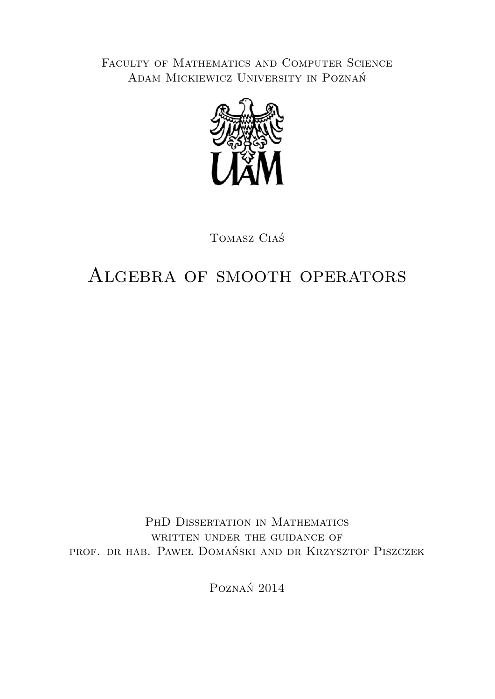FACULTY OF MATHEMATICS AND COMPUTER SCIENCE Adam Mickiewicz University in Poznań



Tomasz Ciaś

### Algebra of smooth operators

PHD DISSERTATION IN MATHEMATICS WRITTEN UNDER THE GUIDANCE OF prof. dr hab. Paweł Domański and dr Krzysztof Piszczek

Poznań 2014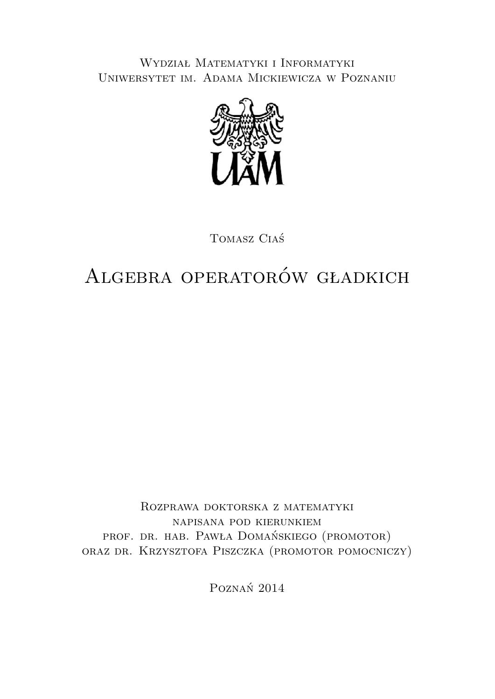Wydział Matematyki i Informatyki Uniwersytet im. Adama Mickiewicza w Poznaniu



Tomasz Ciaś

## Algebra operatorów gładkich

Rozprawa doktorska z matematyki napisana pod kierunkiem prof. dr. hab. Pawła Domańskiego (promotor) oraz dr. Krzysztofa Piszczka (promotor pomocniczy)

Poznań 2014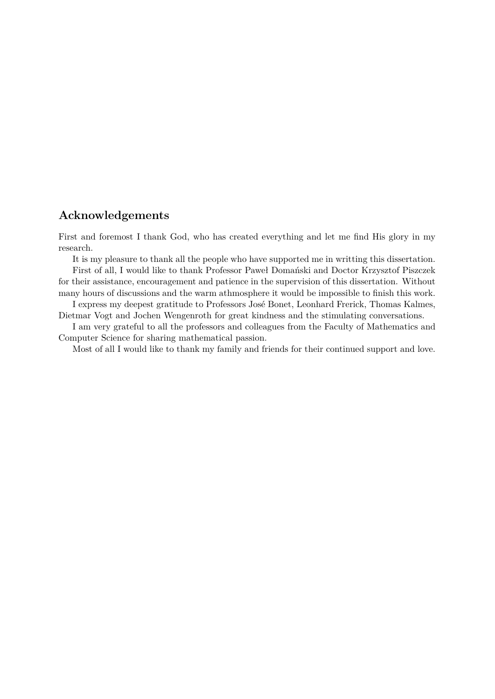#### **Acknowledgements**

First and foremost I thank God, who has created everything and let me find His glory in my research.

It is my pleasure to thank all the people who have supported me in writting this dissertation. First of all, I would like to thank Professor Paweł Domański and Doctor Krzysztof Piszczek

for their assistance, encouragement and patience in the supervision of this dissertation. Without many hours of discussions and the warm athmosphere it would be impossible to finish this work.

I express my deepest gratitude to Professors José Bonet, Leonhard Frerick, Thomas Kalmes, Dietmar Vogt and Jochen Wengenroth for great kindness and the stimulating conversations.

I am very grateful to all the professors and colleagues from the Faculty of Mathematics and Computer Science for sharing mathematical passion.

Most of all I would like to thank my family and friends for their continued support and love.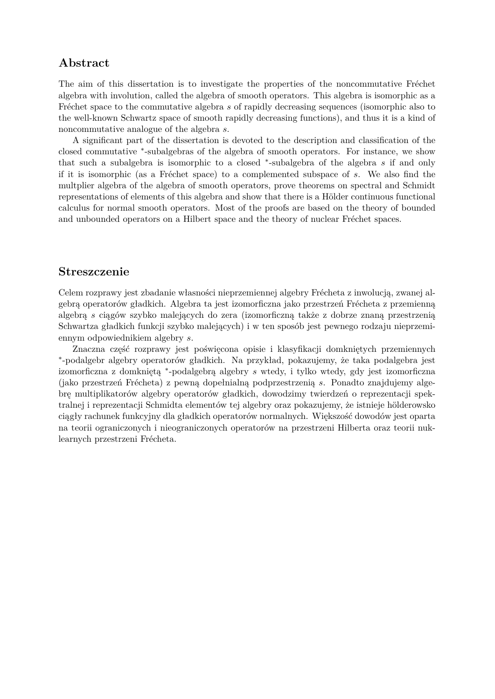#### **Abstract**

The aim of this dissertation is to investigate the properties of the noncommutative Fréchet algebra with involution, called the algebra of smooth operators. This algebra is isomorphic as a Fréchet space to the commutative algebra *s* of rapidly decreasing sequences (isomorphic also to the well-known Schwartz space of smooth rapidly decreasing functions), and thus it is a kind of noncommutative analogue of the algebra *s*.

A significant part of the dissertation is devoted to the description and classification of the closed commutative <sup>∗</sup> -subalgebras of the algebra of smooth operators. For instance, we show that such a subalgebra is isomorphic to a closed <sup>∗</sup> -subalgebra of the algebra *s* if and only if it is isomorphic (as a Fréchet space) to a complemented subspace of *s*. We also find the multplier algebra of the algebra of smooth operators, prove theorems on spectral and Schmidt representations of elements of this algebra and show that there is a Hölder continuous functional calculus for normal smooth operators. Most of the proofs are based on the theory of bounded and unbounded operators on a Hilbert space and the theory of nuclear Fréchet spaces.

#### **Streszczenie**

Celem rozprawy jest zbadanie własności nieprzemiennej algebry Frécheta z inwolucją, zwanej algebrą operatorów gładkich. Algebra ta jest izomorficzna jako przestrzeń Frécheta z przemienną algebrą *s* ciągów szybko malejących do zera (izomorficzną także z dobrze znaną przestrzenią Schwartza gładkich funkcji szybko malejących) i w ten sposób jest pewnego rodzaju nieprzemiennym odpowiednikiem algebry *s*.

Znaczna część rozprawy jest poświęcona opisie i klasyfikacji domkniętych przemiennych ∗ -podalgebr algebry operatorów gładkich. Na przykład, pokazujemy, że taka podalgebra jest izomorficzna z domkniętą <sup>∗</sup> -podalgebrą algebry *s* wtedy, i tylko wtedy, gdy jest izomorficzna (jako przestrzeń Frécheta) z pewną dopełnialną podprzestrzenią *s*. Ponadto znajdujemy algebrę multiplikatorów algebry operatorów gładkich, dowodzimy twierdzeń o reprezentacji spektralnej i reprezentacji Schmidta elementów tej algebry oraz pokazujemy, że istnieje hölderowsko ciągły rachunek funkcyjny dla gładkich operatorów normalnych. Większość dowodów jest oparta na teorii ograniczonych i nieograniczonych operatorów na przestrzeni Hilberta oraz teorii nuklearnych przestrzeni Frécheta.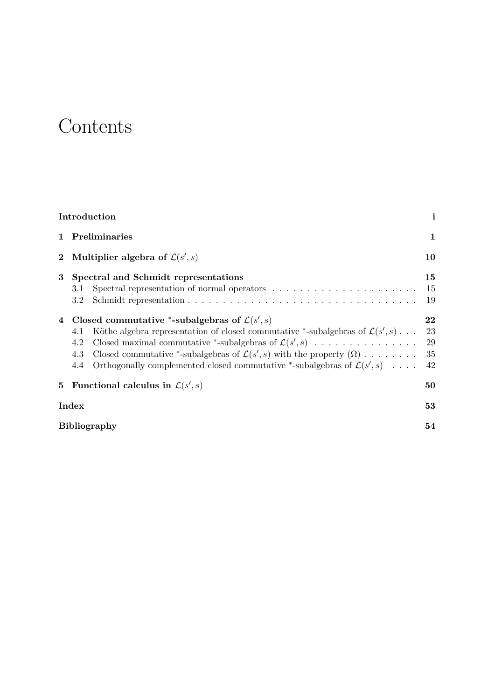### **Contents**

|                     | Introduction                                                                                             | $\mathbf{i}$ |
|---------------------|----------------------------------------------------------------------------------------------------------|--------------|
| 1                   | Preliminaries                                                                                            | 1            |
| $\mathbf{2}$        | Multiplier algebra of $\mathcal{L}(s', s)$                                                               | 10           |
| 3                   | Spectral and Schmidt representations                                                                     | 15           |
|                     | 3.1                                                                                                      | 15           |
|                     | 3.2                                                                                                      | 19           |
| 4                   | Closed commutative *-subalgebras of $\mathcal{L}(s', s)$                                                 | 22           |
|                     | Köthe algebra representation of closed commutative *-subalgebras of $\mathcal{L}(s', s)$<br>4.1          | 23           |
|                     | Closed maximal commutative *-subalgebras of $\mathcal{L}(s', s)$<br>4.2                                  | 29           |
|                     | Closed commutative *-subalgebras of $\mathcal{L}(s', s)$ with the property $(\Omega) \dots \dots$<br>4.3 | 35           |
|                     | Orthogonally complemented closed commutative *-subalgebras of $\mathcal{L}(s', s)$<br>4.4                | 42           |
| 5                   | Functional calculus in $\mathcal{L}(s', s)$                                                              | 50           |
|                     | Index                                                                                                    |              |
| <b>Bibliography</b> |                                                                                                          | 54           |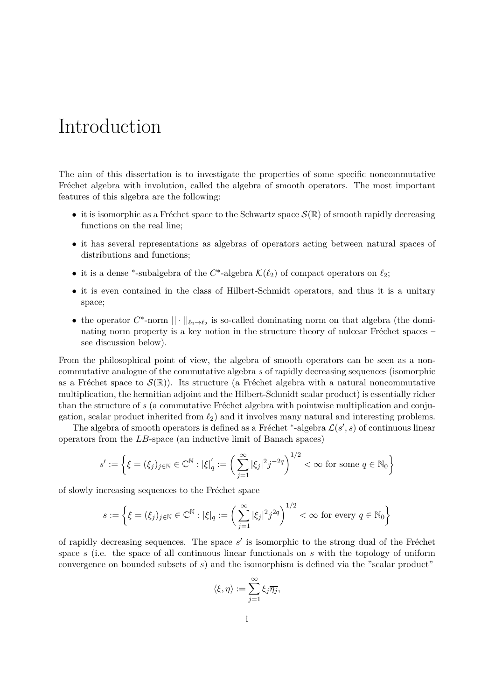### Introduction

The aim of this dissertation is to investigate the properties of some specific noncommutative Fréchet algebra with involution, called the algebra of smooth operators. The most important features of this algebra are the following:

- it is isomorphic as a Fréchet space to the Schwartz space  $\mathcal{S}(\mathbb{R})$  of smooth rapidly decreasing functions on the real line;
- it has several representations as algebras of operators acting between natural spaces of distributions and functions;
- it is a dense <sup>\*</sup>-subalgebra of the  $C^*$ -algebra  $\mathcal{K}(\ell_2)$  of compact operators on  $\ell_2$ ;
- it is even contained in the class of Hilbert-Schmidt operators, and thus it is a unitary space;
- the operator  $C^*$ -norm  $|| \cdot ||_{\ell_2 \to \ell_2}$  is so-called dominating norm on that algebra (the dominating norm property is a key notion in the structure theory of nulcear Fréchet spaces  $$ see discussion below).

From the philosophical point of view, the algebra of smooth operators can be seen as a noncommutative analogue of the commutative algebra *s* of rapidly decreasing sequences (isomorphic as a Fréchet space to  $\mathcal{S}(\mathbb{R})$ ). Its structure (a Fréchet algebra with a natural noncommutative multiplication, the hermitian adjoint and the Hilbert-Schmidt scalar product) is essentially richer than the structure of *s* (a commutative Fréchet algebra with pointwise multiplication and conjugation, scalar product inherited from  $\ell_2$ ) and it involves many natural and interesting problems.

The algebra of smooth operators is defined as a Fréchet <sup>\*</sup>-algebra  $\mathcal{L}(s', s)$  of continuous linear operators from the *LB*-space (an inductive limit of Banach spaces)

$$
s' := \left\{ \xi = (\xi_j)_{j \in \mathbb{N}} \in \mathbb{C}^{\mathbb{N}} : |\xi|_q' := \left( \sum_{j=1}^{\infty} |\xi_j|^2 j^{-2q} \right)^{1/2} < \infty \text{ for some } q \in \mathbb{N}_0 \right\}
$$

of slowly increasing sequences to the Fréchet space

$$
s := \left\{ \xi = (\xi_j)_{j \in \mathbb{N}} \in \mathbb{C}^{\mathbb{N}} : |\xi|_q := \left( \sum_{j=1}^{\infty} |\xi_j|^2 j^{2q} \right)^{1/2} < \infty \text{ for every } q \in \mathbb{N}_0 \right\}
$$

of rapidly decreasing sequences. The space  $s'$  is isomorphic to the strong dual of the Fréchet space *s* (i.e. the space of all continuous linear functionals on *s* with the topology of uniform convergence on bounded subsets of *s*) and the isomorphism is defined via the "scalar product"

$$
\langle \xi, \eta \rangle := \sum_{j=1}^{\infty} \xi_j \overline{\eta_j},
$$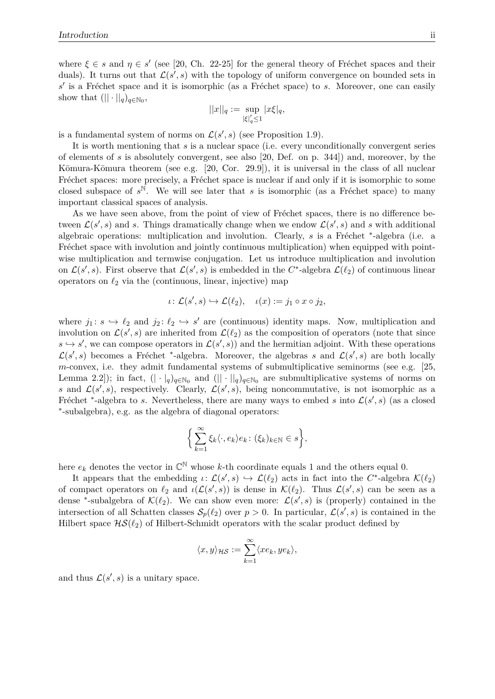where  $\xi \in s$  and  $\eta \in s'$  (see [20, Ch. 22-25] for the general theory of Fréchet spaces and their duals). It turns out that  $\mathcal{L}(s', s)$  with the topology of uniform convergence on bounded sets in s' is a Fréchet space and it is isomorphic (as a Fréchet space) to *s*. Moreover, one can easily show that  $(|| \cdot ||_q)_{q \in \mathbb{N}_0},$ 

$$
||x||_q := \sup_{|\xi|_q' \le 1} |x\xi|_q,
$$

is a fundamental system of norms on  $\mathcal{L}(s', s)$  (see Proposition 1.9).

It is worth mentioning that *s* is a nuclear space (i.e. every unconditionally convergent series of elements of *s* is absolutely convergent, see also [20, Def. on p. 344]) and, moreover, by the Kōmura-Kōmura theorem (see e.g.  $[20, \text{Cor. } 29.9]$ ), it is universal in the class of all nuclear Fréchet spaces: more precisely, a Fréchet space is nuclear if and only if it is isomorphic to some closed subspace of  $s^{\mathbb{N}}$ . We will see later that *s* is isomorphic (as a Fréchet space) to many important classical spaces of analysis.

As we have seen above, from the point of view of Fréchet spaces, there is no difference between  $\mathcal{L}(s', s)$  and *s*. Things dramatically change when we endow  $\mathcal{L}(s', s)$  and *s* with additional algebraic operations: multiplication and involution. Clearly, *s* is a Fréchet <sup>\*</sup>-algebra (i.e. a Fréchet space with involution and jointly continuous multiplication) when equipped with pointwise multiplication and termwise conjugation. Let us introduce multiplication and involution on  $\mathcal{L}(s', s)$ . First observe that  $\mathcal{L}(s', s)$  is embedded in the  $C^*$ -algebra  $\mathcal{L}(\ell_2)$  of continuous linear operators on  $\ell_2$  via the (continuous, linear, injective) map

$$
\iota\colon \mathcal{L}(s',s)\hookrightarrow \mathcal{L}(\ell_2), \quad \iota(x):=j_1\circ x\circ j_2,
$$

where  $j_1: s \hookrightarrow \ell_2$  and  $j_2: \ell_2 \hookrightarrow s'$  are (continuous) identity maps. Now, multiplication and involution on  $\mathcal{L}(s', s)$  are inherited from  $\mathcal{L}(\ell_2)$  as the composition of operators (note that since  $s \hookrightarrow s'$ , we can compose operators in  $\mathcal{L}(s', s)$  and the hermitian adjoint. With these operations  $\mathcal{L}(s',s)$  becomes a Fréchet \*-algebra. Moreover, the algebras *s* and  $\mathcal{L}(s',s)$  are both locally *m*-convex, i.e. they admit fundamental systems of submultiplicative seminorms (see e.g. [25, Lemma 2.2]); in fact,  $(| \cdot |_q)_{q \in \mathbb{N}_0}$  and  $(| \cdot |_q)_{q \in \mathbb{N}_0}$  are submultiplicative systems of norms on *s* and  $\mathcal{L}(s', s)$ , respectively. Clearly,  $\mathcal{L}(s', s)$ , being noncommutative, is not isomorphic as a Fréchet <sup>\*</sup>-algebra to *s*. Nevertheless, there are many ways to embed *s* into  $\mathcal{L}(s',s)$  (as a closed ∗ -subalgebra), e.g. as the algebra of diagonal operators:

$$
\Big\{\sum_{k=1}^\infty \xi_k\langle \cdot, e_k \rangle e_k\colon (\xi_k)_{k\in\mathbb{N}}\in s\Big\},\
$$

here  $e_k$  denotes the vector in  $\mathbb{C}^{\mathbb{N}}$  whose *k*-th coordinate equals 1 and the others equal 0.

It appears that the embedding  $\iota: \mathcal{L}(s', s) \hookrightarrow \mathcal{L}(\ell_2)$  acts in fact into the  $C^*$ -algebra  $\mathcal{K}(\ell_2)$ of compact operators on  $\ell_2$  and  $\iota(\mathcal{L}(s', s))$  is dense in  $\mathcal{K}(\ell_2)$ . Thus  $\mathcal{L}(s', s)$  can be seen as a dense <sup>\*</sup>-subalgebra of  $\mathcal{K}(\ell_2)$ . We can show even more:  $\mathcal{L}(s', s)$  is (properly) contained in the intersection of all Schatten classes  $S_p(\ell_2)$  over  $p > 0$ . In particular,  $\mathcal{L}(s', s)$  is contained in the Hilbert space  $HS(\ell_2)$  of Hilbert-Schmidt operators with the scalar product defined by

$$
\langle x, y \rangle_{\mathcal{HS}} := \sum_{k=1}^{\infty} \langle x e_k, y e_k \rangle,
$$

and thus  $\mathcal{L}(s', s)$  is a unitary space.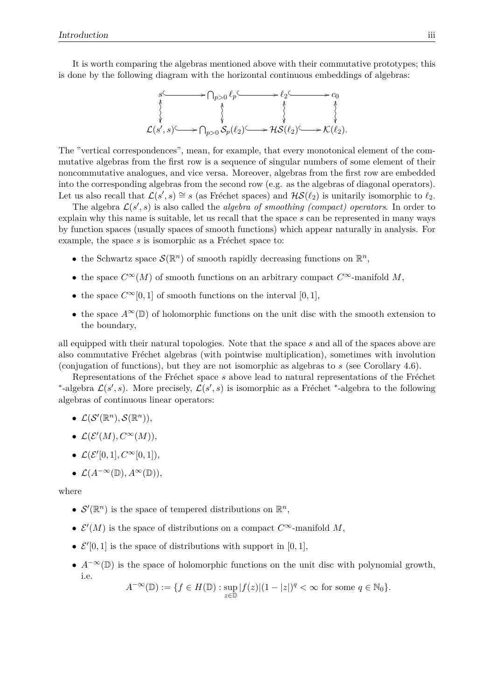It is worth comparing the algebras mentioned above with their commutative prototypes; this is done by the following diagram with the horizontal continuous embeddings of algebras:



The "vertical correspondences", mean, for example, that every monotonical element of the commutative algebras from the first row is a sequence of singular numbers of some element of their noncommutative analogues, and vice versa. Moreover, algebras from the first row are embedded into the corresponding algebras from the second row (e.g. as the algebras of diagonal operators). Let us also recall that  $\mathcal{L}(s', s) \cong s$  (as Fréchet spaces) and  $\mathcal{HS}(\ell_2)$  is unitarily isomorphic to  $\ell_2$ .

The algebra  $\mathcal{L}(s', s)$  is also called the *algebra of smoothing (compact) operators*. In order to explain why this name is suitable, let us recall that the space *s* can be represented in many ways by function spaces (usually spaces of smooth functions) which appear naturally in analysis. For example, the space  $s$  is isomorphic as a Fréchet space to:

- the Schwartz space  $\mathcal{S}(\mathbb{R}^n)$  of smooth rapidly decreasing functions on  $\mathbb{R}^n$ ,
- the space  $C^{\infty}(M)$  of smooth functions on an arbitrary compact  $C^{\infty}$ -manifold M,
- the space  $C^{\infty}[0, 1]$  of smooth functions on the interval  $[0, 1]$ ,
- the space  $A^{\infty}(\mathbb{D})$  of holomorphic functions on the unit disc with the smooth extension to the boundary,

all equipped with their natural topologies. Note that the space *s* and all of the spaces above are also commutative Fréchet algebras (with pointwise multiplication), sometimes with involution (conjugation of functions), but they are not isomorphic as algebras to *s* (see Corollary 4.6).

Representations of the Fréchet space *s* above lead to natural representations of the Fréchet \*-algebra  $\mathcal{L}(s', s)$ . More precisely,  $\mathcal{L}(s', s)$  is isomorphic as a Fréchet \*-algebra to the following algebras of continuous linear operators:

- $\mathcal{L}(\mathcal{S}'(\mathbb{R}^n), \mathcal{S}(\mathbb{R}^n)),$
- $\bullet$   $\mathcal{L}(\mathcal{E}'(M), C^{\infty}(M)),$
- $\mathcal{L}(\mathcal{E}^{\prime}[0,1], C^{\infty}[0,1]),$
- L(*A*−∞(D)*, A*∞(D)),

where

- $\mathcal{S}'(\mathbb{R}^n)$  is the space of tempered distributions on  $\mathbb{R}^n$ ,
- $\mathcal{E}'(M)$  is the space of distributions on a compact  $C^{\infty}$ -manifold M,
- $\mathcal{E}'[0,1]$  is the space of distributions with support in [0, 1],
- $A^{-\infty}(\mathbb{D})$  is the space of holomorphic functions on the unit disc with polynomial growth, i.e.

$$
A^{-\infty}(\mathbb{D}) := \{ f \in H(\mathbb{D}) : \sup_{z \in \mathbb{D}} |f(z)| (1 - |z|)^q < \infty \text{ for some } q \in \mathbb{N}_0 \}.
$$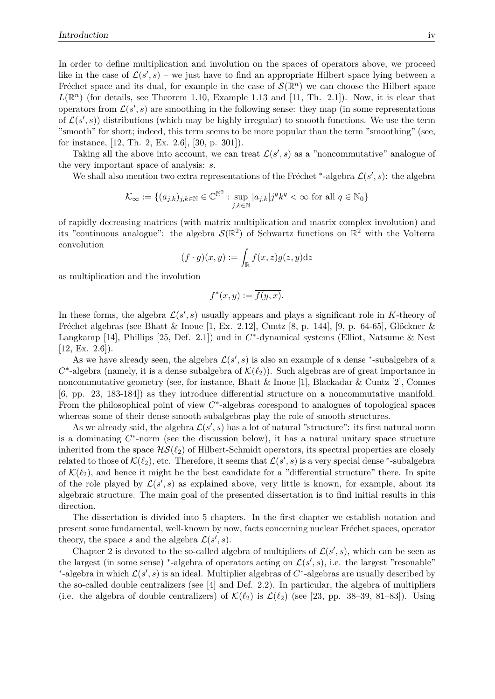In order to define multiplication and involution on the spaces of operators above, we proceed like in the case of  $\mathcal{L}(s', s)$  – we just have to find an appropriate Hilbert space lying between a Fréchet space and its dual, for example in the case of  $\mathcal{S}(\mathbb{R}^n)$  we can choose the Hilbert space  $L(\mathbb{R}^n)$  (for details, see Theorem 1.10, Example 1.13 and [11, Th. 2.1]). Now, it is clear that operators from  $\mathcal{L}(s', s)$  are smoothing in the following sense: they map (in some representations of  $\mathcal{L}(s', s)$  distributions (which may be highly irregular) to smooth functions. We use the term "smooth" for short; indeed, this term seems to be more popular than the term "smoothing" (see, for instance, [12, Th. 2, Ex. 2.6], [30, p. 301]).

Taking all the above into account, we can treat  $\mathcal{L}(s', s)$  as a "noncommutative" analogue of the very important space of analysis: *s*.

We shall also mention two extra representations of the Fréchet \*-algebra  $\mathcal{L}(s', s)$ : the algebra

$$
\mathcal{K}_{\infty} := \{ (a_{j,k})_{j,k \in \mathbb{N}} \in \mathbb{C}^{\mathbb{N}^2} : \sup_{j,k \in \mathbb{N}} |a_{j,k}| j^q k^q < \infty \text{ for all } q \in \mathbb{N}_0 \}
$$

of rapidly decreasing matrices (with matrix multiplication and matrix complex involution) and its "continuous analogue": the algebra  $\mathcal{S}(\mathbb{R}^2)$  of Schwartz functions on  $\mathbb{R}^2$  with the Volterra convolution

$$
(f \cdot g)(x, y) := \int_{\mathbb{R}} f(x, z) g(z, y) \mathrm{d}z
$$

as multiplication and the involution

$$
f^*(x, y) := \overline{f(y, x)}.
$$

In these forms, the algebra  $\mathcal{L}(s', s)$  usually appears and plays a significant role in *K*-theory of Fréchet algebras (see Bhatt & Inoue [1, Ex. 2.12], Cuntz [8, p. 144], [9, p. 64-65], Glöckner & Langkamp [14], Phillips [25, Def. 2.1]) and in  $C^*$ -dynamical systems (Elliot, Natsume & Nest  $[12, Ex. 2.6]$ .

As we have already seen, the algebra  $\mathcal{L}(s', s)$  is also an example of a dense  $*$ -subalgebra of a  $C^*$ -algebra (namely, it is a dense subalgebra of  $\mathcal{K}(\ell_2)$ ). Such algebras are of great importance in noncommutative geometry (see, for instance, Bhatt  $\&$  Inoue [1], Blackadar  $\&$  Cuntz [2], Connes [6, pp. 23, 183-184]) as they introduce differential structure on a noncommutative manifold. From the philosophical point of view *C* ∗ -algebras corespond to analogues of topological spaces whereas some of their dense smooth subalgebras play the role of smooth structures.

As we already said, the algebra  $\mathcal{L}(s', s)$  has a lot of natural "structure": its first natural norm is a dominating  $C^*$ -norm (see the discussion below), it has a natural unitary space structure inherited from the space  $HS(\ell_2)$  of Hilbert-Schmidt operators, its spectral properties are closely related to those of  $\mathcal{K}(\ell_2)$ , etc. Therefore, it seems that  $\mathcal{L}(s', s)$  is a very special dense <sup>\*</sup>-subalgebra of  $\mathcal{K}(\ell_2)$ , and hence it might be the best candidate for a "differential structure" there. In spite of the role played by  $\mathcal{L}(s', s)$  as explained above, very little is known, for example, about its algebraic structure. The main goal of the presented dissertation is to find initial results in this direction.

The dissertation is divided into 5 chapters. In the first chapter we establish notation and present some fundamental, well-known by now, facts concerning nuclear Fréchet spaces, operator theory, the space *s* and the algebra  $\mathcal{L}(s', s)$ .

Chapter 2 is devoted to the so-called algebra of multipliers of  $\mathcal{L}(s', s)$ , which can be seen as the largest (in some sense) \*-algebra of operators acting on  $\mathcal{L}(s', s)$ , i.e. the largest "resonable" <sup>\*</sup>-algebra in which  $\mathcal{L}(s', s)$  is an ideal. Multiplier algebras of *C*<sup>\*</sup>-algebras are usually described by the so-called double centralizers (see [4] and Def. 2.2). In particular, the algebra of multipliers (i.e. the algebra of double centralizers) of  $\mathcal{K}(\ell_2)$  is  $\mathcal{L}(\ell_2)$  (see [23, pp. 38–39, 81–83]). Using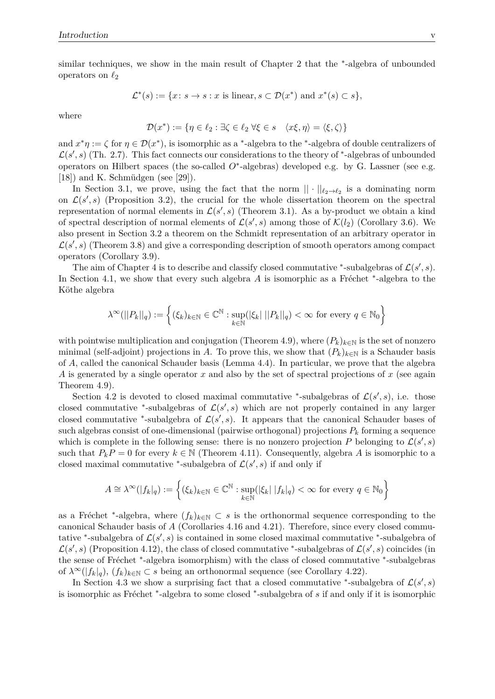similar techniques, we show in the main result of Chapter 2 that the <sup>\*</sup>-algebra of unbounded operators on  $\ell_2$ 

$$
\mathcal{L}^*(s) := \{ x \colon s \to s : x \text{ is linear}, s \subset \mathcal{D}(x^*) \text{ and } x^*(s) \subset s \},
$$

where

$$
\mathcal{D}(x^*) := \{ \eta \in \ell_2 : \exists \zeta \in \ell_2 \; \forall \xi \in s \quad \langle x\xi, \eta \rangle = \langle \xi, \zeta \rangle \}
$$

and  $x^*\eta := \zeta$  for  $\eta \in \mathcal{D}(x^*)$ , is isomorphic as a <sup>\*</sup>-algebra to the <sup>\*</sup>-algebra of double centralizers of  $\mathcal{L}(s',s)$  (Th. 2.7). This fact connects our considerations to the theory of  $*$ -algebras of unbounded operators on Hilbert spaces (the so-called *O*<sup>∗</sup> -algebras) developed e.g. by G. Lassner (see e.g. [18]) and K. Schmüdgen (see [29]).

In Section 3.1, we prove, using the fact that the norm  $|| \cdot ||_{\ell_2 \to \ell_2}$  is a dominating norm on  $\mathcal{L}(s', s)$  (Proposition 3.2), the crucial for the whole dissertation theorem on the spectral representation of normal elements in  $\mathcal{L}(s', s)$  (Theorem 3.1). As a by-product we obtain a kind of spectral description of normal elements of  $\mathcal{L}(s', s)$  among those of  $\mathcal{K}(l_2)$  (Corollary 3.6). We also present in Section 3.2 a theorem on the Schmidt representation of an arbitrary operator in  $\mathcal{L}(s',s)$  (Theorem 3.8) and give a corresponding description of smooth operators among compact operators (Corollary 3.9).

The aim of Chapter 4 is to describe and classify closed commutative \*-subalgebras of  $\mathcal{L}(s', s)$ . In Section 4.1, we show that every such algebra A is isomorphic as a Fréchet <sup>\*</sup>-algebra to the Köthe algebra

$$
\lambda^{\infty}(||P_k||_q) := \left\{ (\xi_k)_{k \in \mathbb{N}} \in \mathbb{C}^{\mathbb{N}} : \sup_{k \in \mathbb{N}} (|\xi_k| ||P_k||_q) < \infty \text{ for every } q \in \mathbb{N}_0 \right\}
$$

with pointwise multiplication and conjugation (Theorem 4.9), where  $(P_k)_{k\in\mathbb{N}}$  is the set of nonzero minimal (self-adjoint) projections in *A*. To prove this, we show that  $(P_k)_{k\in\mathbb{N}}$  is a Schauder basis of *A*, called the canonical Schauder basis (Lemma 4.4). In particular, we prove that the algebra *A* is generated by a single operator *x* and also by the set of spectral projections of *x* (see again Theorem 4.9).

Section 4.2 is devoted to closed maximal commutative <sup>\*</sup>-subalgebras of  $\mathcal{L}(s', s)$ , i.e. those closed commutative <sup>\*</sup>-subalgebras of  $\mathcal{L}(s', s)$  which are not properly contained in any larger closed commutative <sup>\*</sup>-subalgebra of  $\mathcal{L}(s', s)$ . It appears that the canonical Schauder bases of such algebras consist of one-dimensional (pairwise orthogonal) projections  $P_k$  forming a sequence which is complete in the following sense: there is no nonzero projection P belonging to  $\mathcal{L}(s', s)$ such that  $P_k P = 0$  for every  $k \in \mathbb{N}$  (Theorem 4.11). Consequently, algebra A is isomorphic to a closed maximal commutative <sup>\*</sup>-subalgebra of  $\mathcal{L}(s', s)$  if and only if

$$
A \cong \lambda^{\infty}(|f_k|_q) := \left\{ (\xi_k)_{k \in \mathbb{N}} \in \mathbb{C}^{\mathbb{N}} : \sup_{k \in \mathbb{N}} (|\xi_k| \, |f_k|_q) < \infty \text{ for every } q \in \mathbb{N}_0 \right\}
$$

as a Fréchet <sup>\*</sup>-algebra, where  $(f_k)_{k\in\mathbb{N}}\subset s$  is the orthonormal sequence corresponding to the canonical Schauder basis of *A* (Corollaries 4.16 and 4.21). Therefore, since every closed commutative <sup>\*</sup>-subalgebra of  $\mathcal{L}(s', s)$  is contained in some closed maximal commutative <sup>\*</sup>-subalgebra of  $\mathcal{L}(s',s)$  (Proposition 4.12), the class of closed commutative <sup>\*</sup>-subalgebras of  $\mathcal{L}(s',s)$  coincides (in the sense of Fréchet <sup>\*</sup>-algebra isomorphism) with the class of closed commutative <sup>\*</sup>-subalgebras of  $\lambda^{\infty}(|f_k|_q)$ ,  $(f_k)_{k\in\mathbb{N}}\subset s$  being an orthonormal sequence (see Corollary 4.22).

In Section 4.3 we show a surprising fact that a closed commutative <sup>\*</sup>-subalgebra of  $\mathcal{L}(s', s)$ is isomorphic as Fréchet <sup>\*</sup>-algebra to some closed <sup>\*</sup>-subalgebra of *s* if and only if it is isomorphic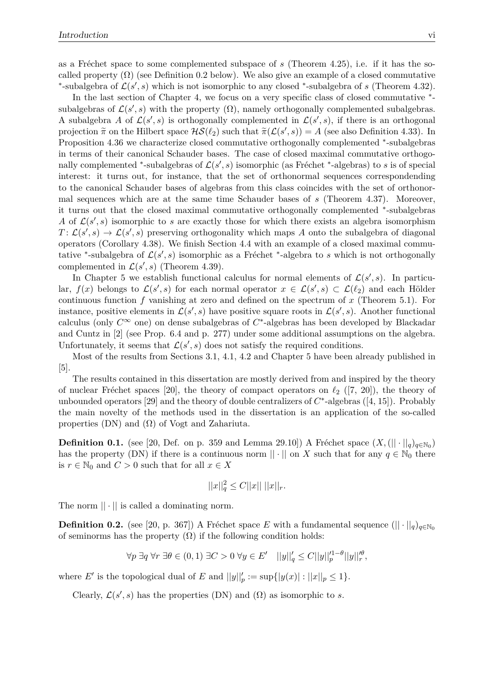as a Fréchet space to some complemented subspace of  $s$  (Theorem 4.25), i.e. if it has the socalled property  $(\Omega)$  (see Definition 0.2 below). We also give an example of a closed commutative \*-subalgebra of  $\mathcal{L}(s', s)$  which is not isomorphic to any closed \*-subalgebra of *s* (Theorem 4.32).

In the last section of Chapter 4, we focus on a very specific class of closed commutative  $*$ subalgebras of  $\mathcal{L}(s', s)$  with the property  $(\Omega)$ , namely orthogonally complemented subalgebras. A subalgebra A of  $\mathcal{L}(s', s)$  is orthogonally complemented in  $\mathcal{L}(s', s)$ , if there is an orthogonal projection  $\tilde{\pi}$  on the Hilbert space  $\mathcal{HS}(\ell_2)$  such that  $\tilde{\pi}(\mathcal{L}(s', s)) = A$  (see also Definition 4.33). In Proposition 4.36 we characterize closed commutative orthogonally complemented <sup>\*</sup>-subalgebras in terms of their canonical Schauder bases. The case of closed maximal commutative orthogonally complemented <sup>\*</sup>-subalgebras of  $\mathcal{L}(s', s)$  isomorphic (as Fréchet <sup>\*</sup>-algebras) to *s* is of special interest: it turns out, for instance, that the set of orthonormal sequences correspondending to the canonical Schauder bases of algebras from this class coincides with the set of orthonormal sequences which are at the same time Schauder bases of *s* (Theorem 4.37). Moreover, it turns out that the closed maximal commutative orthogonally complemented <sup>∗</sup> -subalgebras *A* of  $\mathcal{L}(s', s)$  isomorphic to *s* are exactly those for which there exists an algebra isomorphism  $T: \mathcal{L}(s', s) \to \mathcal{L}(s', s)$  preserving orthogonality which maps *A* onto the subalgebra of diagonal operators (Corollary 4.38). We finish Section 4.4 with an example of a closed maximal commutative <sup>\*</sup>-subalgebra of  $\mathcal{L}(s', s)$  isomorphic as a Fréchet <sup>\*</sup>-algebra to *s* which is not orthogonally complemented in  $\mathcal{L}(s', s)$  (Theorem 4.39).

In Chapter 5 we establish functional calculus for normal elements of  $\mathcal{L}(s', s)$ . In particular,  $f(x)$  belongs to  $\mathcal{L}(s', s)$  for each normal operator  $x \in \mathcal{L}(s', s) \subset \mathcal{L}(\ell_2)$  and each Hölder continuous function *f* vanishing at zero and defined on the spectrum of *x* (Theorem 5.1). For instance, positive elements in  $\mathcal{L}(s',s)$  have positive square roots in  $\mathcal{L}(s',s)$ . Another functional calculus (only *C*<sup>∞</sup> one) on dense subalgebras of *C* ∗ -algebras has been developed by Blackadar and Cuntz in [2] (see Prop. 6.4 and p. 277) under some additional assumptions on the algebra. Unfortunately, it seems that  $\mathcal{L}(s', s)$  does not satisfy the required conditions.

Most of the results from Sections 3.1, 4.1, 4.2 and Chapter 5 have been already published in [5].

The results contained in this dissertation are mostly derived from and inspired by the theory of nuclear Fréchet spaces [20], the theory of compact operators on  $\ell_2$  ([7, 20]), the theory of unbounded operators [29] and the theory of double centralizers of  $C^*$ -algebras ([4, 15]). Probably the main novelty of the methods used in the dissertation is an application of the so-called properties (DN) and  $(\Omega)$  of Vogt and Zahariuta.

**Definition 0.1.** (see [20, Def. on p. 359 and Lemma 29.10]) A Fréchet space  $(X, (|| \cdot ||_q)_{q \in \mathbb{N}_0})$ has the property (DN) if there is a continuous norm  $\|\cdot\|$  on *X* such that for any  $q \in \mathbb{N}_0$  there is  $r \in \mathbb{N}_0$  and  $C > 0$  such that for all  $x \in X$ 

$$
||x||_q^2 \le C||x|| \ ||x||_r.
$$

The norm  $|| \cdot ||$  is called a dominating norm.

**Definition 0.2.** (see [20, p. 367]) A Fréchet space *E* with a fundamental sequence  $(|| \cdot ||_q)_{q \in \mathbb{N}_0}$ of seminorms has the property  $(\Omega)$  if the following condition holds:

$$
\forall p \ \exists q \ \forall r \ \exists \theta \in (0,1) \ \exists C > 0 \ \forall y \in E' \quad ||y||_q' \leq C ||y||_p'^{1-\theta} ||y||_r'^{\theta},
$$

where *E'* is the topological dual of *E* and  $||y||_p' := \sup\{|y(x)| : ||x||_p \leq 1\}.$ 

Clearly,  $\mathcal{L}(s', s)$  has the properties (DN) and ( $\Omega$ ) as isomorphic to *s*.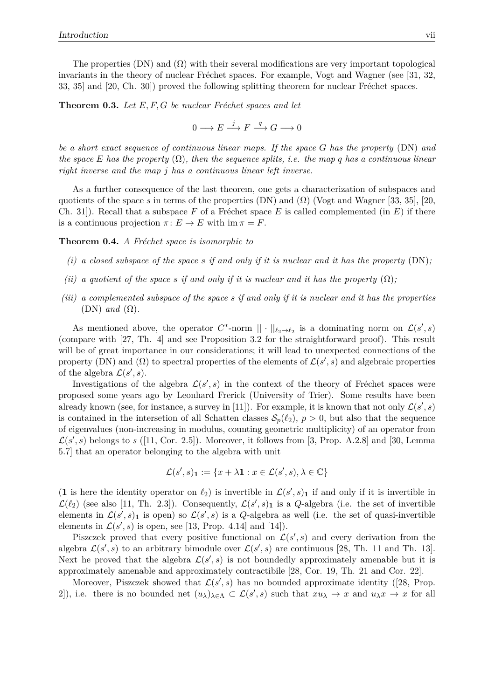The properties (DN) and  $(\Omega)$  with their several modifications are very important topological invariants in the theory of nuclear Fréchet spaces. For example, Vogt and Wagner (see  $[31, 32,$ 33, 35] and  $[20, Ch. 30]$  proved the following splitting theorem for nuclear Fréchet spaces.

**Theorem 0.3.** Let E, F, G be nuclear Fréchet spaces and let

$$
0\longrightarrow E\stackrel{j}{\longrightarrow}F\stackrel{q}{\longrightarrow}G\longrightarrow 0
$$

*be a short exact sequence of continuous linear maps. If the space G has the property* (DN) *and the space E has the property*  $(\Omega)$ *, then the sequence splits, i.e. the map q has a continuous linear right inverse and the map j has a continuous linear left inverse.*

As a further consequence of the last theorem, one gets a characterization of subspaces and quotients of the space *s* in terms of the properties (DN) and  $(\Omega)$  (Vogt and Wagner [33, 35], [20, Ch. 31.]. Recall that a subspace F of a Fréchet space E is called complemented (in  $E$ ) if there is a continuous projection  $\pi: E \to E$  with  $\text{im } \pi = F$ .

**Theorem 0.4.** *A Fréchet space is isomorphic to* 

- *(i) a closed subspace of the space s if and only if it is nuclear and it has the property* (DN)*;*
- *(ii)* a quotient of the space s if and only if it is nuclear and it has the property  $(\Omega)$ ;
- *(iii) a complemented subspace of the space s if and only if it is nuclear and it has the properties*  $(DN)$  *and*  $(\Omega)$ *.*

As mentioned above, the operator  $C^*$ -norm  $|| \cdot ||_{\ell_2 \to \ell_2}$  is a dominating norm on  $\mathcal{L}(s', s)$ (compare with [27, Th. 4] and see Proposition 3.2 for the straightforward proof). This result will be of great importance in our considerations; it will lead to unexpected connections of the property (DN) and ( $\Omega$ ) to spectral properties of the elements of  $\mathcal{L}(s', s)$  and algebraic properties of the algebra  $\mathcal{L}(s', s)$ .

Investigations of the algebra  $\mathcal{L}(s', s)$  in the context of the theory of Fréchet spaces were proposed some years ago by Leonhard Frerick (University of Trier). Some results have been already known (see, for instance, a survey in [11]). For example, it is known that not only  $\mathcal{L}(s', s)$ is contained in the intersetion of all Schatten classes  $S_p(\ell_2)$ ,  $p > 0$ , but also that the sequence of eigenvalues (non-increasing in modulus, counting geometric multiplicity) of an operator from  $\mathcal{L}(s',s)$  belongs to  $s$  ([11, Cor. 2.5]). Moreover, it follows from [3, Prop. A.2.8] and [30, Lemma 5.7] that an operator belonging to the algebra with unit

$$
\mathcal{L}(s',s)_{\mathbf{1}} := \{x + \lambda \mathbf{1} : x \in \mathcal{L}(s',s), \lambda \in \mathbb{C}\}
$$

(1 is here the identity operator on  $\ell_2$ ) is invertible in  $\mathcal{L}(s', s)$ <sub>1</sub> if and only if it is invertible in  $\mathcal{L}(\ell_2)$  (see also [11, Th. 2.3]). Consequently,  $\mathcal{L}(s', s)$  is a *Q*-algebra (i.e. the set of invertible elements in  $\mathcal{L}(s', s)$  is open) so  $\mathcal{L}(s', s)$  is a *Q*-algebra as well (i.e. the set of quasi-invertible elements in  $\mathcal{L}(s', s)$  is open, see [13, Prop. 4.14] and [14]).

Piszczek proved that every positive functional on  $\mathcal{L}(s',s)$  and every derivation from the algebra  $\mathcal{L}(s', s)$  to an arbitrary bimodule over  $\mathcal{L}(s', s)$  are continuous [28, Th. 11 and Th. 13]. Next he proved that the algebra  $\mathcal{L}(s',s)$  is not boundedly approximately amenable but it is approximately amenable and approximately contractibile [28, Cor. 19, Th. 21 and Cor. 22].

Moreover, Piszczek showed that  $\mathcal{L}(s', s)$  has no bounded approximate identity ([28, Prop. 2]), i.e. there is no bounded net  $(u_\lambda)_{\lambda \in \Lambda} \subset \mathcal{L}(s', s)$  such that  $x u_\lambda \to x$  and  $u_\lambda x \to x$  for all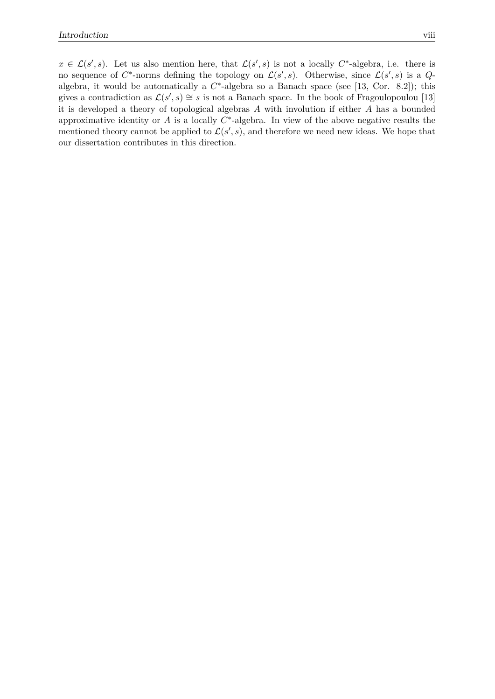$x \in \mathcal{L}(s', s)$ . Let us also mention here, that  $\mathcal{L}(s', s)$  is not a locally  $C^*$ -algebra, i.e. there is no sequence of  $C^*$ -norms defining the topology on  $\mathcal{L}(s', s)$ . Otherwise, since  $\mathcal{L}(s', s)$  is a  $Q$ algebra, it would be automatically a  $C^*$ -algebra so a Banach space (see [13, Cor. 8.2]); this gives a contradiction as  $\mathcal{L}(s', s) \cong s$  is not a Banach space. In the book of Fragoulopoulou [13] it is developed a theory of topological algebras *A* with involution if either *A* has a bounded approximative identity or  $A$  is a locally  $C^*$ -algebra. In view of the above negative results the mentioned theory cannot be applied to  $\mathcal{L}(s', s)$ , and therefore we need new ideas. We hope that our dissertation contributes in this direction.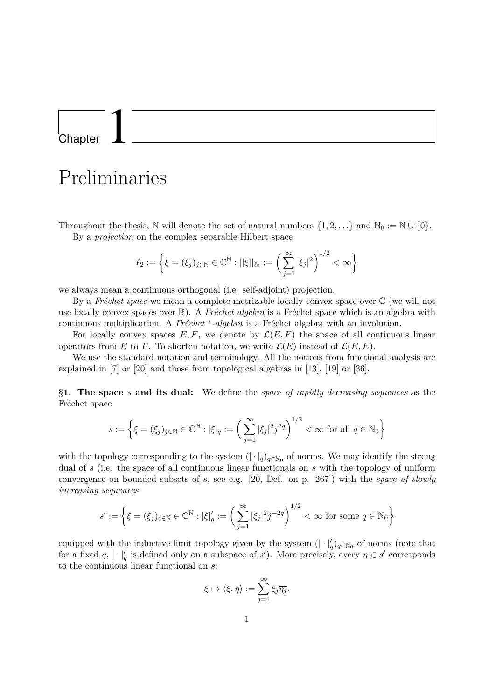Chapter 1

### Preliminaries

Throughout the thesis, N will denote the set of natural numbers  $\{1, 2, \ldots\}$  and  $\mathbb{N}_0 := \mathbb{N} \cup \{0\}$ . By a *projection* on the complex separable Hilbert space

$$
\ell_2 := \left\{ \xi = (\xi_j)_{j \in \mathbb{N}} \in \mathbb{C}^{\mathbb{N}} : ||\xi||_{\ell_2} := \left( \sum_{j=1}^{\infty} |\xi_j|^2 \right)^{1/2} < \infty \right\}
$$

we always mean a continuous orthogonal (i.e. self-adjoint) projection.

By a *Fréchet space* we mean a complete metrizable locally convex space over  $\mathbb C$  (we will not use locally convex spaces over  $\mathbb{R}$ ). A *Fréchet algebra* is a Fréchet space which is an algebra with continuous multiplication. A *Fréchet* <sup>∗</sup>-algebra is a Fréchet algebra with an involution.

For locally convex spaces  $E, F$ , we denote by  $\mathcal{L}(E, F)$  the space of all continuous linear operators from *E* to *F*. To shorten notation, we write  $\mathcal{L}(E)$  instead of  $\mathcal{L}(E, E)$ .

We use the standard notation and terminology. All the notions from functional analysis are explained in [7] or [20] and those from topological algebras in [13], [19] or [36].

**§1. The space** *s* **and its dual:** We define the *space of rapidly decreasing sequences* as the Fréchet space

$$
s := \left\{ \xi = (\xi_j)_{j \in \mathbb{N}} \in \mathbb{C}^{\mathbb{N}} : |\xi|_q := \left( \sum_{j=1}^{\infty} |\xi_j|^2 j^{2q} \right)^{1/2} < \infty \text{ for all } q \in \mathbb{N}_0 \right\}
$$

with the topology corresponding to the system  $(| \cdot |_q)_{q \in \mathbb{N}_0}$  of norms. We may identify the strong dual of *s* (i.e. the space of all continuous linear functionals on *s* with the topology of uniform convergence on bounded subsets of *s*, see e.g. [20, Def. on p. 267]) with the *space of slowly increasing sequences*

$$
s' := \left\{ \xi = (\xi_j)_{j \in \mathbb{N}} \in \mathbb{C}^{\mathbb{N}} : |\xi|_q' := \left( \sum_{j=1}^{\infty} |\xi_j|^2 j^{-2q} \right)^{1/2} < \infty \text{ for some } q \in \mathbb{N}_0 \right\}
$$

equipped with the inductive limit topology given by the system  $(| \cdot |_q')_{q \in \mathbb{N}_0}$  of norms (note that for a fixed  $q$ ,  $|\cdot|_q'$  is defined only on a subspace of *s*'). More precisely, every  $\eta \in s'$  corresponds to the continuous linear functional on *s*:

$$
\xi \mapsto \langle \xi, \eta \rangle := \sum_{j=1}^{\infty} \xi_j \overline{\eta_j}.
$$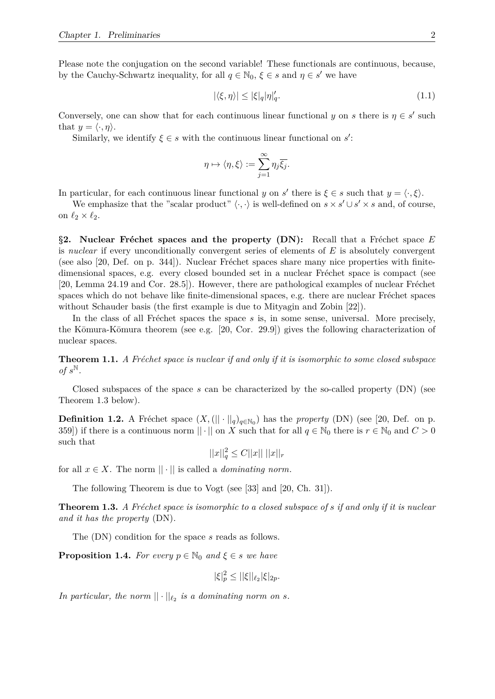Please note the conjugation on the second variable! These functionals are continuous, because, by the Cauchy-Schwartz inequality, for all  $q \in \mathbb{N}_0$ ,  $\xi \in s$  and  $\eta \in s'$  we have

$$
|\langle \xi, \eta \rangle| \le |\xi|_q |\eta|_q'. \tag{1.1}
$$

Conversely, one can show that for each continuous linear functional *y* on *s* there is  $\eta \in s'$  such that  $y = \langle \cdot, \eta \rangle$ .

Similarly, we identify  $\xi \in s$  with the continuous linear functional on  $s'$ :

$$
\eta \mapsto \langle \eta, \xi \rangle := \sum_{j=1}^{\infty} \eta_j \overline{\xi_j}.
$$

In particular, for each continuous linear functional *y* on *s'* there is  $\xi \in s$  such that  $y = \langle \cdot, \xi \rangle$ .

We emphasize that the "scalar product"  $\langle \cdot, \cdot \rangle$  is well-defined on  $s \times s' \cup s' \times s$  and, of course, on  $\ell_2 \times \ell_2$ .

**§2.** Nuclear Fréchet spaces and the property (DN): Recall that a Fréchet space E is *nuclear* if every unconditionally convergent series of elements of *E* is absolutely convergent (see also  $[20, \text{Def.}$  on p. 344). Nuclear Fréchet spaces share many nice properties with finitedimensional spaces, e.g. every closed bounded set in a nuclear Fréchet space is compact (see [20, Lemma  $24.19$  and Cor.  $28.5$ ]). However, there are pathological examples of nuclear Fréchet spaces which do not behave like finite-dimensional spaces, e.g. there are nuclear Fréchet spaces without Schauder basis (the first example is due to Mityagin and Zobin [22]).

In the class of all Fréchet spaces the space *s* is, in some sense, universal. More precisely, the Kōmura-Kōmura theorem (see e.g. [20, Cor. 29.9]) gives the following characterization of nuclear spaces.

**Theorem 1.1.** *A Fréchet space is nuclear if and only if it is isomorphic to some closed subspace*  $of$   $s^{\mathbb{N}}$ .

Closed subspaces of the space *s* can be characterized by the so-called property (DN) (see Theorem 1.3 below).

**Definition 1.2.** A Fréchet space  $(X, (|| \cdot ||_q)_{q \in \mathbb{N}_0})$  has the *property* (DN) (see [20, Def. on p. 359]) if there is a continuous norm  $|| \cdot ||$  on *X* such that for all  $q \in \mathbb{N}_0$  there is  $r \in \mathbb{N}_0$  and  $C > 0$ such that

$$
||x||_q^2 \le C||x|| \; ||x||_r
$$

for all  $x \in X$ . The norm  $|| \cdot ||$  is called a *dominating norm*.

The following Theorem is due to Vogt (see [33] and [20, Ch. 31]).

**Theorem 1.3.** *A Fréchet space is isomorphic to a closed subspace of s if and only if it is nuclear and it has the property* (DN)*.*

The (DN) condition for the space *s* reads as follows.

**Proposition 1.4.** *For every*  $p \in \mathbb{N}_0$  *and*  $\xi \in s$  *we have* 

$$
|\xi|_p^2 \le ||\xi||_{\ell_2} |\xi|_{2p}.
$$

In particular, the norm  $|| \cdot ||_{\ell_2}$  is a dominating norm on  $s$ .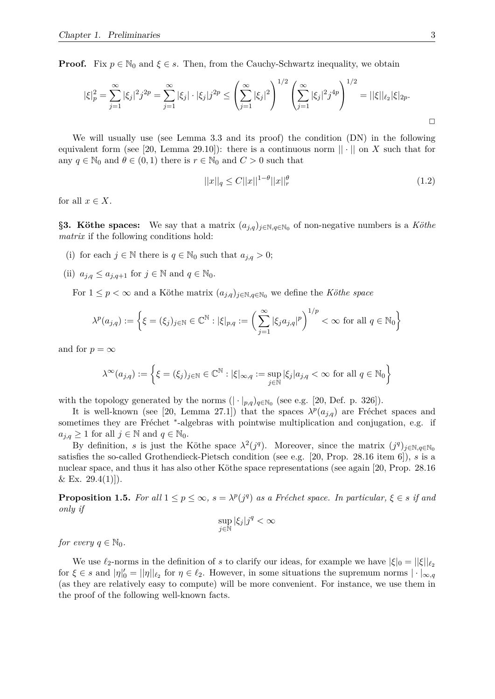**Proof.** Fix  $p \in \mathbb{N}_0$  and  $\xi \in s$ . Then, from the Cauchy-Schwartz inequality, we obtain

$$
|\xi|_p^2 = \sum_{j=1}^{\infty} |\xi_j|^2 j^{2p} = \sum_{j=1}^{\infty} |\xi_j| \cdot |\xi_j| j^{2p} \le \left(\sum_{j=1}^{\infty} |\xi_j|^2\right)^{1/2} \left(\sum_{j=1}^{\infty} |\xi_j|^2 j^{4p}\right)^{1/2} = ||\xi||_{\ell_2} |\xi|_{2p}.
$$

We will usually use (see Lemma 3.3 and its proof) the condition (DN) in the following equivalent form (see [20, Lemma 29.10]): there is a continuous norm  $|| \cdot ||$  on *X* such that for any  $q \in \mathbb{N}_0$  and  $\theta \in (0,1)$  there is  $r \in \mathbb{N}_0$  and  $C > 0$  such that

$$
||x||_q \le C||x||^{1-\theta}||x||_r^{\theta}
$$
\n(1.2)

for all  $x \in X$ .

**§3. Köthe spaces:** We say that a matrix  $(a_{j,q})_{j\in\mathbb{N},q\in\mathbb{N}_0}$  of non-negative numbers is a *Köthe matrix* if the following conditions hold:

- (i) for each  $j \in \mathbb{N}$  there is  $q \in \mathbb{N}_0$  such that  $a_{j,q} > 0$ ;
- (ii)  $a_{j,q} \leq a_{j,q+1}$  for  $j \in \mathbb{N}$  and  $q \in \mathbb{N}_0$ .

For  $1 \leq p < \infty$  and a Köthe matrix  $(a_{j,q})_{j \in \mathbb{N}, q \in \mathbb{N}_0}$  we define the *Köthe space* 

$$
\lambda^p(a_{j,q}) := \left\{ \xi = (\xi_j)_{j \in \mathbb{N}} \in \mathbb{C}^{\mathbb{N}} : |\xi|_{p,q} := \left( \sum_{j=1}^{\infty} |\xi_j a_{j,q}|^p \right)^{1/p} < \infty \text{ for all } q \in \mathbb{N}_0 \right\}
$$

and for  $p = \infty$ 

$$
\lambda^{\infty}(a_{j,q}) := \left\{ \xi = (\xi_j)_{j \in \mathbb{N}} \in \mathbb{C}^{\mathbb{N}} : |\xi|_{\infty,q} := \sup_{j \in \mathbb{N}} |\xi_j| a_{j,q} < \infty \text{ for all } q \in \mathbb{N}_0 \right\}
$$

with the topology generated by the norms  $(|\cdot|_{p,q})_{q \in \mathbb{N}_0}$  (see e.g. [20, Def. p. 326]).

It is well-known (see [20, Lemma 27.1]) that the spaces  $\lambda^p(a_{j,q})$  are Fréchet spaces and sometimes they are Fréchet <sup>\*</sup>-algebras with pointwise multiplication and conjugation, e.g. if  $a_{i,q} \geq 1$  for all  $j \in \mathbb{N}$  and  $q \in \mathbb{N}_0$ .

By definition, *s* is just the Köthe space  $\lambda^2(j^q)$ . Moreover, since the matrix  $(j^q)_{j \in \mathbb{N}, q \in \mathbb{N}_0}$ satisfies the so-called Grothendieck-Pietsch condition (see e.g. [20, Prop. 28.16 item 6]), *s* is a nuclear space, and thus it has also other Köthe space representations (see again [20, Prop. 28.16]  $& \& \text{Ex. } 29.4(1)]$ .

**Proposition 1.5.** For all  $1 \leq p \leq \infty$ ,  $s = \lambda^p(j^q)$  as a Fréchet space. In particular,  $\xi \in s$  if and *only if*

$$
\sup_{j\in\mathbb{N}}|\xi_j|j^q<\infty
$$

*for every*  $q \in \mathbb{N}_0$ *.* 

We use  $\ell_2$ -norms in the definition of *s* to clarify our ideas, for example we have  $|\xi|_0 = ||\xi||_{\ell_2}$ for  $\xi \in s$  and  $|\eta|_0' = ||\eta||_{\ell_2}$  for  $\eta \in \ell_2$ . However, in some situations the supremum norms  $|\cdot|_{\infty,q}$ (as they are relatively easy to compute) will be more convenient. For instance, we use them in the proof of the following well-known facts.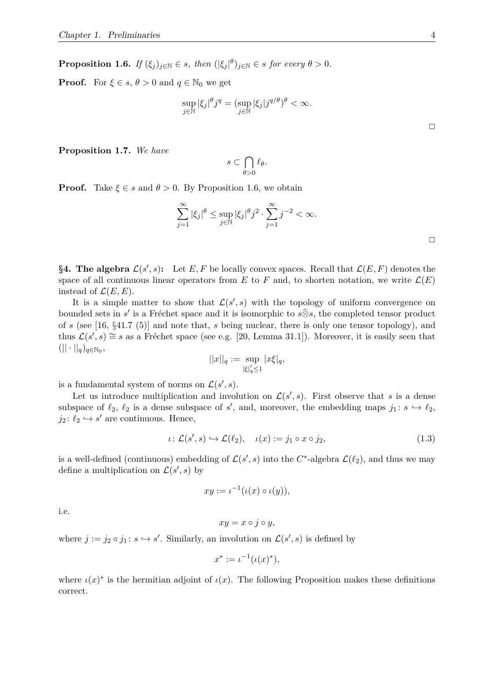**Proposition 1.6.** *If*  $(\xi_j)_{j \in \mathbb{N}} \in s$ , then  $(|\xi_j|^{\theta})_{j \in \mathbb{N}} \in s$  for every  $\theta > 0$ .

**Proof.** For  $\xi \in s$ ,  $\theta > 0$  and  $q \in \mathbb{N}_0$  we get

$$
\sup_{j \in \mathbb{N}} |\xi_j|^\theta j^q = (\sup_{j \in \mathbb{N}} |\xi_j| j^{q/\theta})^\theta < \infty.
$$

**Proposition 1.7.** *We have*

$$
s\subset \bigcap_{\theta>0} \ell_{\theta}.
$$

**Proof.** Take  $\xi \in s$  and  $\theta > 0$ . By Proposition 1.6, we obtain

$$
\sum_{j=1}^{\infty} |\xi_j|^{\theta} \le \sup_{j \in \mathbb{N}} |\xi_j|^{\theta} j^2 \cdot \sum_{j=1}^{\infty} j^{-2} < \infty.
$$

**§4. The algebra**  $\mathcal{L}(s', s)$ : Let  $E, F$  be locally convex spaces. Recall that  $\mathcal{L}(E, F)$  denotes the space of all continuous linear operators from *E* to *F* and, to shorten notation, we write  $\mathcal{L}(E)$ instead of  $\mathcal{L}(E, E)$ .

It is a simple matter to show that  $\mathcal{L}(s', s)$  with the topology of uniform convergence on bounded sets in *s'* is a Fréchet space and it is isomorphic to  $s\widehat{\otimes}s$ , the completed tensor product of *s* (see [16, §41.7 (5)] and note that, *s* being nuclear, there is only one tensor topology), and thus  $\mathcal{L}(s',s) \cong s$  as a Fréchet space (see e.g. [20, Lemma 31.1]). Moreover, it is easily seen that  $(|| \cdot ||_q)_{q \in \mathbb{N}_0},$ 

$$
||x||_q := \sup_{|\xi|_q' \le 1} |x\xi|_q,
$$

is a fundamental system of norms on  $\mathcal{L}(s', s)$ .

Let us introduce multiplication and involution on  $\mathcal{L}(s', s)$ . First observe that *s* is a dense subspace of  $\ell_2$ ,  $\ell_2$  is a dense subspace of *s'*, and, moreover, the embedding maps  $j_1 : s \hookrightarrow \ell_2$ ,  $j_2: \ell_2 \hookrightarrow s'$  are continuous. Hence,

$$
\iota \colon \mathcal{L}(s', s) \hookrightarrow \mathcal{L}(\ell_2), \quad \iota(x) := j_1 \circ x \circ j_2,\tag{1.3}
$$

is a well-defined (continuous) embedding of  $\mathcal{L}(s', s)$  into the  $C^*$ -algebra  $\mathcal{L}(\ell_2)$ , and thus we may define a multiplication on  $\mathcal{L}(s', s)$  by

$$
xy := \iota^{-1}(\iota(x) \circ \iota(y)),
$$

i.e.

$$
xy = x \circ j \circ y,
$$

where  $j := j_2 \circ j_1 : s \hookrightarrow s'$ . Similarly, an involution on  $\mathcal{L}(s', s)$  is defined by

$$
x^* := \iota^{-1}(\iota(x)^*),
$$

where  $\iota(x)^*$  is the hermitian adjoint of  $\iota(x)$ . The following Proposition makes these definitions correct.

 $\Box$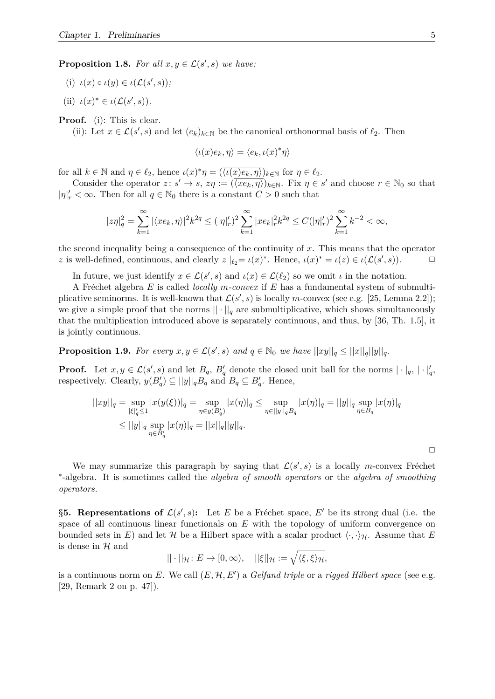**Proposition 1.8.** For all  $x, y \in \mathcal{L}(s', s)$  we have:

- (i)  $\iota(x) \circ \iota(y) \in \iota(\mathcal{L}(s', s))$ ;
- (ii)  $\iota(x)^* \in \iota(\mathcal{L}(s', s)).$

**Proof.** (i): This is clear.

(ii): Let  $x \in \mathcal{L}(s', s)$  and let  $(e_k)_{k \in \mathbb{N}}$  be the canonical orthonormal basis of  $\ell_2$ . Then

$$
\langle \iota(x)e_k, \eta \rangle = \langle e_k, \iota(x)^* \eta \rangle
$$

for all  $k \in \mathbb{N}$  and  $\eta \in \ell_2$ , hence  $\iota(x)^* \eta = (\overline{\langle \iota(x)e_k, \eta \rangle})_{k \in \mathbb{N}}$  for  $\eta \in \ell_2$ .

Consider the operator  $z: s' \to s$ ,  $z\eta := (\langle x e_k, \eta \rangle)_{k \in \mathbb{N}}$ . Fix  $\eta \in s'$  and choose  $r \in \mathbb{N}_0$  so that  $|\eta|'_r < \infty$ . Then for all  $q \in \mathbb{N}_0$  there is a constant  $C > 0$  such that

$$
|z\eta|_q^2=\sum_{k=1}^{\infty}|\langle xe_k,\eta\rangle|^2 k^{2q}\leq (|\eta|_r')^2\sum_{k=1}^{\infty}|xe_k|_r^2k^{2q}\leq C(|\eta|_r')^2\sum_{k=1}^{\infty}k^{-2}<\infty,
$$

the second inequality being a consequence of the continuity of *x*. This means that the operator *z* is well-defined, continuous, and clearly  $z \mid_{\ell_2} = \iota(x)^*$ . Hence,  $\iota(x)^* = \iota(z) \in \iota(\mathcal{L}(s', s))$ .

In future, we just identify  $x \in \mathcal{L}(s', s)$  and  $\iota(x) \in \mathcal{L}(\ell_2)$  so we omit  $\iota$  in the notation.

A Fr´echet algebra *E* is called *locally m-convex* if *E* has a fundamental system of submultiplicative seminorms. It is well-known that  $\mathcal{L}(s', s)$  is locally *m*-convex (see e.g. [25, Lemma 2.2]); we give a simple proof that the norms  $|| \cdot ||_q$  are submultiplicative, which shows simultaneously that the multiplication introduced above is separately continuous, and thus, by [36, Th. 1.5], it is jointly continuous.

**Proposition 1.9.** For every  $x, y \in \mathcal{L}(s', s)$  and  $q \in \mathbb{N}_0$  we have  $||xy||_q \leq ||x||_q||y||_q$ .

**Proof.** Let  $x, y \in \mathcal{L}(s', s)$  and let  $B_q$ ,  $B_q'$  denote the closed unit ball for the norms  $|\cdot|_q, |\cdot|_q'$ respectively. Clearly,  $y(B_q') \subseteq ||y||_qB_q$  and  $B_q \subseteq B_q'$ . Hence,

$$
||xy||_q = \sup_{|\xi|_q' \le 1} |x(y(\xi))|_q = \sup_{\eta \in y(B_q)} |x(\eta)|_q \le \sup_{\eta \in ||y||_q B_q} |x(\eta)|_q = ||y||_q \sup_{\eta \in B_q} |x(\eta)|_q
$$
  

$$
\le ||y||_q \sup_{\eta \in B_q'} |x(\eta)|_q = ||x||_q ||y||_q.
$$

We may summarize this paragraph by saying that  $\mathcal{L}(s', s)$  is a locally *m*-convex Fréchet ∗ -algebra. It is sometimes called the *algebra of smooth operators* or the *algebra of smoothing operators*.

**§5. Representations of**  $\mathcal{L}(s', s)$ **:** Let *E* be a Fréchet space, *E'* be its strong dual (i.e. the space of all continuous linear functionals on *E* with the topology of uniform convergence on bounded sets in *E*) and let *H* be a Hilbert space with a scalar product  $\langle \cdot, \cdot \rangle_{\mathcal{H}}$ . Assume that *E* is dense in  $\mathcal H$  and

$$
||\cdot||_{\mathcal{H}}\colon E\to [0,\infty),\quad ||\xi||_{\mathcal{H}}:=\sqrt{\langle \xi,\xi\rangle_{\mathcal{H}}},
$$

is a continuous norm on  $E$ . We call  $(E, \mathcal{H}, E')$  a *Gelfand triple* or a *rigged Hilbert space* (see e.g. [29, Remark 2 on p. 47]).

 $\Box$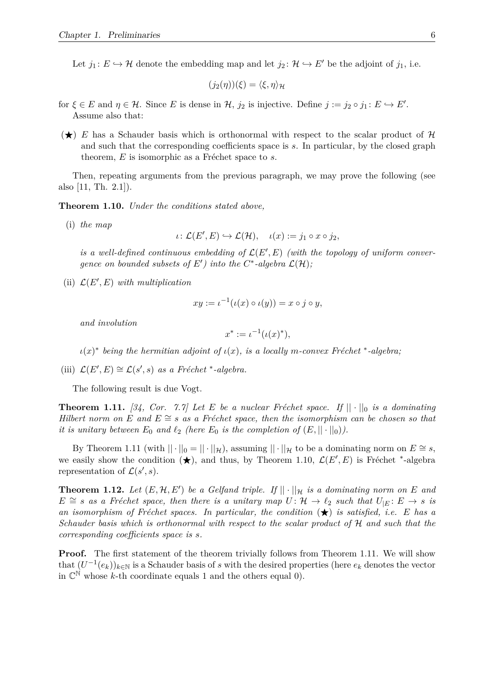Let  $j_1: E \hookrightarrow \mathcal{H}$  denote the embedding map and let  $j_2: \mathcal{H} \hookrightarrow E'$  be the adjoint of  $j_1$ , i.e.

$$
(j_2(\eta))(\xi) = \langle \xi, \eta \rangle_{\mathcal{H}}
$$

- for  $\xi \in E$  and  $\eta \in \mathcal{H}$ . Since *E* is dense in  $\mathcal{H}$ ,  $j_2$  is injective. Define  $j := j_2 \circ j_1 : E \hookrightarrow E'$ . Assume also that:
- $(\star)$  *E* has a Schauder basis which is orthonormal with respect to the scalar product of H and such that the corresponding coefficients space is *s*. In particular, by the closed graph theorem,  $E$  is isomorphic as a Fréchet space to  $s$ .

Then, repeating arguments from the previous paragraph, we may prove the following (see also [11, Th. 2.1]).

**Theorem 1.10.** *Under the conditions stated above,*

(i) *the map*

$$
\iota\colon \mathcal{L}(E',E)\hookrightarrow \mathcal{L}(\mathcal{H}),\quad \iota(x):=j_1\circ x\circ j_2,
$$

is a well-defined continuous embedding of  $\mathcal{L}(E', E)$  (with the topology of uniform conver*gence on bounded subsets of*  $E'$ *) into the*  $C^*$ -algebra  $\mathcal{L}(\mathcal{H})$ *;* 

(ii)  $\mathcal{L}(E', E)$  *with multiplication* 

$$
xy := \iota^{-1}(\iota(x) \circ \iota(y)) = x \circ j \circ y,
$$

*and involution*

$$
x^* := \iota^{-1}(\iota(x)^*),
$$

 $\iota(x)$ <sup>\*</sup> being the hermitian adjoint of  $\iota(x)$ , is a locally *m*-convex Fréchet <sup>\*</sup>-algebra;

(iii)  $\mathcal{L}(E', E) \cong \mathcal{L}(s', s)$  *as a Fréchet* \*-*algebra.* 

The following result is due Vogt.

**Theorem 1.11.** [34, Cor. 7.7] Let E be a nuclear Fréchet space. If  $|| \cdot ||_0$  is a dominating *Hilbert norm on E* and  $E \cong s$  *as a Fréchet space, then the isomorphism can be chosen so that it is unitary between*  $E_0$  *and*  $\ell_2$  *(here*  $E_0$  *is the completion of*  $(E, \|\cdot\|_0)$ *).* 

By Theorem 1.11 (with  $|| \cdot ||_0 = || \cdot ||_{\mathcal{H}}$ ), assuming  $|| \cdot ||_{\mathcal{H}}$  to be a dominating norm on  $E \cong s$ , we easily show the condition  $(\star)$ , and thus, by Theorem 1.10,  $\mathcal{L}(E', E)$  is Fréchet <sup>\*</sup>-algebra representation of  $\mathcal{L}(s', s)$ .

**Theorem 1.12.** Let  $(E, \mathcal{H}, E')$  be a Gelfand triple. If  $|| \cdot ||_{\mathcal{H}}$  is a dominating norm on E and  $E \cong s$  *as a Fréchet space, then there is a unitary map*  $U: \mathcal{H} \to \ell_2$  *such that*  $U_{|E}: E \to s$  *is* an isomorphism of Fréchet spaces. In particular, the condition  $(\star)$  is satisfied, i.e. E has a *Schauder basis which is orthonormal with respect to the scalar product of* H *and such that the corresponding coefficients space is s.*

Proof. The first statement of the theorem trivially follows from Theorem 1.11. We will show that  $(U^{-1}(e_k))_{k\in\mathbb{N}}$  is a Schauder basis of *s* with the desired properties (here  $e_k$  denotes the vector in  $\mathbb{C}^{\mathbb{N}}$  whose *k*-th coordinate equals 1 and the others equal 0).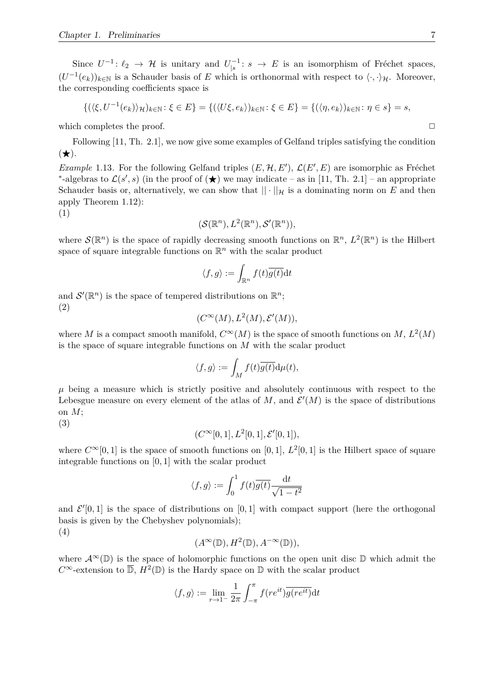Since  $U^{-1}$ :  $\ell_2 \to \mathcal{H}$  is unitary and  $U_{\vert s}^{-1}$  $\zeta_{|s}^{-1}: s \to E$  is an isomorphism of Fréchet spaces,  $(U^{-1}(e_k))_{k\in\mathbb{N}}$  is a Schauder basis of *E* which is orthonormal with respect to  $\langle \cdot, \cdot \rangle_{\mathcal{H}}$ . Moreover, the corresponding coefficients space is

$$
\{(\langle \xi, U^{-1}(e_k) \rangle_{\mathcal{H}})_{k \in \mathbb{N}} : \xi \in E\} = \{(\langle U\xi, e_k \rangle)_{k \in \mathbb{N}} : \xi \in E\} = \{(\langle \eta, e_k \rangle)_{k \in \mathbb{N}} : \eta \in s\} = s,
$$

which completes the proof.  $\Box$ 

Following [11, Th. 2.1], we now give some examples of Gelfand triples satisfying the condition  $(\bigstar).$ 

*Example* 1.13. For the following Gelfand triples  $(E, \mathcal{H}, E')$ ,  $\mathcal{L}(E', E)$  are isomorphic as Fréchet \*-algebras to  $\mathcal{L}(s', s)$  (in the proof of  $(\star)$ ) we may indicate – as in [11, Th. 2.1] – an appropriate Schauder basis or, alternatively, we can show that  $|| \cdot ||_{\mathcal{H}}$  is a dominating norm on *E* and then apply Theorem 1.12):

(1)

$$
(\mathcal{S}(\mathbb{R}^n), L^2(\mathbb{R}^n), \mathcal{S}'(\mathbb{R}^n)),
$$

where  $\mathcal{S}(\mathbb{R}^n)$  is the space of rapidly decreasing smooth functions on  $\mathbb{R}^n$ ,  $L^2(\mathbb{R}^n)$  is the Hilbert space of square integrable functions on  $\mathbb{R}^n$  with the scalar product

$$
\langle f,g\rangle:=\int_{\mathbb{R}^n}f(t)\overline{g(t)}\mathrm{d} t
$$

and  $\mathcal{S}'(\mathbb{R}^n)$  is the space of tempered distributions on  $\mathbb{R}^n$ ; (2)

$$
(C^{\infty}(M), L^{2}(M), \mathcal{E}'(M)),
$$

where *M* is a compact smooth manifold,  $C^{\infty}(M)$  is the space of smooth functions on *M*,  $L^2(M)$ is the space of square integrable functions on *M* with the scalar product

$$
\langle f,g\rangle:=\int_M f(t)\overline{g(t)}\mathrm{d}\mu(t),
$$

 $\mu$  being a measure which is strictly positive and absolutely continuous with respect to the Lebesgue measure on every element of the atlas of  $M$ , and  $\mathcal{E}'(M)$  is the space of distributions on *M*;

(3)

$$
(C^{\infty}[0,1], L^{2}[0,1], \mathcal{E}^{\prime}[0,1]),
$$

where  $C^{\infty}[0,1]$  is the space of smooth functions on [0, 1],  $L^2[0,1]$  is the Hilbert space of square integrable functions on [0*,* 1] with the scalar product

$$
\langle f, g \rangle := \int_0^1 f(t) \overline{g(t)} \frac{\mathrm{d}t}{\sqrt{1 - t^2}}
$$

and  $\mathcal{E}'[0,1]$  is the space of distributions on  $[0,1]$  with compact support (here the orthogonal basis is given by the Chebyshev polynomials); (4)

$$
(A^{\infty}(\mathbb{D}), H^{2}(\mathbb{D}), A^{-\infty}(\mathbb{D})),
$$

where  $\mathcal{A}^{\infty}(\mathbb{D})$  is the space of holomorphic functions on the open unit disc  $\mathbb{D}$  which admit the  $C^{\infty}$ -extension to  $\overline{\mathbb{D}}$ ,  $H^2(\mathbb{D})$  is the Hardy space on  $\mathbb{D}$  with the scalar product

$$
\langle f, g \rangle := \lim_{r \to 1^-} \frac{1}{2\pi} \int_{-\pi}^{\pi} f(re^{it}) \overline{g(re^{it})} dt
$$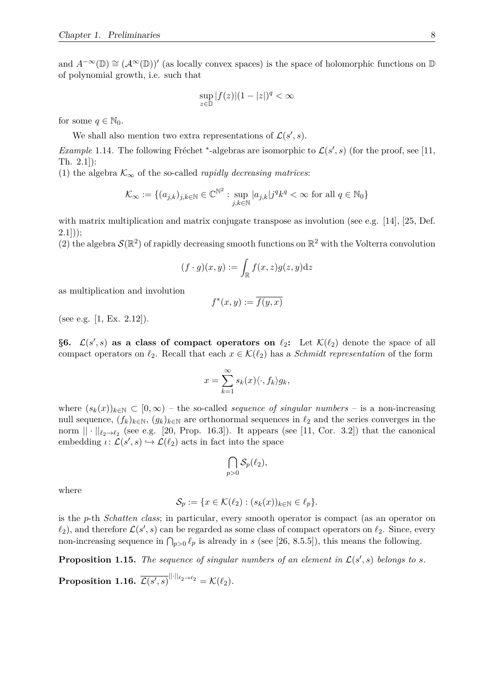and  $A^{-\infty}(\mathbb{D}) \cong (A^{\infty}(\mathbb{D}))'$  (as locally convex spaces) is the space of holomorphic functions on  $\mathbb{D}$ of polynomial growth, i.e. such that

$$
\sup_{z \in \mathbb{D}} |f(z)|(1-|z|)^q < \infty
$$

for some  $q \in \mathbb{N}_0$ .

We shall also mention two extra representations of  $\mathcal{L}(s', s)$ .

*Example* 1.14. The following Fréchet \*-algebras are isomorphic to  $\mathcal{L}(s', s)$  (for the proof, see [11, Th. 2.1]):

(1) the algebra  $\mathcal{K}_{\infty}$  of the so-called *rapidly decreasing matrices*:

$$
\mathcal{K}_{\infty} := \{ (a_{j,k})_{j,k \in \mathbb{N}} \in \mathbb{C}^{\mathbb{N}^2} : \sup_{j,k \in \mathbb{N}} |a_{j,k}| j^q k^q < \infty \text{ for all } q \in \mathbb{N}_0 \}
$$

with matrix multiplication and matrix conjugate transpose as involution (see e.g. [14], [25, Def.  $(2.1)$ :

(2) the algebra  $\mathcal{S}(\mathbb{R}^2)$  of rapidly decreasing smooth functions on  $\mathbb{R}^2$  with the Volterra convolution

$$
(f \cdot g)(x, y) := \int_{\mathbb{R}} f(x, z) g(z, y) \mathrm{d}z
$$

as multiplication and involution

$$
f^*(x, y) := \overline{f(y, x)}
$$

(see e.g. [1, Ex. 2.12]).

§6.  $\mathcal{L}(s', s)$  as a class of compact operators on  $\ell_2$ : Let  $\mathcal{K}(\ell_2)$  denote the space of all compact operators on  $\ell_2$ . Recall that each  $x \in \mathcal{K}(\ell_2)$  has a *Schmidt representation* of the form

$$
x = \sum_{k=1}^{\infty} s_k(x) \langle \cdot, f_k \rangle g_k,
$$

where  $(s_k(x))_{k\in\mathbb{N}}\subset[0,\infty)$  – the so-called *sequence of singular numbers* – is a non-increasing null sequence,  $(f_k)_{k\in\mathbb{N}}$ ,  $(g_k)_{k\in\mathbb{N}}$  are orthonormal sequences in  $\ell_2$  and the series converges in the norm  $|| \cdot ||_{\ell_2 \to \ell_2}$  (see e.g. [20, Prop. 16.3]). It appears (see [11, Cor. 3.2]) that the canonical embedding  $\iota: \mathcal{L}(s', s) \hookrightarrow \mathcal{L}(\ell_2)$  acts in fact into the space

$$
\bigcap_{p>0} \mathcal{S}_p(\ell_2),
$$

where

$$
\mathcal{S}_p := \{ x \in \mathcal{K}(\ell_2) : (s_k(x))_{k \in \mathbb{N}} \in \ell_p \}.
$$

is the *p*-th *Schatten class*; in particular, every smooth operator is compact (as an operator on  $\ell_2$ ), and therefore  $\mathcal{L}(s', s)$  can be regarded as some class of compact operators on  $\ell_2$ . Since, every non-increasing sequence in  $\bigcap_{p>0} \ell_p$  is already in *s* (see [26, 8.5.5]), this means the following.

**Proposition 1.15.** The sequence of singular numbers of an element in  $\mathcal{L}(s', s)$  belongs to s.

 $\textbf{Proposition 1.16.} \; \overline{\mathcal{L}(s',s)}^{||\cdot||_{\ell_2 \rightarrow \ell_2}} = \mathcal{K}(\ell_2).$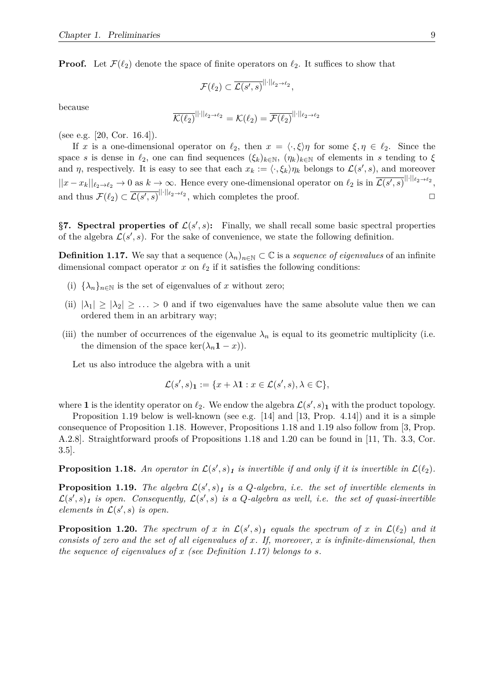**Proof.** Let  $\mathcal{F}(\ell_2)$  denote the space of finite operators on  $\ell_2$ . It suffices to show that

$$
\mathcal{F}(\ell_2) \subset \overline{\mathcal{L}(s',s)}^{\|\cdot\|_{\ell_2 \to \ell_2}},
$$

because

$$
\overline{\mathcal{K}(\ell_2)}^{\|\cdot\|_{\ell_2 \to \ell_2}} = \mathcal{K}(\ell_2) = \overline{\mathcal{F}(\ell_2)}^{\|\cdot\|_{\ell_2 \to \ell_2}}
$$

(see e.g. [20, Cor. 16.4]).

If *x* is a one-dimensional operator on  $\ell_2$ , then  $x = \langle \cdot, \xi \rangle \eta$  for some  $\xi, \eta \in \ell_2$ . Since the space *s* is dense in  $\ell_2$ , one can find sequences  $(\xi_k)_{k\in\mathbb{N}}$ ,  $(\eta_k)_{k\in\mathbb{N}}$  of elements in *s* tending to  $\xi$ and *η*, respectively. It is easy to see that each  $x_k := \langle \cdot, \xi_k \rangle \eta_k$  belongs to  $\mathcal{L}(s', s)$ , and moreover  $||x - x_k||_{\ell_2 \to \ell_2} \to 0$  as  $k \to \infty$ . Hence every one-dimensional operator on  $\ell_2$  is in  $\overline{\mathcal{L}(s', s)}^{\|\cdot\|_{\ell_2 \to \ell_2}}$ , and thus  $\mathcal{F}(\ell_2) \subset \overline{\mathcal{L}(s',s)}^{\|\cdot\|_{\ell_2 \to \ell_2}}$ , which completes the proof.

§7. Spectral properties of  $\mathcal{L}(s', s)$ : Finally, we shall recall some basic spectral properties of the algebra  $\mathcal{L}(s', s)$ . For the sake of convenience, we state the following definition.

**Definition 1.17.** We say that a sequence  $(\lambda_n)_{n \in \mathbb{N}} \subset \mathbb{C}$  is a *sequence of eigenvalues* of an infinite dimensional compact operator  $x$  on  $\ell_2$  if it satisfies the following conditions:

- (i)  $\{\lambda_n\}_{n\in\mathbb{N}}$  is the set of eigenvalues of *x* without zero;
- (ii)  $|\lambda_1| \geq |\lambda_2| \geq \ldots > 0$  and if two eigenvalues have the same absolute value then we can ordered them in an arbitrary way;
- (iii) the number of occurrences of the eigenvalue  $\lambda_n$  is equal to its geometric multiplicity (i.e. the dimension of the space ker( $\lambda_n \mathbf{1} - x$ )).

Let us also introduce the algebra with a unit

$$
\mathcal{L}(s',s)_{\mathbf{1}} := \{x + \lambda \mathbf{1} : x \in \mathcal{L}(s',s), \lambda \in \mathbb{C}\},\
$$

where **1** is the identity operator on  $\ell_2$ . We endow the algebra  $\mathcal{L}(s', s)$ <sub>1</sub> with the product topology.

Proposition 1.19 below is well-known (see e.g.  $[14]$  and  $[13, Prop. 4.14]$ ) and it is a simple consequence of Proposition 1.18. However, Propositions 1.18 and 1.19 also follow from [3, Prop. A.2.8]. Straightforward proofs of Propositions 1.18 and 1.20 can be found in [11, Th. 3.3, Cor. 3.5].

**Proposition 1.18.** An operator in  $\mathcal{L}(s', s)_1$  is invertible if and only if it is invertible in  $\mathcal{L}(\ell_2)$ .

**Proposition 1.19.** The algebra  $\mathcal{L}(s', s)$ <sub>1</sub> is a Q-algebra, i.e. the set of invertible elements in  $\mathcal{L}(s',s)$ <sub>1</sub> is open. Consequently,  $\mathcal{L}(s',s)$  is a Q-algebra as well, i.e. the set of quasi-invertible *elements in*  $\mathcal{L}(s', s)$  *is open.* 

**Proposition 1.20.** The spectrum of x in  $\mathcal{L}(s', s)$  *i* equals the spectrum of x in  $\mathcal{L}(\ell_2)$  and it *consists of zero and the set of all eigenvalues of x. If, moreover, x is infinite-dimensional, then the sequence of eigenvalues of x (see Definition 1.17) belongs to s.*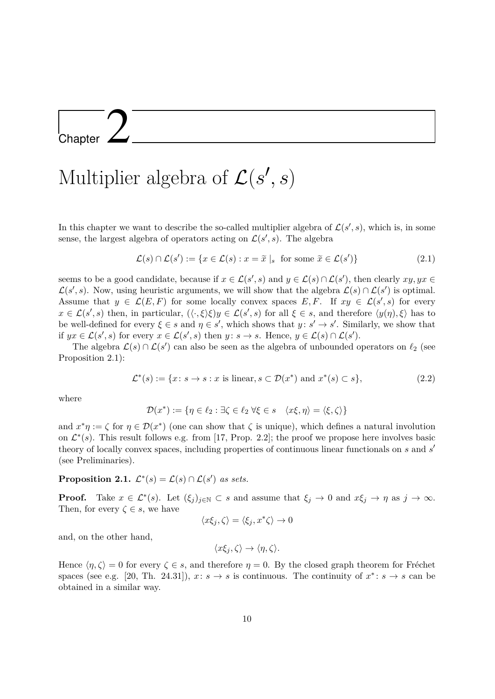Chapter 2

# Multiplier algebra of  $\mathcal{L}(s', s)$

In this chapter we want to describe the so-called multiplier algebra of  $\mathcal{L}(s', s)$ , which is, in some sense, the largest algebra of operators acting on  $\mathcal{L}(s', s)$ . The algebra

$$
\mathcal{L}(s) \cap \mathcal{L}(s') := \{ x \in \mathcal{L}(s) : x = \tilde{x} \mid_s \text{ for some } \tilde{x} \in \mathcal{L}(s') \} \tag{2.1}
$$

seems to be a good candidate, because if  $x \in \mathcal{L}(s', s)$  and  $y \in \mathcal{L}(s) \cap \mathcal{L}(s')$ , then clearly  $xy, yx \in$  $\mathcal{L}(s', s)$ . Now, using heuristic arguments, we will show that the algebra  $\mathcal{L}(s) \cap \mathcal{L}(s')$  is optimal. Assume that  $y \in \mathcal{L}(E, F)$  for some locally convex spaces  $E, F$ . If  $xy \in \mathcal{L}(s', s)$  for every  $x \in \mathcal{L}(s', s)$  then, in particular,  $(\langle \cdot, \xi \rangle \xi)y \in \mathcal{L}(s', s)$  for all  $\xi \in s$ , and therefore  $\langle y(\eta), \xi \rangle$  has to be well-defined for every  $\xi \in s$  and  $\eta \in s'$ , which shows that  $y: s' \to s'$ . Similarly, we show that if  $yx \in \mathcal{L}(s', s)$  for every  $x \in \mathcal{L}(s', s)$  then  $y \colon s \to s$ . Hence,  $y \in \mathcal{L}(s) \cap \mathcal{L}(s')$ .

The algebra  $\mathcal{L}(s) \cap \mathcal{L}(s')$  can also be seen as the algebra of unbounded operators on  $\ell_2$  (see Proposition 2.1):

$$
\mathcal{L}^*(s) := \{ x \colon s \to s : x \text{ is linear}, s \subset \mathcal{D}(x^*) \text{ and } x^*(s) \subset s \},\tag{2.2}
$$

where

$$
\mathcal{D}(x^*) := \{ \eta \in \ell_2 : \exists \zeta \in \ell_2 \; \forall \xi \in s \quad \langle x\xi, \eta \rangle = \langle \xi, \zeta \rangle \}
$$

and  $x^*\eta := \zeta$  for  $\eta \in \mathcal{D}(x^*)$  (one can show that  $\zeta$  is unique), which defines a natural involution on  $\mathcal{L}^*(s)$ . This result follows e.g. from [17, Prop. 2.2]; the proof we propose here involves basic theory of locally convex spaces, including properties of continuous linear functionals on *s* and *s* 0 (see Preliminaries).

#### **Proposition 2.1.**  $\mathcal{L}^*(s) = \mathcal{L}(s) \cap \mathcal{L}(s')$  *as sets.*

**Proof.** Take  $x \in \mathcal{L}^*(s)$ . Let  $(\xi_j)_{j \in \mathbb{N}} \subset s$  and assume that  $\xi_j \to 0$  and  $x\xi_j \to \eta$  as  $j \to \infty$ . Then, for every  $\zeta \in s$ , we have

$$
\langle x\xi_j, \zeta \rangle = \langle \xi_j, x^* \zeta \rangle \to 0
$$

and, on the other hand,

$$
\langle x\xi_j,\zeta\rangle \to \langle \eta,\zeta\rangle.
$$

Hence  $\langle \eta, \zeta \rangle = 0$  for every  $\zeta \in s$ , and therefore  $\eta = 0$ . By the closed graph theorem for Fréchet spaces (see e.g. [20, Th. 24.31]),  $x: s \to s$  is continuous. The continuity of  $x^*: s \to s$  can be obtained in a similar way.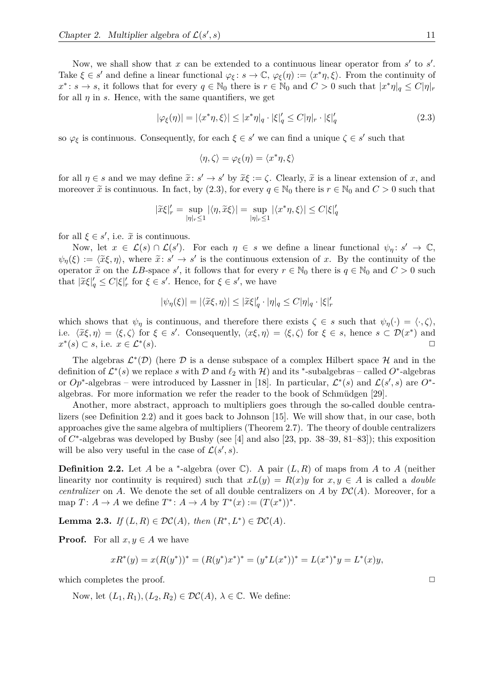Now, we shall show that  $x$  can be extended to a continuous linear operator from  $s'$  to  $s'$ . Take  $\xi \in s'$  and define a linear functional  $\varphi_{\xi}: s \to \mathbb{C}, \varphi_{\xi}(\eta) := \langle x^* \eta, \xi \rangle$ . From the continuity of  $x^* \colon s \to s$ , it follows that for every  $q \in \mathbb{N}_0$  there is  $r \in \mathbb{N}_0$  and  $C > 0$  such that  $|x^* \eta|_q \leq C |\eta|_r$ for all  $\eta$  in *s*. Hence, with the same quantifiers, we get

$$
|\varphi_{\xi}(\eta)| = |\langle x^*\eta, \xi \rangle| \le |x^*\eta|_q \cdot |\xi|_q' \le C|\eta|_r \cdot |\xi|_q' \tag{2.3}
$$

so  $\varphi_{\xi}$  is continuous. Consequently, for each  $\xi \in s'$  we can find a unique  $\zeta \in s'$  such that

$$
\langle \eta, \zeta \rangle = \varphi_{\xi}(\eta) = \langle x^* \eta, \xi \rangle
$$

for all  $\eta \in s$  and we may define  $\tilde{x}: s' \to s'$  by  $\tilde{x}\xi := \zeta$ . Clearly,  $\tilde{x}$  is a linear extension of *x*, and moreover  $\tilde{x}$  is continuous. In fact, by (2.3), for every  $q \in \mathbb{N}_0$  there is  $r \in \mathbb{N}_0$  and  $C > 0$  such that

$$
|\widetilde{x}\xi|_r' = \sup_{|\eta|_r \le 1} |\langle \eta, \widetilde{x}\xi \rangle| = \sup_{|\eta|_r \le 1} |\langle x^* \eta, \xi \rangle| \le C |\xi|_q'
$$

for all  $\xi \in s'$ , i.e.  $\tilde{x}$  is continuous.<br>Near that  $\tilde{x} \in \mathcal{L}(s) \cap \mathcal{L}(s')$ .

Now, let  $x \in \mathcal{L}(s) \cap \mathcal{L}(s')$ . For each  $\eta \in s$  we define a linear functional  $\psi_{\eta}: s' \to \mathbb{C}$ ,  $\psi_{\eta}(\xi) := \langle \tilde{x}\xi, \eta \rangle$ , where  $\tilde{x}: s' \to s'$  is the continuous extension of *x*. By the continuity of the operator  $\tilde{x}$  on the *LB*-space *s'*, it follows that for every  $r \in \mathbb{N}_0$  there is  $q \in \mathbb{N}_0$  and  $C > 0$  such that  $|\tilde{x}\xi|_q' \leq C|\xi|_r'$  for  $\xi \in s'$ . Hence, for  $\xi \in s'$ , we have

$$
|\psi_{\eta}(\xi)| = |\langle \tilde{x}\xi, \eta \rangle| \leq |\tilde{x}\xi|_q' \cdot |\eta|_q \leq C|\eta|_q \cdot |\xi|_r'
$$

which shows that  $\psi_{\eta}$  is continuous, and therefore there exists  $\zeta \in s$  such that  $\psi_{\eta}(\cdot) = \langle \cdot, \zeta \rangle$ , i.e.  $\langle \tilde{x}\xi, \eta \rangle = \langle \xi, \zeta \rangle$  for  $\xi \in s'$ . Consequently,  $\langle x\xi, \eta \rangle = \langle \xi, \zeta \rangle$  for  $\xi \in s$ , hence  $s \subset \mathcal{D}(x^*)$  and  $x^*(s)$  ⊂ *s*, i.e.  $x \in \mathcal{L}^*$  $(s)$ .

The algebras  $\mathcal{L}^*(\mathcal{D})$  (here  $\mathcal D$  is a dense subspace of a complex Hilbert space  $\mathcal H$  and in the definition of  $\mathcal{L}^*(s)$  we replace *s* with D and  $\ell_2$  with H) and its <sup>\*</sup>-subalgebras – called  $O^*$ -algebras or  $Op^*$ -algebras – were introduced by Lassner in [18]. In particular,  $\mathcal{L}^*(s)$  and  $\mathcal{L}(s',s)$  are  $O^*$ algebras. For more information we refer the reader to the book of Schmüdgen [29].

Another, more abstract, approach to multipliers goes through the so-called double centralizers (see Definition 2.2) and it goes back to Johnson [15]. We will show that, in our case, both approaches give the same algebra of multipliers (Theorem 2.7). The theory of double centralizers of *C*<sup>\*</sup>-algebras was developed by Busby (see [4] and also [23, pp. 38–39, 81–83]); this exposition will be also very useful in the case of  $\mathcal{L}(s', s)$ .

**Definition 2.2.** Let *A* be a <sup>\*</sup>-algebra (over  $\mathbb{C}$ ). A pair  $(L, R)$  of maps from *A* to *A* (neither linearity nor continuity is required) such that  $xL(y) = R(x)y$  for  $x, y \in A$  is called a *double centralizer* on *A*. We denote the set of all double centralizers on *A* by  $DC(A)$ . Moreover, for a map  $T: A \to A$  we define  $T^*: A \to A$  by  $T^*(x) := (T(x^*))^*$ .

**Lemma 2.3.** *If*  $(L, R) \in \mathcal{DC}(A)$ *, then*  $(R^*, L^*) \in \mathcal{DC}(A)$ *.* 

**Proof.** For all  $x, y \in A$  we have

$$
xR^*(y) = x(R(y^*))^* = (R(y^*)x^*)^* = (y^*L(x^*))^* = L(x^*)^*y = L^*(x)y,
$$

which completes the proof.  $\Box$ 

Now, let  $(L_1, R_1), (L_2, R_2) \in \mathcal{DC}(A), \lambda \in \mathbb{C}$ . We define: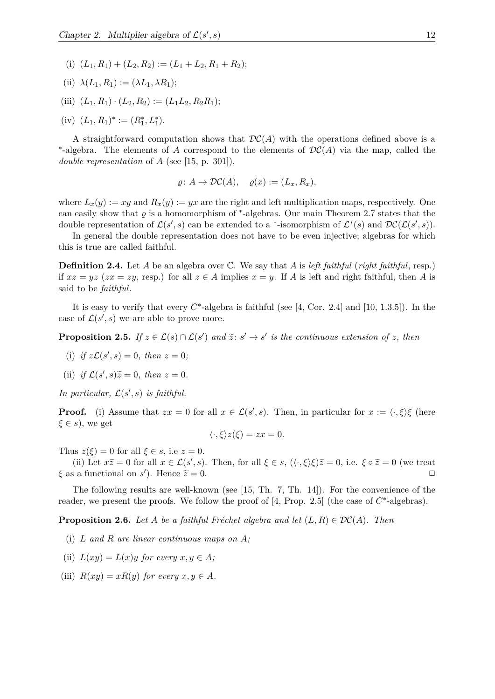- (i)  $(L_1, R_1) + (L_2, R_2) := (L_1 + L_2, R_1 + R_2);$
- (ii)  $\lambda(L_1, R_1) := (\lambda L_1, \lambda R_1);$
- (iii)  $(L_1, R_1) \cdot (L_2, R_2) := (L_1 L_2, R_2 R_1);$
- $(iv)$   $(L_1, R_1)^* := (R_1^*, L_1^*).$

A straightforward computation shows that  $\mathcal{DC}(A)$  with the operations defined above is a ∗ -algebra. The elements of *A* correspond to the elements of DC(*A*) via the map, called the *double representation* of *A* (see [15, p. 301]),

$$
\varrho\colon A\to \mathcal{DC}(A),\quad \varrho(x):=(L_x,R_x),
$$

where  $L_x(y) := xy$  and  $R_x(y) := yx$  are the right and left multiplication maps, respectively. One can easily show that  $\varrho$  is a homomorphism of <sup>\*</sup>-algebras. Our main Theorem 2.7 states that the double representation of  $\mathcal{L}(s', s)$  can be extended to a <sup>\*</sup>-isomorphism of  $\mathcal{L}^*(s)$  and  $\mathcal{DC}(\mathcal{L}(s', s))$ .

In general the double representation does not have to be even injective; algebras for which this is true are called faithful.

**Definition 2.4.** Let *A* be an algebra over C. We say that *A* is *left faithful* (*right faithful*, resp.) if  $xz = yz$  ( $zx = zy$ , resp.) for all  $z \in A$  implies  $x = y$ . If *A* is left and right faithful, then *A* is said to be *faithful*.

It is easy to verify that every  $C^*$ -algebra is faithful (see [4, Cor. 2.4] and [10, 1.3.5]). In the case of  $\mathcal{L}(s', s)$  we are able to prove more.

**Proposition 2.5.** *If*  $z \in \mathcal{L}(s) \cap \mathcal{L}(s')$  *and*  $\tilde{z}: s' \to s'$  *is the continuous extension of z, then* 

- (i) *if*  $z\mathcal{L}(s', s) = 0$ *, then*  $z = 0$ *;*
- (ii) if  $\mathcal{L}(s', s)\tilde{z} = 0$ , then  $z = 0$ .

In particular,  $\mathcal{L}(s', s)$  is faithful.

**Proof.** (i) Assume that  $zx = 0$  for all  $x \in \mathcal{L}(s', s)$ . Then, in particular for  $x := \langle \cdot, \xi \rangle \xi$  (here *ξ* ∈ *s*), we get

$$
\langle \cdot, \xi \rangle z(\xi) = zx = 0.
$$

Thus  $z(\xi) = 0$  for all  $\xi \in s$ , i.e  $z = 0$ .

(ii) Let  $x\tilde{z} = 0$  for all  $x \in \mathcal{L}(s', s)$ . Then, for all  $\xi \in s$ ,  $(\langle \cdot, \xi \rangle \xi) \tilde{z} = 0$ , i.e.  $\xi \circ \tilde{z} = 0$  (we treat *ξ* as a functional on *s*<sup> $\prime$ </sup>). Hence  $\tilde{z} = 0$ .

The following results are well-known (see [15, Th. 7, Th. 14]). For the convenience of the reader, we present the proofs. We follow the proof of  $[4, Prop. 2.5]$  (the case of  $C^*$ -algebras).

**Proposition 2.6.** *Let A be a faithful Fréchet algebra and let*  $(L, R) \in \mathcal{DC}(A)$ *. Then* 

- (i) *L and R are linear continuous maps on A;*
- (ii)  $L(xy) = L(x)y$  for every  $x, y \in A$ ;
- (iii)  $R(xy) = xR(y)$  *for every*  $x, y \in A$ *.*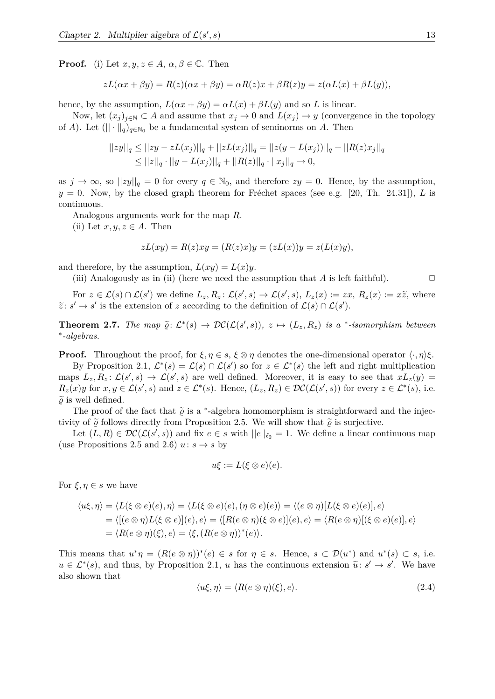**Proof.** (i) Let  $x, y, z \in A$ ,  $\alpha, \beta \in \mathbb{C}$ . Then

$$
zL(\alpha x + \beta y) = R(z)(\alpha x + \beta y) = \alpha R(z)x + \beta R(z)y = z(\alpha L(x) + \beta L(y)),
$$

hence, by the assumption,  $L(\alpha x + \beta y) = \alpha L(x) + \beta L(y)$  and so *L* is linear.

Now, let  $(x_j)_{j\in\mathbb{N}}\subset A$  and assume that  $x_j\to 0$  and  $L(x_j)\to y$  (convergence in the topology of *A*). Let  $(||\cdot||_q)_{q\in\mathbb{N}_0}$  be a fundamental system of seminorms on *A*. Then

$$
||zy||_q \le ||zy - zL(x_j)||_q + ||zL(x_j)||_q = ||z(y - L(x_j))||_q + ||R(z)x_j||_q
$$
  
\n
$$
\le ||z||_q \cdot ||y - L(x_j)||_q + ||R(z)||_q \cdot ||x_j||_q \to 0,
$$

as  $j \to \infty$ , so  $||zy||_q = 0$  for every  $q \in \mathbb{N}_0$ , and therefore  $zy = 0$ . Hence, by the assumption,  $y = 0$ . Now, by the closed graph theorem for Fréchet spaces (see e.g. [20, Th. 24.31]), *L* is continuous.

Analogous arguments work for the map *R*.

(ii) Let  $x, y, z \in A$ . Then

$$
zL(xy) = R(z)xy = (R(z)x)y = (zL(x))y = z(L(x)y),
$$

and therefore, by the assumption,  $L(xy) = L(x)y$ .

(iii) Analogously as in (ii) (here we need the assumption that  $A$  is left faithful).  $\Box$ 

For  $z \in \mathcal{L}(s) \cap \mathcal{L}(s')$  we define  $L_z, R_z \colon \mathcal{L}(s', s) \to \mathcal{L}(s', s)$ ,  $L_z(x) := zx, R_z(x) := x\tilde{z}$ , where  $\tilde{z}: s' \to s'$  is the extension of *z* according to the definition of  $\mathcal{L}(s) \cap \mathcal{L}(s')$ .

**Theorem 2.7.** The map  $\tilde{\varrho} \colon \mathcal{L}^*(s) \to \mathcal{DC}(\mathcal{L}(s', s)), z \mapsto (L_z, R_z)$  is a \*-isomorphism between  $\tilde{\varrho} \colon \tilde{\varrho} \to 0$ ∗ *-algebras.*

**Proof.** Throughout the proof, for  $\xi, \eta \in s$ ,  $\xi \otimes \eta$  denotes the one-dimensional operator  $\langle \cdot, \eta \rangle \xi$ .

By Proposition 2.1,  $\mathcal{L}^*(s) = \mathcal{L}(s) \cap \mathcal{L}(s')$  so for  $z \in \mathcal{L}^*(s)$  the left and right multiplication maps  $L_z, R_z: \mathcal{L}(s', s) \to \mathcal{L}(s', s)$  are well defined. Moreover, it is easy to see that  $xL_z(y) =$  $R_z(x)y$  for  $x, y \in \mathcal{L}(s', s)$  and  $z \in \mathcal{L}^*(s)$ . Hence,  $(L_z, R_z) \in \mathcal{DC}(\mathcal{L}(s', s))$  for every  $z \in \mathcal{L}^*(s)$ , i.e.  $\tilde{\varrho}$  is well defined.

The proof of the fact that  $\tilde{\varrho}$  is a <sup>\*</sup>-algebra homomorphism is straightforward and the injec-<br> $\tilde{\varrho}$  is a <sup>\*</sup>-algebra homomorphism is straightforward and the injectivity of  $\tilde{\rho}$  follows directly from Proposition 2.5. We will show that  $\tilde{\rho}$  is surjective.

Let  $(L, R) \in \mathcal{DC}(\mathcal{L}(s', s))$  and fix  $e \in s$  with  $||e||_{\ell_2} = 1$ . We define a linear continuous map (use Propositions 2.5 and 2.6)  $u: s \rightarrow s$  by

$$
u\xi := L(\xi \otimes e)(e).
$$

For  $\xi, \eta \in s$  we have

$$
\langle u\xi, \eta \rangle = \langle L(\xi \otimes e)(e), \eta \rangle = \langle L(\xi \otimes e)(e), (\eta \otimes e)(e) \rangle = \langle (e \otimes \eta)[L(\xi \otimes e)(e)], e \rangle
$$
  
= 
$$
\langle [ (e \otimes \eta)L(\xi \otimes e)](e), e \rangle = \langle [R(e \otimes \eta)(\xi \otimes e)](e), e \rangle = \langle R(e \otimes \eta)[(\xi \otimes e)(e)], e \rangle
$$
  
= 
$$
\langle R(e \otimes \eta)(\xi), e \rangle = \langle \xi, (R(e \otimes \eta))^*(e) \rangle.
$$

This means that  $u^*\eta = (R(e \otimes \eta))^*(e) \in s$  for  $\eta \in s$ . Hence,  $s \in \mathcal{D}(u^*)$  and  $u^*(s) \subset s$ , i.e.  $u \in \mathcal{L}^*(s)$ , and thus, by Proposition 2.1, *u* has the continuous extension  $\tilde{u}: s' \to s'$ . We have also shown that

$$
\langle u\xi, \eta \rangle = \langle R(e \otimes \eta)(\xi), e \rangle. \tag{2.4}
$$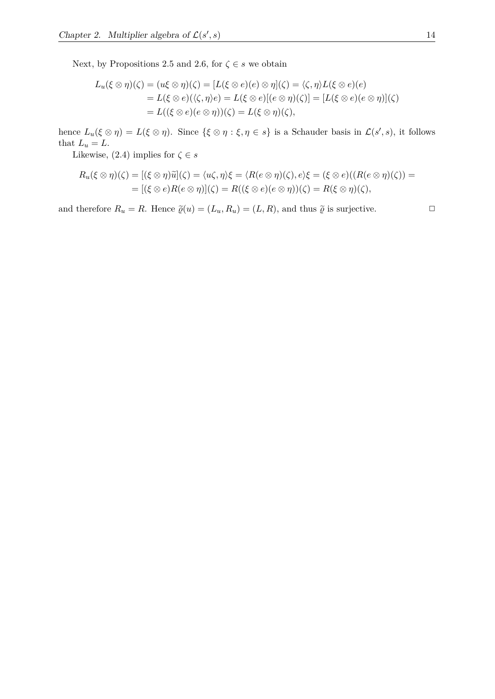Next, by Propositions 2.5 and 2.6, for  $\zeta \in s$  we obtain

$$
L_u(\xi \otimes \eta)(\zeta) = (u\xi \otimes \eta)(\zeta) = [L(\xi \otimes e)(e) \otimes \eta](\zeta) = \langle \zeta, \eta \rangle L(\xi \otimes e)(e)
$$
  
=  $L(\xi \otimes e)(\langle \zeta, \eta \rangle e) = L(\xi \otimes e)[(e \otimes \eta)(\zeta)] = [L(\xi \otimes e)(e \otimes \eta)](\zeta)$   
=  $L((\xi \otimes e)(e \otimes \eta))(\zeta) = L(\xi \otimes \eta)(\zeta),$ 

hence  $L_u(\xi \otimes \eta) = L(\xi \otimes \eta)$ . Since  $\{\xi \otimes \eta : \xi, \eta \in s\}$  is a Schauder basis in  $\mathcal{L}(s', s)$ , it follows that  $L_u = L$ .

Likewise, (2.4) implies for  $\zeta \in s$ 

$$
R_u(\xi \otimes \eta)(\zeta) = [(\xi \otimes \eta)\widetilde{u}](\zeta) = \langle u\zeta, \eta \rangle \xi = \langle R(e \otimes \eta)(\zeta), e \rangle \xi = (\xi \otimes e)((R(e \otimes \eta)(\zeta)) =
$$
  
= 
$$
[(\xi \otimes e)R(e \otimes \eta)](\zeta) = R((\xi \otimes e)(e \otimes \eta))(\zeta) = R(\xi \otimes \eta)(\zeta),
$$

and therefore  $R_u = R$ . Hence  $\tilde{\varrho}(u) = (L_u, R_u) = (L, R)$ , and thus  $\tilde{\varrho}$  is surjective.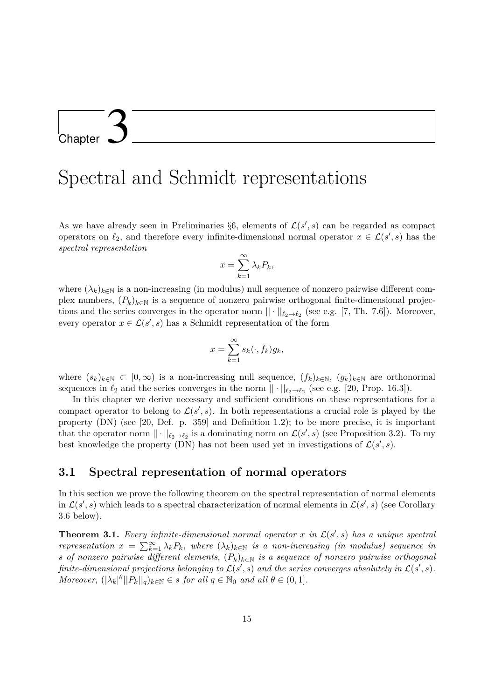# L<br>Chapter

### Spectral and Schmidt representations

As we have already seen in Preliminaries  $\S6$ , elements of  $\mathcal{L}(s', s)$  can be regarded as compact operators on  $\ell_2$ , and therefore every infinite-dimensional normal operator  $x \in \mathcal{L}(s', s)$  has the *spectral representation*

$$
x = \sum_{k=1}^{\infty} \lambda_k P_k,
$$

where  $(\lambda_k)_{k\in\mathbb{N}}$  is a non-increasing (in modulus) null sequence of nonzero pairwise different complex numbers,  $(P_k)_{k \in \mathbb{N}}$  is a sequence of nonzero pairwise orthogonal finite-dimensional projections and the series converges in the operator norm  $|| \cdot ||_{\ell_2 \to \ell_2}$  (see e.g. [7, Th. 7.6]). Moreover, every operator  $x \in \mathcal{L}(s', s)$  has a Schmidt representation of the form

$$
x = \sum_{k=1}^{\infty} s_k \langle \cdot, f_k \rangle g_k,
$$

where  $(s_k)_{k\in\mathbb{N}} \subset [0,\infty)$  is a non-increasing null sequence,  $(f_k)_{k\in\mathbb{N}}$ ,  $(g_k)_{k\in\mathbb{N}}$  are orthonormal sequences in  $\ell_2$  and the series converges in the norm  $|| \cdot ||_{\ell_2 \to \ell_2}$  (see e.g. [20, Prop. 16.3]).

In this chapter we derive necessary and sufficient conditions on these representations for a compact operator to belong to  $\mathcal{L}(s', s)$ . In both representations a crucial role is played by the property (DN) (see [20, Def. p. 359] and Definition 1.2); to be more precise, it is important that the operator norm  $|| \cdot ||_{\ell_2 \to \ell_2}$  is a dominating norm on  $\mathcal{L}(s', s)$  (see Proposition 3.2). To my best knowledge the property (DN) has not been used yet in investigations of  $\mathcal{L}(s', s)$ .

#### **3.1 Spectral representation of normal operators**

In this section we prove the following theorem on the spectral representation of normal elements in  $\mathcal{L}(s', s)$  which leads to a spectral characterization of normal elements in  $\mathcal{L}(s', s)$  (see Corollary 3.6 below).

**Theorem 3.1.** *Every infinite-dimensional normal operator*  $x$  *in*  $\mathcal{L}(s', s)$  *has a unique spectral representation*  $x = \sum_{k=1}^{\infty} \lambda_k P_k$ , where  $(\lambda_k)_{k \in \mathbb{N}}$  *is a non-increasing (in modulus) sequence in s of nonzero pairwise different elements,*  $(P_k)_{k \in \mathbb{N}}$  *is a sequence of nonzero pairwise orthogonal finite-dimensional projections belonging to*  $\mathcal{L}(s', s)$  *and the series converges absolutely in*  $\mathcal{L}(s', s)$ *. Moreover,*  $(|\lambda_k|^{\theta}||P_k||_q)_{k \in \mathbb{N}} \in s$  *for all*  $q \in \mathbb{N}_0$  *and all*  $\theta \in (0,1]$ *.*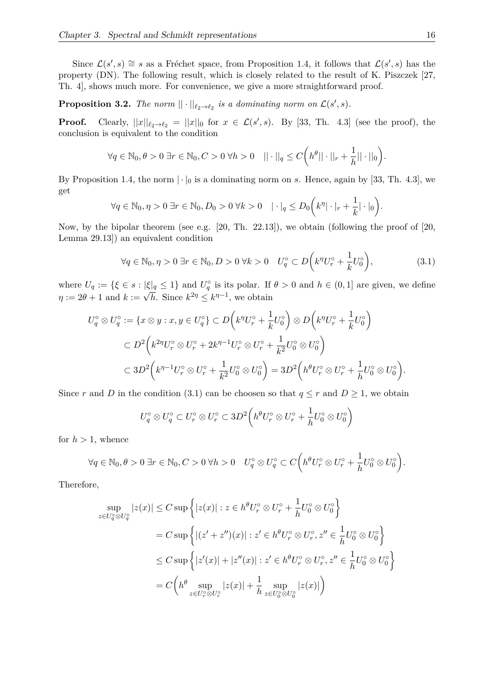Since  $\mathcal{L}(s', s) \cong s$  as a Fréchet space, from Proposition 1.4, it follows that  $\mathcal{L}(s', s)$  has the property (DN). The following result, which is closely related to the result of K. Piszczek [27, Th. 4], shows much more. For convenience, we give a more straightforward proof.

**Proposition 3.2.** The norm  $||\cdot||_{\ell_2 \to \ell_2}$  is a dominating norm on  $\mathcal{L}(s', s)$ .

**Proof.** Clearly,  $||x||_{\ell_2 \to \ell_2} = ||x||_0$  for  $x \in \mathcal{L}(s', s)$ . By [33, Th. 4.3] (see the proof), the conclusion is equivalent to the condition

$$
\forall q \in \mathbb{N}_0, \theta > 0 \; \exists r \in \mathbb{N}_0, C > 0 \; \forall h > 0 \quad || \cdot ||_q \le C \bigg( h^{\theta} || \cdot ||_r + \frac{1}{h} || \cdot ||_0 \bigg).
$$

By Proposition 1.4, the norm  $|\cdot|_0$  is a dominating norm on *s*. Hence, again by [33, Th. 4.3], we get

$$
\forall q \in \mathbb{N}_0, \eta > 0 \; \exists r \in \mathbb{N}_0, D_0 > 0 \; \forall k > 0 \quad |\cdot|_q \leq D_0 \bigg( k^{\eta} |\cdot|_r + \frac{1}{k} |\cdot|_0 \bigg).
$$

Now, by the bipolar theorem (see e.g. [20, Th. 22.13]), we obtain (following the proof of [20, Lemma 29.13]) an equivalent condition

$$
\forall q \in \mathbb{N}_0, \eta > 0 \,\exists r \in \mathbb{N}_0, D > 0 \,\forall k > 0 \quad U_q^\circ \subset D\bigg(k^n U_r^\circ + \frac{1}{k} U_0^\circ\bigg),\tag{3.1}
$$

where  $U_q := \{\xi \in s : |\xi|_q \leq 1\}$  and  $U_q^{\circ}$  is its polar. If  $\theta > 0$  and  $h \in (0,1]$  are given, we define  $\eta := 2\theta + 1$  and  $k := \sqrt{h}$ . Since  $k^{2\eta} \le k^{\eta-1}$ , we obtain

$$
U_q^{\circ} \otimes U_q^{\circ} := \{ x \otimes y : x, y \in U_q^{\circ} \} \subset D \left( k^n U_r^{\circ} + \frac{1}{k} U_0^{\circ} \right) \otimes D \left( k^n U_r^{\circ} + \frac{1}{k} U_0^{\circ} \right)
$$
  

$$
\subset D^2 \left( k^{2n} U_r^{\circ} \otimes U_r^{\circ} + 2k^{n-1} U_r^{\circ} \otimes U_r^{\circ} + \frac{1}{k^2} U_0^{\circ} \otimes U_0^{\circ} \right)
$$
  

$$
\subset 3D^2 \left( k^{n-1} U_r^{\circ} \otimes U_r^{\circ} + \frac{1}{k^2} U_0^{\circ} \otimes U_0^{\circ} \right) = 3D^2 \left( h^{\theta} U_r^{\circ} \otimes U_r^{\circ} + \frac{1}{h} U_0^{\circ} \otimes U_0^{\circ} \right).
$$

Since *r* and *D* in the condition (3.1) can be choosen so that  $q \leq r$  and  $D \geq 1$ , we obtain

$$
U_q^{\circ} \otimes U_q^{\circ} \subset U_r^{\circ} \otimes U_r^{\circ} \subset 3D^2\left(h^{\theta}U_r^{\circ} \otimes U_r^{\circ} + \frac{1}{h}U_0^{\circ} \otimes U_0^{\circ}\right)
$$

for  $h > 1$ , whence

$$
\forall q \in \mathbb{N}_0, \theta > 0 \; \exists r \in \mathbb{N}_0, C > 0 \; \forall h > 0 \quad U_q^{\circ} \otimes U_q^{\circ} \subset C\bigg(h^{\theta}U_r^{\circ} \otimes U_r^{\circ} + \frac{1}{h}U_0^{\circ} \otimes U_0^{\circ}\bigg).
$$

Therefore,

$$
\sup_{z \in U_q^{\circ} \otimes U_q^{\circ}} |z(x)| \le C \sup \left\{ |z(x)| : z \in h^{\theta} U_r^{\circ} \otimes U_r^{\circ} + \frac{1}{h} U_0^{\circ} \otimes U_0^{\circ} \right\}
$$
  
\n
$$
= C \sup \left\{ |(z' + z'')(x)| : z' \in h^{\theta} U_r^{\circ} \otimes U_r^{\circ}, z'' \in \frac{1}{h} U_0^{\circ} \otimes U_0^{\circ} \right\}
$$
  
\n
$$
\le C \sup \left\{ |z'(x)| + |z''(x)| : z' \in h^{\theta} U_r^{\circ} \otimes U_r^{\circ}, z'' \in \frac{1}{h} U_0^{\circ} \otimes U_0^{\circ} \right\}
$$
  
\n
$$
= C \left( h^{\theta} \sup_{z \in U_r^{\circ} \otimes U_r^{\circ}} |z(x)| + \frac{1}{h} \sup_{z \in U_0^{\circ} \otimes U_0^{\circ}} |z(x)| \right)
$$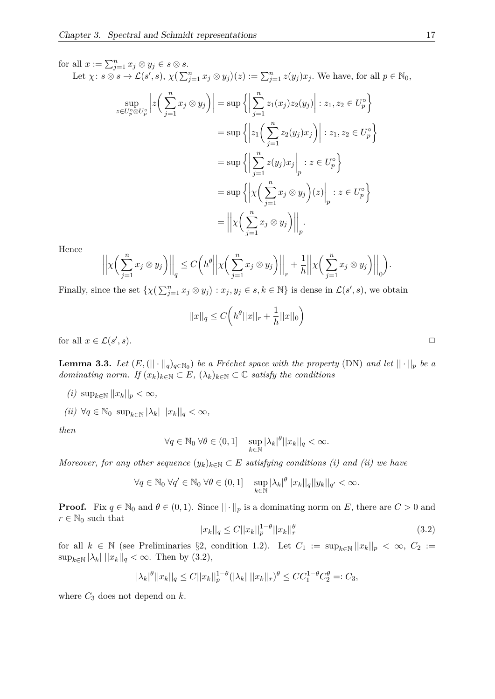for all  $x := \sum_{j=1}^n x_j \otimes y_j \in s \otimes s$ .

Let  $\chi: s \otimes s \to \mathcal{L}(s', s), \ \chi(\sum_{j=1}^n x_j \otimes y_j)(z) := \sum_{j=1}^n z(y_j)x_j.$  We have, for all  $p \in \mathbb{N}_0$ ,

$$
\sup_{z \in U_p^{\circ} \otimes U_p^{\circ}} \left| z \left( \sum_{j=1}^n x_j \otimes y_j \right) \right| = \sup \left\{ \left| \sum_{j=1}^n z_1(x_j) z_2(y_j) \right| : z_1, z_2 \in U_p^{\circ} \right\}
$$
  
\n
$$
= \sup \left\{ \left| z_1 \left( \sum_{j=1}^n z_2(y_j) x_j \right) \right| : z_1, z_2 \in U_p^{\circ} \right\}
$$
  
\n
$$
= \sup \left\{ \left| \sum_{j=1}^n z(y_j) x_j \right|_p : z \in U_p^{\circ} \right\}
$$
  
\n
$$
= \sup \left\{ \left| \chi \left( \sum_{j=1}^n x_j \otimes y_j \right) (z) \right|_p : z \in U_p^{\circ} \right\}
$$
  
\n
$$
= \left| \left| \chi \left( \sum_{j=1}^n x_j \otimes y_j \right) \right| \right|_p .
$$

Hence

$$
\left|\left|\chi\left(\sum_{j=1}^nx_j\otimes y_j\right)\right|\right|_q\le C\left(h^{\theta}\left|\left|\chi\left(\sum_{j=1}^nx_j\otimes y_j\right)\right|\right|_r+\frac{1}{h}\left|\left|\chi\left(\sum_{j=1}^nx_j\otimes y_j\right)\right|\right|_0\right).
$$

Finally, since the set  $\{\chi\left(\sum_{j=1}^n x_j \otimes y_j\right) : x_j, y_j \in s, k \in \mathbb{N}\}\)$  is dense in  $\mathcal{L}(s', s)$ , we obtain

$$
||x||_q \le C\bigg(h^{\theta}||x||_r + \frac{1}{h}||x||_0\bigg)
$$

for all  $x \in \mathcal{L}(s)$  $, s$ ).

**Lemma 3.3.** *Let*  $(E, (|| \cdot ||_q)_{q \in \mathbb{N}_0})$  *be a Fréchet space with the property* (DN) *and let*  $|| \cdot ||_p$  *be a dominating norm.* If  $(x_k)_{k \in \mathbb{N}} \subset E$ ,  $(\lambda_k)_{k \in \mathbb{N}} \subset \mathbb{C}$  *satisfy the conditions* 

- *(i)* sup<sub>*k*∈N</sub>  $||x_k||_p < \infty$ ,
- $(ii)$  ∀*q* ∈ N<sub>0</sub> sup<sub>*k*∈N</sub> | $\lambda_k$ | || $x_k$ || $q < \infty$ *,*

*then*

$$
\forall q \in \mathbb{N}_0 \,\forall \theta \in (0,1] \quad \sup_{k \in \mathbb{N}} |\lambda_k|^\theta ||x_k||_q < \infty.
$$

*Moreover, for any other sequence*  $(y_k)_{k \in \mathbb{N}} \subset E$  *satisfying conditions (i) and (ii) we have* 

$$
\forall q \in \mathbb{N}_0 \ \forall q' \in \mathbb{N}_0 \ \forall \theta \in (0,1] \quad \sup_{k \in \mathbb{N}} |\lambda_k|^\theta ||x_k||_q ||y_k||_{q'} < \infty.
$$

**Proof.** Fix  $q \in \mathbb{N}_0$  and  $\theta \in (0,1)$ . Since  $|| \cdot ||_p$  is a dominating norm on *E*, there are  $C > 0$  and  $r \in \mathbb{N}_0$  such that

$$
||x_k||_q \le C||x_k||_p^{1-\theta}||x_k||_r^{\theta}
$$
\n(3.2)

for all  $k \in \mathbb{N}$  (see Preliminaries §2, condition 1.2). Let  $C_1 := \sup_{k \in \mathbb{N}} ||x_k||_p < \infty$ ,  $C_2 :=$  $\sup_{k \in \mathbb{N}} |\lambda_k| ||x_k||_q < \infty$ . Then by (3.2),

$$
|\lambda_k|^{\theta} ||x_k||_q \le C ||x_k||_p^{1-\theta} (|\lambda_k| ||x_k||_r)^{\theta} \le C C_1^{1-\theta} C_2^{\theta} =: C_3,
$$

where  $C_3$  does not depend on  $k$ .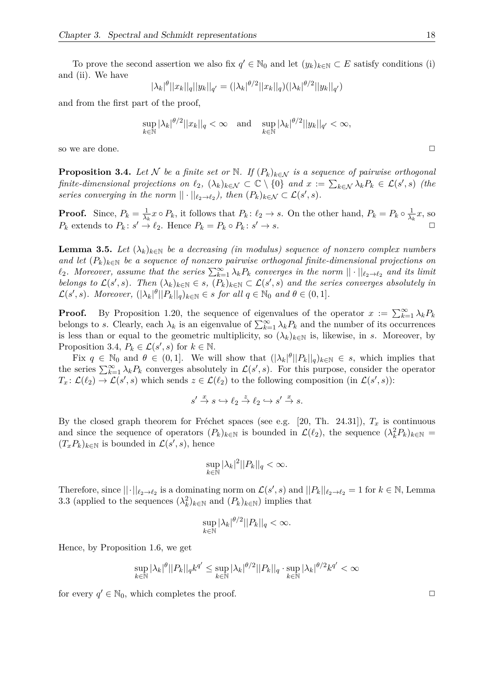To prove the second assertion we also fix  $q' \in \mathbb{N}_0$  and let  $(y_k)_{k \in \mathbb{N}} \subset E$  satisfy conditions (i) and (ii). We have

$$
|\lambda_k|^{\theta} ||x_k||_q ||y_k||_{q'} = (|\lambda_k|^{\theta/2} ||x_k||_q) (|\lambda_k|^{\theta/2} ||y_k||_{q'})
$$

and from the first part of the proof,

$$
\sup_{k \in \mathbb{N}} |\lambda_k|^{\theta/2} ||x_k||_q < \infty \quad \text{and} \quad \sup_{k \in \mathbb{N}} |\lambda_k|^{\theta/2} ||y_k||_{q'} < \infty,
$$

so we are done.  $\Box$ 

**Proposition 3.4.** *Let*  $N$  *be a finite set or*  $N$ *. If*  $(P_k)_{k \in \mathcal{N}}$  *is a sequence of pairwise orthogonal finite-dimensional projections on*  $\ell_2$ ,  $(\lambda_k)_{k \in \mathcal{N}} \subset \mathbb{C} \setminus \{0\}$  and  $x := \sum_{k \in \mathcal{N}} \lambda_k P_k \in \mathcal{L}(s', s)$  (the *series converging in the norm*  $|| \cdot ||_{\ell_2 \to \ell_2}$ , then  $(P_k)_{k \in \mathcal{N}} \subset \mathcal{L}(s', s)$ .

**Proof.** Since,  $P_k = \frac{1}{\lambda_k}$  $\frac{1}{\lambda_k}x \circ P_k$ , it follows that  $P_k: \ell_2 \to s$ . On the other hand,  $P_k = P_k \circ \frac{1}{\lambda_k}$  $\frac{1}{\lambda_k}$ *x*, so  $P_k$  extends to  $P_k$ :  $s' \rightarrow \ell_2$ . Hence  $P_k = P_k \circ P_k$ :  $s' \rightarrow s$ .

**Lemma 3.5.** *Let*  $(\lambda_k)_{k \in \mathbb{N}}$  *be a decreasing (in modulus) sequence of nonzero complex numbers and let*  $(P_k)_{k \in \mathbb{N}}$  *be a sequence of nonzero pairwise orthogonal finite-dimensional projections on*  $\ell_2$ . Moreover, assume that the series  $\sum_{k=1}^{\infty} \lambda_k P_k$  converges in the norm  $|| \cdot ||_{\ell_2 \to \ell_2}$  and its limit *belongs to*  $\mathcal{L}(s', s)$ *. Then*  $(\lambda_k)_{k \in \mathbb{N}} \in s$ *,*  $(P_k)_{k \in \mathbb{N}} \subset \mathcal{L}(s', s)$  *and the series converges absolutely in*  $\mathcal{L}(s', s)$ *. Moreover,*  $(|\lambda_k|^{\theta} || P_k ||_q)_{k \in \mathbb{N}} \in s$  *for all*  $q \in \mathbb{N}_0$  *and*  $\theta \in (0, 1]$ *.* 

**Proof.** By Proposition 1.20, the sequence of eigenvalues of the operator  $x := \sum_{k=1}^{\infty} \lambda_k P_k$ belongs to *s*. Clearly, each  $\lambda_k$  is an eigenvalue of  $\sum_{k=1}^{\infty} \lambda_k P_k$  and the number of its occurrences is less than or equal to the geometric multiplicity, so  $(\lambda_k)_{k\in\mathbb{N}}$  is, likewise, in *s*. Moreover, by Proposition 3.4,  $P_k \in \mathcal{L}(s', s)$  for  $k \in \mathbb{N}$ .

Fix  $q \in \mathbb{N}_0$  and  $\theta \in (0,1]$ . We will show that  $(|\lambda_k|^{\theta} || P_k ||_q)_{k \in \mathbb{N}} \in s$ , which implies that the series  $\sum_{k=1}^{\infty} \lambda_k P_k$  converges absolutely in  $\mathcal{L}(s', s)$ . For this purpose, consider the operator  $T_x: \mathcal{L}(\ell_2) \to \mathcal{L}(s', s)$  which sends  $z \in \mathcal{L}(\ell_2)$  to the following composition (in  $\mathcal{L}(s', s)$ ):

$$
s' \xrightarrow{x} s \hookrightarrow \ell_2 \xrightarrow{z} \ell_2 \hookrightarrow s' \xrightarrow{x} s.
$$

By the closed graph theorem for Fréchet spaces (see e.g. [20, Th. 24.31]),  $T_x$  is continuous and since the sequence of operators  $(P_k)_{k\in\mathbb{N}}$  is bounded in  $\mathcal{L}(\ell_2)$ , the sequence  $(\lambda_k^2 P_k)_{k\in\mathbb{N}} =$  $(T_x P_k)_{k \in \mathbb{N}}$  is bounded in  $\mathcal{L}(s', s)$ , hence

$$
\sup_{k \in \mathbb{N}} |\lambda_k|^2 ||P_k||_q < \infty.
$$

Therefore, since  $||\cdot||_{\ell_2\to\ell_2}$  is a dominating norm on  $\mathcal{L}(s', s)$  and  $||P_k||_{\ell_2\to\ell_2} = 1$  for  $k \in \mathbb{N}$ , Lemma 3.3 (applied to the sequences  $(\lambda_k^2)_{k \in \mathbb{N}}$  and  $(P_k)_{k \in \mathbb{N}}$ ) implies that

$$
\sup_{k \in \mathbb{N}} |\lambda_k|^{\theta/2} ||P_k||_q < \infty.
$$

Hence, by Proposition 1.6, we get

$$
\sup_{k \in \mathbb{N}} |\lambda_k|^\theta ||P_k||_q k^{q'} \le \sup_{k \in \mathbb{N}} |\lambda_k|^{\theta/2} ||P_k||_q \cdot \sup_{k \in \mathbb{N}} |\lambda_k|^{\theta/2} k^{q'} < \infty
$$

for every  $q' \in \mathbb{N}_0$ , which completes the proof.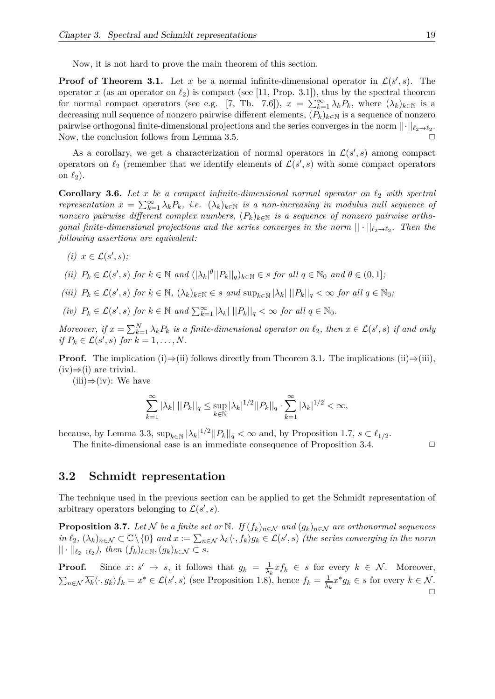Now, it is not hard to prove the main theorem of this section.

**Proof of Theorem 3.1.** Let *x* be a normal infinite-dimensional operator in  $\mathcal{L}(s', s)$ . The operator *x* (as an operator on  $\ell_2$ ) is compact (see [11, Prop. 3.1]), thus by the spectral theorem for normal compact operators (see e.g. [7, Th. 7.6]),  $x = \sum_{k=1}^{\infty} \lambda_k P_k$ , where  $(\lambda_k)_{k \in \mathbb{N}}$  is a decreasing null sequence of nonzero pairwise different elements,  $(P_k)_{k \in \mathbb{N}}$  is a sequence of nonzero pairwise orthogonal finite-dimensional projections and the series converges in the norm  $||\cdot||_{\ell_2 \to \ell_2}$ . Now, the conclusion follows from Lemma 3.5.  $\Box$ 

As a corollary, we get a characterization of normal operators in  $\mathcal{L}(s', s)$  among compact operators on  $\ell_2$  (remember that we identify elements of  $\mathcal{L}(s', s)$  with some compact operators on  $\ell_2$ ).

**Corollary 3.6.** Let *x* be a compact infinite-dimensional normal operator on  $\ell_2$  with spectral *representation*  $x = \sum_{k=1}^{\infty} \lambda_k P_k$ , *i.e.*  $(\lambda_k)_{k \in \mathbb{N}}$  *is a non-increasing in modulus null sequence of nonzero pairwise different complex numbers,*  $(P_k)_{k \in \mathbb{N}}$  *is a sequence of nonzero pairwise orthogonal finite-dimensional projections and the series converges in the norm*  $|| \cdot ||_{\ell_2 \to \ell_2}$ . Then the *following assertions are equivalent:*

 $(i)$   $x \in \mathcal{L}(s', s);$ 

(ii) 
$$
P_k \in \mathcal{L}(s', s)
$$
 for  $k \in \mathbb{N}$  and  $(|\lambda_k|^{\theta}||P_k||_q)_{k \in \mathbb{N}} \in s$  for all  $q \in \mathbb{N}_0$  and  $\theta \in (0, 1]$ ,

- (iii)  $P_k \in \mathcal{L}(s', s)$  for  $k \in \mathbb{N}$ ,  $(\lambda_k)_{k \in \mathbb{N}} \in s$  and  $\sup_{k \in \mathbb{N}} |\lambda_k| ||P_k||_q < \infty$  for all  $q \in \mathbb{N}_0$ ;
- *(iv)*  $P_k \in \mathcal{L}(s', s)$  *for*  $k \in \mathbb{N}$  *and*  $\sum_{k=1}^{\infty} |\lambda_k| ||P_k||_q < \infty$  *for all*  $q \in \mathbb{N}_0$ *.*

*Moreover, if*  $x = \sum_{k=1}^{N} \lambda_k P_k$  *is a finite-dimensional operator on*  $\ell_2$ *, then*  $x \in \mathcal{L}(s', s)$  *if and only if*  $P_k \in \mathcal{L}(s', s)$  *for*  $k = 1, ..., N$ *.* 

**Proof.** The implication (i)⇒(ii) follows directly from Theorem 3.1. The implications (ii)⇒(iii),  $(iv) \Rightarrow (i)$  are trivial.

(iii)⇒(iv): We have

$$
\sum_{k=1}^{\infty} |\lambda_k| \, ||P_k||_q \le \sup_{k \in \mathbb{N}} |\lambda_k|^{1/2} ||P_k||_q \cdot \sum_{k=1}^{\infty} |\lambda_k|^{1/2} < \infty,
$$

because, by Lemma 3.3,  $\sup_{k \in \mathbb{N}} |\lambda_k|^{1/2} ||P_k||_q < \infty$  and, by Proposition 1.7,  $s \in \ell_{1/2}$ .

The finite-dimensional case is an immediate consequence of Proposition 3.4.  $\Box$ 

#### **3.2 Schmidt representation**

The technique used in the previous section can be applied to get the Schmidt representation of arbitrary operators belonging to  $\mathcal{L}(s', s)$ .

**Proposition 3.7.** *Let*  $\mathcal N$  *be a finite set or*  $\mathbb N$ *. If*  $(f_k)_{n \in \mathcal N}$  *and*  $(g_k)_{n \in \mathcal N}$  *are orthonormal sequences*  $\int f(x, y) \, dx \leq C \left( \int f(x, y) \right)$  *and*  $x := \sum_{n \in \mathcal{N}} \lambda_k \langle \cdot, f_k \rangle g_k \in \mathcal{L}(s', s)$  *(the series converging in the norm*  $|| \cdot ||_{\ell_2 \to \ell_2}$ , then  $(f_k)_{k \in \mathbb{N}}$ ,  $(g_k)_{k \in \mathcal{N}} \subset s$ .

**Proof.** Since  $x: s' \rightarrow s$ , it follows that  $g_k = \frac{1}{\lambda_k}$  $\frac{1}{\lambda_k} x f_k \in s$  for every  $k \in \mathcal{N}$ . Moreover,  $\sum_{n\in\mathcal{N}}\overline{\lambda_k}\langle \cdot, g_k\rangle f_k = x^*\in\mathcal{L}(s',s)$  (see Proposition 1.8), hence  $f_k = \frac{1}{\lambda_k}$  $\frac{1}{\lambda_k} x^* g_k \in s$  for every  $k \in \mathcal{N}$ .  $\Box$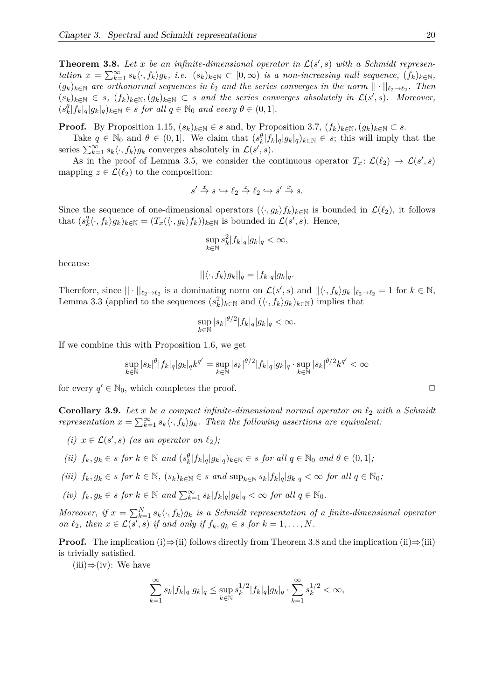**Theorem 3.8.** Let x be an infinite-dimensional operator in  $\mathcal{L}(s', s)$  with a Schmidt representation  $x = \sum_{k=1}^{\infty} s_k \langle \cdot, f_k \rangle g_k$ , i.e.  $(s_k)_{k \in \mathbb{N}} \subset [0, \infty)$  is a non-increasing null sequence,  $(f_k)_{k \in \mathbb{N}}$ ,  $(g_k)_{k\in\mathbb{N}}$  are orthonormal sequences in  $\ell_2$  and the series converges in the norm  $||\cdot||_{\ell_2\to\ell_2}$ . Then  $(s_k)_{k \in \mathbb{N}} \in s$ ,  $(f_k)_{k \in \mathbb{N}}$ ,  $(g_k)_{k \in \mathbb{N}} \subset s$  and the series converges absolutely in  $\mathcal{L}(s', s)$ . Moreover,  $(s_k^{\theta}|f_k|_q|g_k|_q)_{k \in \mathbb{N}} \in s \text{ for all } q \in \mathbb{N}_0 \text{ and every } \theta \in (0,1].$ 

**Proof.** By Proposition 1.15,  $(s_k)_{k \in \mathbb{N}} \in s$  and, by Proposition 3.7,  $(f_k)_{k \in \mathbb{N}}$ ,  $(g_k)_{k \in \mathbb{N}} \subset s$ .

Take  $q \in \mathbb{N}_0$  and  $\theta \in (0,1]$ . We claim that  $(s_k^{\theta}|f_k|_q|g_k|_q)_{k \in \mathbb{N}} \in s$ ; this will imply that the series  $\sum_{k=1}^{\infty} s_k \langle \cdot, f_k \rangle g_k$  converges absolutely in  $\mathcal{L}(s', s)$ .

As in the proof of Lemma 3.5, we consider the continuous operator  $T_x: \mathcal{L}(\ell_2) \to \mathcal{L}(s', s)$ mapping  $z \in \mathcal{L}(\ell_2)$  to the composition:

$$
s' \xrightarrow{x} s \hookrightarrow \ell_2 \xrightarrow{z} \ell_2 \hookrightarrow s' \xrightarrow{x} s.
$$

Since the sequence of one-dimensional operators  $(\langle \cdot, g_k \rangle f_k)_{k \in \mathbb{N}}$  is bounded in  $\mathcal{L}(\ell_2)$ , it follows that  $(s_k^2 \langle \cdot, f_k \rangle g_k)_{k \in \mathbb{N}} = (T_x(\langle \cdot, g_k \rangle f_k))_{k \in \mathbb{N}}$  is bounded in  $\mathcal{L}(s', s)$ . Hence,

$$
\sup_{k \in \mathbb{N}} s_k^2 |f_k|_q |g_k|_q < \infty,
$$

because

$$
||\langle \cdot, f_k \rangle g_k||_q = |f_k|_q |g_k|_q.
$$

Therefore, since  $|| \cdot ||_{\ell_2 \to \ell_2}$  is a dominating norm on  $\mathcal{L}(s', s)$  and  $|| \langle \cdot, f_k \rangle g_k ||_{\ell_2 \to \ell_2} = 1$  for  $k \in \mathbb{N}$ , Lemma 3.3 (applied to the sequences  $(s_k^2)_{k \in \mathbb{N}}$  and  $(\langle \cdot, f_k \rangle g_k)_{k \in \mathbb{N}}$ ) implies that

$$
\sup_{k \in \mathbb{N}} |s_k|^{\theta/2} |f_k|_q |g_k|_q < \infty.
$$

If we combine this with Proposition 1.6, we get

$$
\sup_{k\in\mathbb{N}}|s_k|^\theta|f_k|_q|g_k|_qk^{q'}=\sup_{k\in\mathbb{N}}|s_k|^{\theta/2}|f_k|_q|g_k|_q\cdot\sup_{k\in\mathbb{N}}|s_k|^{\theta/2}k^{q'}<\infty
$$

for every  $q' \in \mathbb{N}_0$ , which completes the proof.

**Corollary 3.9.** Let *x* be a compact infinite-dimensional normal operator on  $\ell_2$  with a Schmidt *representation*  $x = \sum_{k=1}^{\infty} s_k \langle \cdot, f_k \rangle g_k$ . Then the following assertions are equivalent:

- *(i)*  $x \in \mathcal{L}(s', s)$  *(as an operator on*  $\ell_2$ *)*;
- (ii)  $f_k, g_k \in s$  for  $k \in \mathbb{N}$  and  $(s_k^{\theta}|f_k|_q|g_k|_q)_{k \in \mathbb{N}} \in s$  for all  $q \in \mathbb{N}_0$  and  $\theta \in (0,1]$ ;
- (iii)  $f_k, g_k \in s$  for  $k \in \mathbb{N}$ ,  $(s_k)_{k \in \mathbb{N}} \in s$  and  $\sup_{k \in \mathbb{N}} s_k |f_k|_q |g_k|_q < \infty$  for all  $q \in \mathbb{N}_0$ ;
- $f_k, g_k \in s \text{ for } k \in \mathbb{N} \text{ and } \sum_{k=1}^{\infty} s_k |f_k|_q |g_k|_q < \infty \text{ for all } q \in \mathbb{N}_0.$

*Moreover, if*  $x = \sum_{k=1}^{N} s_k \langle \cdot, f_k \rangle g_k$  *is a Schmidt representation of a finite-dimensional operator on*  $\ell_2$ *, then*  $x \in \mathcal{L}(s', s)$  *if and only if*  $f_k, g_k \in s$  *for*  $k = 1, \ldots, N$ *.* 

**Proof.** The implication (i)⇒(ii) follows directly from Theorem 3.8 and the implication (ii)⇒(iii) is trivially satisfied.

 $(iii) \Rightarrow (iv):$  We have

$$
\sum_{k=1}^{\infty} s_k |f_k|_q |g_k|_q \le \sup_{k \in \mathbb{N}} s_k^{1/2} |f_k|_q |g_k|_q \cdot \sum_{k=1}^{\infty} s_k^{1/2} < \infty,
$$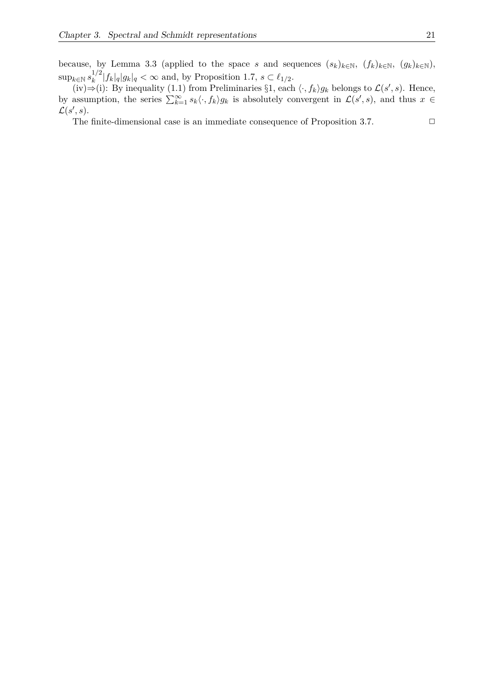because, by Lemma 3.3 (applied to the space *s* and sequences  $(s_k)_{k\in\mathbb{N}}$ ,  $(f_k)_{k\in\mathbb{N}}$ ,  $(g_k)_{k\in\mathbb{N}}$ ), sup<sub>*k*∈N</sub>  $s_k^{1/2}$  $\int_{k}^{1/2} |f_k|_q |g_k|_q < \infty$  and, by Proposition 1.7,  $s \in \ell_{1/2}$ .

(iv)⇒(i): By inequality (1.1) from Preliminaries §1, each  $\langle \cdot, f_k \rangle g_k$  belongs to  $\mathcal{L}(s', s)$ . Hence, by assumption, the series  $\sum_{k=1}^{\infty} s_k \langle \cdot, f_k \rangle g_k$  is absolutely convergent in  $\mathcal{L}(s', s)$ , and thus  $x \in$  $\mathcal{L}(s', s)$ .

The finite-dimensional case is an immediate consequence of Proposition 3.7.  $\Box$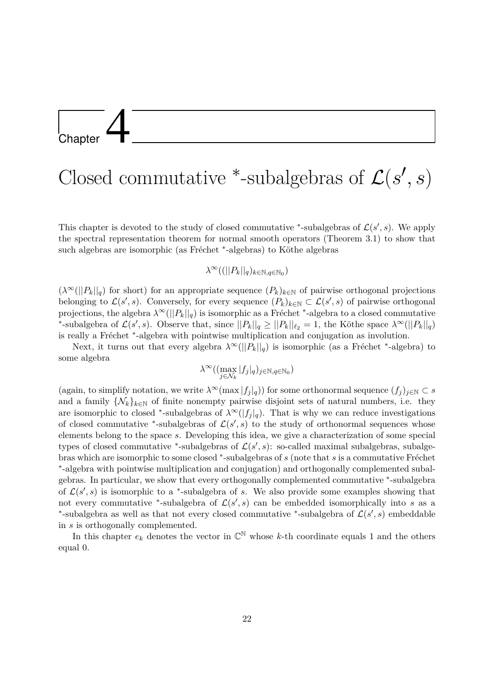### **Chapter**

# Closed commutative <sup>\*</sup>-subalgebras of  $\mathcal{L}(s', s)$

This chapter is devoted to the study of closed commutative <sup>\*</sup>-subalgebras of  $\mathcal{L}(s', s)$ . We apply the spectral representation theorem for normal smooth operators (Theorem 3.1) to show that such algebras are isomorphic (as Fréchet <sup>\*</sup>-algebras) to Köthe algebras

#### $\lambda^{\infty}((||P_k||_q)_{k \in \mathbb{N}, q \in \mathbb{N}_0})$

 $(\lambda^{\infty}(||P_k||_q)$  for short) for an appropriate sequence  $(P_k)_{k\in\mathbb{N}}$  of pairwise orthogonal projections belonging to  $\mathcal{L}(s', s)$ . Conversely, for every sequence  $(P_k)_{k \in \mathbb{N}} \subset \mathcal{L}(s', s)$  of pairwise orthogonal projections, the algebra  $\lambda^{\infty}(||P_k||_q)$  is isomorphic as a Fréchet <sup>\*</sup>-algebra to a closed commutative \*-subalgebra of  $\mathcal{L}(s', s)$ . Observe that, since  $||P_k||_q \geq ||P_k||_{\ell_2} = 1$ , the Köthe space  $\lambda^{\infty}(||P_k||_q)$ is really a Fréchet <sup>\*</sup>-algebra with pointwise multiplication and conjugation as involution.

Next, it turns out that every algebra  $\lambda^{\infty}(||P_k||_q)$  is isomorphic (as a Fréchet <sup>\*</sup>-algebra) to some algebra

$$
\lambda^\infty((\max_{j\in\mathcal{N}_k}|f_j|_q)_{j\in\mathbb{N},q\in\mathbb{N}_0})
$$

(again, to simplify notation, we write  $\lambda^{\infty}(\max |f_j|_q)$ ) for some orthonormal sequence  $(f_j)_{j \in \mathbb{N}} \subset s$ and a family  $\{\mathcal{N}_k\}_{k\in\mathbb{N}}$  of finite nonempty pairwise disjoint sets of natural numbers, i.e. they are isomorphic to closed <sup>\*</sup>-subalgebras of  $\lambda^{\infty}(|f_j|_q)$ . That is why we can reduce investigations of closed commutative <sup>\*</sup>-subalgebras of  $\mathcal{L}(s', s)$  to the study of orthonormal sequences whose elements belong to the space *s*. Developing this idea, we give a characterization of some special types of closed commutative \*-subalgebras of  $\mathcal{L}(s', s)$ : so-called maximal subalgebras, subalgebras which are isomorphic to some closed \*-subalgebras of *s* (note that *s* is a commutative Fréchet ∗ -algebra with pointwise multiplication and conjugation) and orthogonally complemented subalgebras. In particular, we show that every orthogonally complemented commutative <sup>∗</sup> -subalgebra of  $\mathcal{L}(s', s)$  is isomorphic to a <sup>\*</sup>-subalgebra of *s*. We also provide some examples showing that not every commutative <sup>\*</sup>-subalgebra of  $\mathcal{L}(s',s)$  can be embedded isomorphically into *s* as a <sup>\*</sup>-subalgebra as well as that not every closed commutative <sup>\*</sup>-subalgebra of  $\mathcal{L}(s', s)$  embeddable in *s* is orthogonally complemented.

In this chapter  $e_k$  denotes the vector in  $\mathbb{C}^{\mathbb{N}}$  whose k-th coordinate equals 1 and the others equal 0.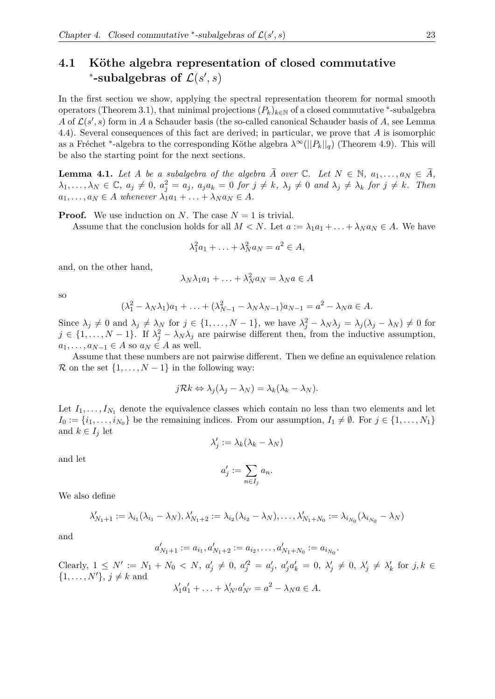#### **4.1 Köthe algebra representation of closed commutative** \*-subalgebras of  $\mathcal{L}(s', s)$

In the first section we show, applying the spectral representation theorem for normal smooth operators (Theorem 3.1), that minimal projections  $(P_k)_{k\in\mathbb{N}}$  of a closed commutative <sup>\*</sup>-subalgebra *A* of  $\mathcal{L}(s', s)$  form in *A* a Schauder basis (the so-called canonical Schauder basis of *A*, see Lemma 4.4). Several consequences of this fact are derived; in particular, we prove that *A* is isomorphic as a Fréchet <sup>\*</sup>-algebra to the corresponding Köthe algebra  $\lambda^{\infty}(||P_k||_q)$  (Theorem 4.9). This will be also the starting point for the next sections.

**Lemma 4.1.** Let A be a subalgebra of the algebra  $\widetilde{A}$  over  $\mathbb{C}$ . Let  $N \in \mathbb{N}$ ,  $a_1, \ldots, a_N \in \widetilde{A}$ ,  $\lambda_1,\ldots,\lambda_N\in\mathbb{C},\ a_j\neq 0,\ a_j^2=a_j,\ a_ja_k=0\ for\ j\neq k,\ \lambda_j\neq 0\ and\ \lambda_j\neq \lambda_k\ for\ j\neq k.\ \ Then$  $a_1, \ldots, a_N \in A$  *whenever*  $\lambda_1 a_1 + \ldots + \lambda_N a_N \in A$ .

**Proof.** We use induction on *N*. The case  $N = 1$  is trivial.

Assume that the conclusion holds for all  $M < N$ . Let  $a := \lambda_1 a_1 + \ldots + \lambda_N a_N \in A$ . We have

$$
\lambda_1^2 a_1 + \ldots + \lambda_N^2 a_N = a^2 \in A,
$$

and, on the other hand,

$$
\lambda_N \lambda_1 a_1 + \ldots + \lambda_N^2 a_N = \lambda_N a \in A
$$

so

$$
(\lambda_1^2 - \lambda_N \lambda_1)a_1 + \ldots + (\lambda_{N-1}^2 - \lambda_N \lambda_{N-1})a_{N-1} = a^2 - \lambda_N a \in A.
$$

Since  $\lambda_j \neq 0$  and  $\lambda_j \neq \lambda_N$  for  $j \in \{1, ..., N-1\}$ , we have  $\lambda_j^2 - \lambda_N \lambda_j = \lambda_j(\lambda_j - \lambda_N) \neq 0$  for  $j \in \{1, \ldots, N-1\}$ . If  $\lambda_j^2 - \lambda_N \lambda_j$  are pairwise different then, from the inductive assumption,  $a_1, \ldots, a_{N-1} \in A$  so  $a_N \in A$  as well.

Assume that these numbers are not pairwise different. Then we define an equivalence relation R on the set  $\{1, \ldots, N-1\}$  in the following way:

$$
j\mathcal{R}k \Leftrightarrow \lambda_j(\lambda_j - \lambda_N) = \lambda_k(\lambda_k - \lambda_N).
$$

Let  $I_1, \ldots, I_{N_1}$  denote the equivalence classes which contain no less than two elements and let  $I_0 := \{i_1, \ldots, i_{N_0}\}\$ be the remaining indices. From our assumption,  $I_1 \neq \emptyset$ . For  $j \in \{1, \ldots, N_1\}$ and  $k \in I_j$  let

$$
\lambda'_j := \lambda_k(\lambda_k - \lambda_N)
$$

and let

$$
a'_j := \sum_{n \in I_j} a_n.
$$

We also define

$$
\lambda'_{N_1+1} := \lambda_{i_1}(\lambda_{i_1} - \lambda_N), \lambda'_{N_1+2} := \lambda_{i_2}(\lambda_{i_2} - \lambda_N), \dots, \lambda'_{N_1+N_0} := \lambda_{i_{N_0}}(\lambda_{i_{N_0}} - \lambda_N)
$$

and

$$
a'_{N_1+1} := a_{i_1}, a'_{N_1+2} := a_{i_2}, \dots, a'_{N_1+N_0} := a_{i_{N_0}}.
$$

Clearly,  $1 \le N' := N_1 + N_0 < N$ ,  $a'_j \ne 0$ ,  $a''_j = a'_j$ ,  $a'_j a'_k = 0$ ,  $\lambda'_j \ne 0$ ,  $\lambda'_j \ne \lambda'_k$  for  $j, k \in$  $\{1, \ldots, N'\}, j \neq k$  and  $\lambda'_1 a'_1 + \ldots + \lambda'_{N'} a'_{N'} = a^2 - \lambda_N a \in A.$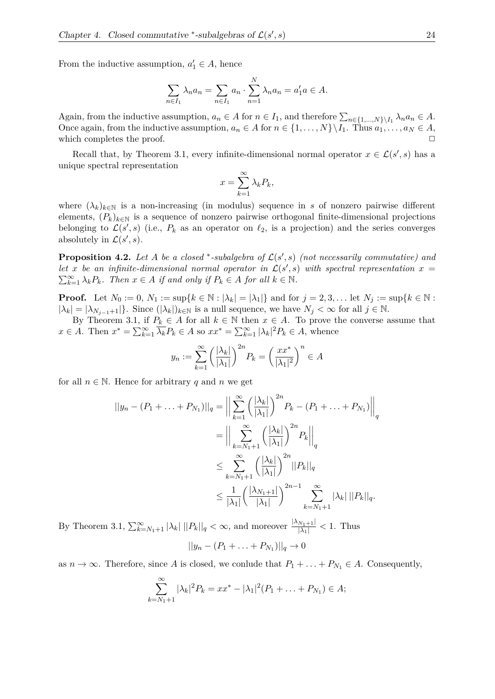From the inductive assumption,  $a'_1 \in A$ , hence

$$
\sum_{n \in I_1} \lambda_n a_n = \sum_{n \in I_1} a_n \cdot \sum_{n=1}^N \lambda_n a_n = a'_1 a \in A.
$$

Again, from the inductive assumption,  $a_n \in A$  for  $n \in I_1$ , and therefore  $\sum_{n \in \{1,\dots,N\}\setminus I_1} \lambda_n a_n \in A$ . Once again, from the inductive assumption,  $a_n \in A$  for  $n \in \{1, \ldots, N\} \setminus I_1$ . Thus  $a_1, \ldots, a_N \in A$ , which completes the proof.  $\Box$ 

Recall that, by Theorem 3.1, every infinite-dimensional normal operator  $x \in \mathcal{L}(s', s)$  has a unique spectral representation

$$
x = \sum_{k=1}^{\infty} \lambda_k P_k,
$$

where  $(\lambda_k)_{k\in\mathbb{N}}$  is a non-increasing (in modulus) sequence in *s* of nonzero pairwise different elements,  $(P_k)_{k \in \mathbb{N}}$  is a sequence of nonzero pairwise orthogonal finite-dimensional projections belonging to  $\mathcal{L}(s', s)$  (i.e.,  $P_k$  as an operator on  $\ell_2$ , is a projection) and the series converges absolutely in  $\mathcal{L}(s', s)$ .

**Proposition 4.2.** Let A be a closed \*-subalgebra of  $\mathcal{L}(s', s)$  (not necessarily commutative) and let *x* be an infinite-dimensional normal operator in  $\mathcal{L}(s', s)$  with spectral representation  $x =$  $\sum_{k=1}^{\infty} \lambda_k P_k$ *. Then*  $x \in A$  *if and only if*  $P_k \in A$  *for all*  $k \in \mathbb{N}$ *.* 

**Proof.** Let  $N_0 := 0$ ,  $N_1 := \sup\{k \in \mathbb{N} : |\lambda_k| = |\lambda_1|\}$  and for  $j = 2, 3, \dots$  let  $N_j := \sup\{k \in \mathbb{N} : |k| = |\lambda_1| \}$  $|\lambda_k| = |\lambda_{N_{j-1}+1}|\}.$  Since  $(|\lambda_k|)_{k \in \mathbb{N}}$  is a null sequence, we have  $N_j < \infty$  for all  $j \in \mathbb{N}$ .

By Theorem 3.1, if  $P_k \in A$  for all  $k \in \mathbb{N}$  then  $x \in A$ . To prove the converse assume that  $x \in A$ . Then  $x^* = \sum_{k=1}^{\infty} \overline{\lambda_k} P_k \in A$  so  $xx^* = \sum_{k=1}^{\infty} |\lambda_k|^2 P_k \in A$ , whence

$$
y_n := \sum_{k=1}^{\infty} \left(\frac{|\lambda_k|}{|\lambda_1|}\right)^{2n} P_k = \left(\frac{xx^*}{|\lambda_1|^2}\right)^n \in A
$$

for all  $n \in \mathbb{N}$ . Hence for arbitrary q and n we get

$$
||y_{n} - (P_{1} + ... + P_{N_{1}})||_{q} = \Big\| \sum_{k=1}^{\infty} \left( \frac{|\lambda_{k}|}{|\lambda_{1}|} \right)^{2n} P_{k} - (P_{1} + ... + P_{N_{1}})||_{q}
$$
  

$$
= \Big\| \sum_{k=N_{1}+1}^{\infty} \left( \frac{|\lambda_{k}|}{|\lambda_{1}|} \right)^{2n} P_{k} \Big\|_{q}
$$
  

$$
\leq \sum_{k=N_{1}+1}^{\infty} \left( \frac{|\lambda_{k}|}{|\lambda_{1}|} \right)^{2n} ||P_{k}||_{q}
$$
  

$$
\leq \frac{1}{|\lambda_{1}|} \left( \frac{|\lambda_{N_{1}+1}|}{|\lambda_{1}|} \right)^{2n-1} \sum_{k=N_{1}+1}^{\infty} |\lambda_{k}| ||P_{k}||_{q}.
$$

By Theorem 3.1,  $\sum_{k=N_1+1}^{\infty} |\lambda_k| ||P_k||_q < \infty$ , and moreover  $\frac{|\lambda_{N_1+1}|}{|\lambda_1|} < 1$ . Thus

$$
||y_n - (P_1 + \ldots + P_{N_1})||_q \to 0
$$

as  $n \to \infty$ . Therefore, since *A* is closed, we conlude that  $P_1 + \ldots + P_{N_1} \in A$ . Consequently,

$$
\sum_{k=N_1+1}^{\infty} |\lambda_k|^2 P_k = xx^* - |\lambda_1|^2 (P_1 + \ldots + P_{N_1}) \in A;
$$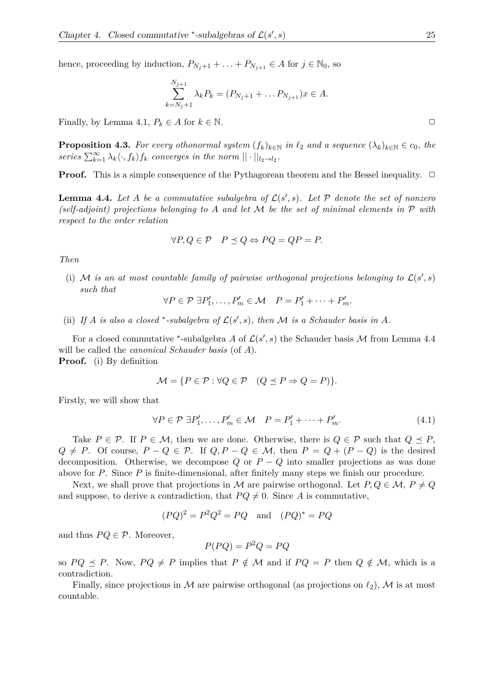hence, proceeding by induction,  $P_{N_j+1} + \ldots + P_{N_{j+1}} \in A$  for  $j \in \mathbb{N}_0$ , so

$$
\sum_{k=N_j+1}^{N_{j+1}} \lambda_k P_k = (P_{N_j+1} + \dots P_{N_{j+1}})x \in A.
$$

Finally, by Lemma 4.1,  $P_k \in A$  for  $k \in \mathbb{N}$ .

**Proposition 4.3.** For every othonormal system  $(f_k)_{k \in \mathbb{N}}$  in  $\ell_2$  and a sequence  $(\lambda_k)_{k \in \mathbb{N}} \in c_0$ , the *series*  $\sum_{k=1}^{\infty} \lambda_k \langle \cdot, f_k \rangle f_k$  *converges in the norm*  $|| \cdot ||_{l_2 \to l_2}$ *.* 

**Proof.** This is a simple consequence of the Pythagorean theorem and the Bessel inequality.  $\Box$ 

**Lemma 4.4.** Let A be a commutative subalgebra of  $\mathcal{L}(s', s)$ . Let P denote the set of nonzero *(self-adjoint) projections belonging to A and let* M *be the set of minimal elements in* P *with respect to the order relation*

$$
\forall P, Q \in \mathcal{P} \quad P \preceq Q \Leftrightarrow PQ = QP = P.
$$

*Then*

(i) M *is an at most countable family of pairwise orthogonal projections belonging to*  $\mathcal{L}(s', s)$ *such that*

$$
\forall P \in \mathcal{P} \; \exists P'_1, \dots, P'_m \in \mathcal{M} \quad P = P'_1 + \dots + P'_m.
$$

(ii) If *A* is also a closed \*-subalgebra of  $\mathcal{L}(s', s)$ , then *M* is a Schauder basis in *A*.

For a closed commutative \*-subalgebra *A* of  $\mathcal{L}(s', s)$  the Schauder basis *M* from Lemma 4.4 will be called the *canonical Schauder basis* (of *A*).

**Proof.** (i) By definition

$$
\mathcal{M} = \{ P \in \mathcal{P} : \forall Q \in \mathcal{P} \quad (Q \preceq P \Rightarrow Q = P) \}.
$$

Firstly, we will show that

$$
\forall P \in \mathcal{P} \; \exists P'_1, \dots, P'_m \in \mathcal{M} \quad P = P'_1 + \dots + P'_m. \tag{4.1}
$$

Take  $P \in \mathcal{P}$ . If  $P \in \mathcal{M}$ , then we are done. Otherwise, there is  $Q \in \mathcal{P}$  such that  $Q \preceq P$ ,  $Q \neq P$ . Of course,  $P - Q \in \mathcal{P}$ . If  $Q, P - Q \in \mathcal{M}$ , then  $P = Q + (P - Q)$  is the desired decomposition. Otherwise, we decompose  $Q$  or  $P - Q$  into smaller projections as was done above for *P*. Since *P* is finite-dimensional, after finitely many steps we finish our procedure.

Next, we shall prove that projections in M are pairwise orthogonal. Let  $P, Q \in \mathcal{M}, P \neq Q$ and suppose, to derive a contradiction, that  $PQ \neq 0$ . Since *A* is commutative,

$$
(PQ)^2 = P^2Q^2 = PQ \quad \text{and} \quad (PQ)^* = PQ
$$

and thus  $PQ \in \mathcal{P}$ . Moreover,

$$
P(PQ) = P^2 Q = PQ
$$

so  $PQ \preceq P$ . Now,  $PQ \neq P$  implies that  $P \notin M$  and if  $PQ = P$  then  $Q \notin M$ , which is a contradiction.

Finally, since projections in  $M$  are pairwise orthogonal (as projections on  $\ell_2$ ),  $M$  is at most countable.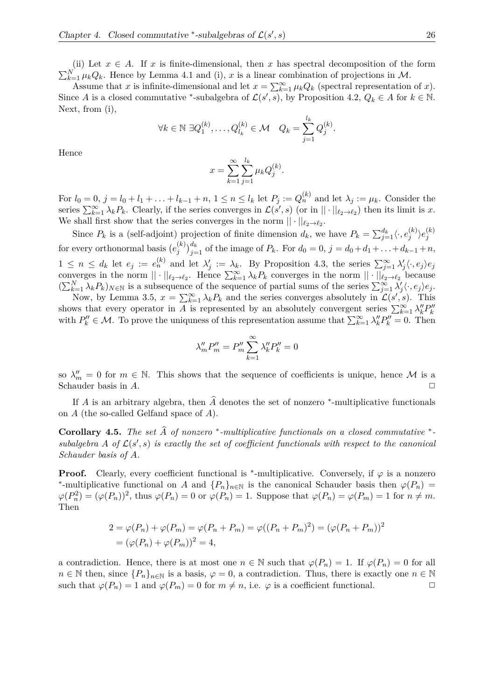(ii) Let  $x \in A$ . If  $x$  is finite-dimensional, then  $x$  has spectral decomposition of the form  $\sum_{k=1}^{N} \mu_k Q_k$ . Hence by Lemma 4.1 and (i), *x* is a linear combination of projections in *M*.

Assume that *x* is infinite-dimensional and let  $x = \sum_{k=1}^{\infty} \mu_k Q_k$  (spectral representation of *x*). Since *A* is a closed commutative \*-subalgebra of  $\mathcal{L}(s', s)$ , by Proposition 4.2,  $Q_k \in A$  for  $k \in \mathbb{N}$ . Next, from (i),

$$
\forall k \in \mathbb{N} \ \exists Q_1^{(k)}, \dots, Q_{l_k}^{(k)} \in \mathcal{M} \quad Q_k = \sum_{j=1}^{l_k} Q_j^{(k)}.
$$

Hence

$$
x = \sum_{k=1}^{\infty} \sum_{j=1}^{l_k} \mu_k Q_j^{(k)}.
$$

For  $l_0 = 0$ ,  $j = l_0 + l_1 + \ldots + l_{k-1} + n$ ,  $1 \leq n \leq l_k$  let  $P_j := Q_n^{(k)}$  and let  $\lambda_j := \mu_k$ . Consider the series  $\sum_{k=1}^{\infty} \lambda_k P_k$ . Clearly, if the series converges in  $\mathcal{L}(s', s)$  (or in  $|| \cdot ||_{\ell_2 \to \ell_2}$ ) then its limit is *x*. We shall first show that the series converges in the norm  $|| \cdot ||_{\ell_2 \to \ell_2}$ .

Since  $P_k$  is a (self-adjoint) projection of finite dimension  $d_k$ , we have  $P_k = \sum_{j=1}^{d_k} \langle \cdot, e_j^{(k)} \rangle$  $\langle k \rangle \langle e^{(k)}_j \rangle$ *j* for every orthonormal basis  $(e_i^{(k)})$  $\int_{j}^{(k)} \int_{j=1}^{d_k}$  of the image of *P*<sub>*k*</sub>. For  $d_0 = 0$ ,  $j = d_0 + d_1 + \ldots + d_{k-1} + n$ ,  $1 \leq n \leq d_k$  let  $e_j := e_n^{(k)}$  and let  $\lambda'_j := \lambda_k$ . By Proposition 4.3, the series  $\sum_{j=1}^{\infty} \lambda'_j \langle \cdot, e_j \rangle e_j$ converges in the norm  $|| \cdot ||_{\ell_2 \to \ell_2}$ . Hence  $\sum_{k=1}^{\infty} \lambda_k P_k$  converges in the norm  $|| \cdot ||_{\ell_2 \to \ell_2}$  because  $(\sum_{k=1}^{N} \lambda_k P_k)_{N \in \mathbb{N}}$  is a subsequence of the sequence of partial sums of the series  $\sum_{j=1}^{\infty} \lambda'_j \langle \cdot, e_j \rangle e_j$ .

Now, by Lemma 3.5,  $x = \sum_{k=1}^{\infty} \lambda_k P_k$  and the series converges absolutely in  $\mathcal{L}(s', s)$ . This shows that every operator in *A* is represented by an absolutely convergent series  $\sum_{k=1}^{\infty} \lambda_k^{\prime\prime} P_k^{\prime\prime}$ with  $P_k'' \in \mathcal{M}$ . To prove the uniquness of this representation assume that  $\sum_{k=1}^{\infty} \lambda_k'' P_k'' = 0$ . Then

$$
\lambda_m'' P_m'' = P_m'' \sum_{k=1}^{\infty} \lambda_k'' P_k'' = 0
$$

so  $\lambda''_m = 0$  for  $m \in \mathbb{N}$ . This shows that the sequence of coefficients is unique, hence M is a Schauder basis in *A*.

If *A* is an arbitrary algebra, then  $\hat{A}$  denotes the set of nonzero <sup>\*</sup>-multiplicative functionals on *A* (the so-called Gelfand space of *A*).

**Corollary 4.5.** *The set*  $\widehat{A}$  *of nonzero* \*-multiplicative functionals on a closed commutative \*subalgebra A of  $\mathcal{L}(s',s)$  is exactly the set of coefficient functionals with respect to the canonical *Schauder basis of A.*

**Proof.** Clearly, every coefficient functional is <sup>\*</sup>-multiplicative. Conversely, if  $\varphi$  is a nonzero <sup>\*</sup>-multiplicative functional on *A* and  ${P_n}_{n \in \mathbb{N}}$  is the canonical Schauder basis then  $\varphi(P_n)$  $\varphi(P_n^2) = (\varphi(P_n))^2$ , thus  $\varphi(P_n) = 0$  or  $\varphi(P_n) = 1$ . Suppose that  $\varphi(P_n) = \varphi(P_m) = 1$  for  $n \neq m$ . Then

$$
2 = \varphi(P_n) + \varphi(P_m) = \varphi(P_n + P_m) = \varphi((P_n + P_m)^2) = (\varphi(P_n + P_m))^2
$$
  
=  $(\varphi(P_n) + \varphi(P_m))^2 = 4$ ,

a contradiction. Hence, there is at most one  $n \in \mathbb{N}$  such that  $\varphi(P_n) = 1$ . If  $\varphi(P_n) = 0$  for all  $n \in \mathbb{N}$  then, since  $\{P_n\}_{n \in \mathbb{N}}$  is a basis,  $\varphi = 0$ , a contradiction. Thus, there is exactly one  $n \in \mathbb{N}$ such that  $\varphi(P_n) = 1$  and  $\varphi(P_m) = 0$  for  $m \neq n$ , i.e.  $\varphi$  is a coefficient functional.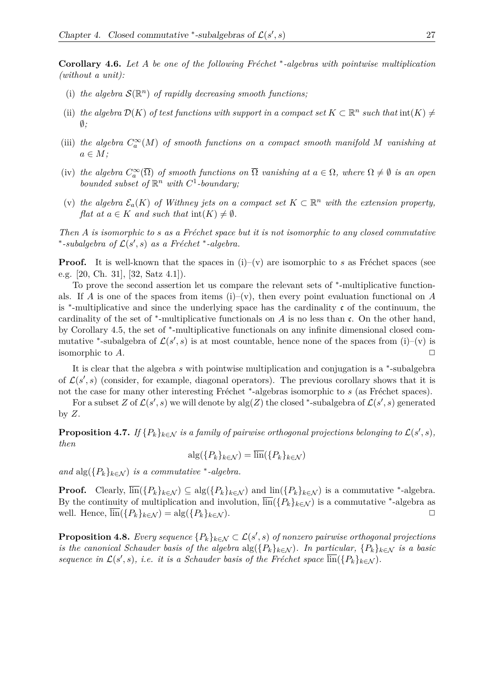**Corollary 4.6.** Let *A* be one of the following Fréchet \*-algebras with pointwise multiplication *(without a unit):*

- (i) the algebra  $\mathcal{S}(\mathbb{R}^n)$  of rapidly decreasing smooth functions;
- (ii) the algebra  $\mathcal{D}(K)$  of test functions with support in a compact set  $K \subset \mathbb{R}^n$  such that  $\text{int}(K) \neq$ ∅*;*
- (iii) the algebra  $C_a^{\infty}(M)$  of smooth functions on a compact smooth manifold M vanishing at *a* ∈ *M;*
- (iv) the algebra  $C_a^{\infty}(\overline{\Omega})$  of smooth functions on  $\overline{\Omega}$  vanishing at  $a \in \Omega$ , where  $\Omega \neq \emptyset$  is an open *bounded subset of*  $\mathbb{R}^n$  *with*  $C^1$ -boundary;
- (v) the algebra  $\mathcal{E}_a(K)$  of Withney jets on a compact set  $K \subset \mathbb{R}^n$  with the extension property, *flat at*  $a \in K$  *and such that*  $int(K) \neq \emptyset$ *.*

*Then A is isomorphic to s as a Fréchet space but it is not isomorphic to any closed commutative* \*-subalgebra of  $\mathcal{L}(s', s)$  as a Fréchet \*-algebra.

**Proof.** It is well-known that the spaces in  $(i)-(v)$  are isomorphic to *s* as Fréchet spaces (see e.g. [20, Ch. 31], [32, Satz 4.1]).

To prove the second assertion let us compare the relevant sets of  $*$ -multiplicative functionals. If *A* is one of the spaces from items (i)–(v), then every point evaluation functional on *A* is <sup>∗</sup> -multiplicative and since the underlying space has the cardinality c of the continuum, the cardinality of the set of <sup>∗</sup> -multiplicative functionals on *A* is no less than c. On the other hand, by Corollary 4.5, the set of <sup>\*</sup>-multiplicative functionals on any infinite dimensional closed commutative <sup>\*</sup>-subalgebra of  $\mathcal{L}(s', s)$  is at most countable, hence none of the spaces from (i)–(v) is isomorphic to  $A$ .

It is clear that the algebra *s* with pointwise multiplication and conjugation is a <sup>\*</sup>-subalgebra of  $\mathcal{L}(s', s)$  (consider, for example, diagonal operators). The previous corollary shows that it is not the case for many other interesting Fréchet <sup>\*</sup>-algebras isomorphic to *s* (as Fréchet spaces).

For a subset *Z* of  $\mathcal{L}(s', s)$  we will denote by  $\text{alg}(Z)$  the closed \*-subalgebra of  $\mathcal{L}(s', s)$  generated by *Z*.

**Proposition 4.7.** If  $\{P_k\}_{k\in\mathcal{N}}$  is a family of pairwise orthogonal projections belonging to  $\mathcal{L}(s',s)$ , *then*

$$
\mathrm{alg}(\{P_k\}_{k\in\mathcal{N}})=\overline{\mathrm{lin}}(\{P_k\}_{k\in\mathcal{N}})
$$

*and*  $\text{alg}(\{P_k\}_{k\in\mathcal{N}})$  *is a commutative* \*-algebra.

**Proof.** Clearly,  $\overline{\text{lin}}(\{P_k\}_{k\in\mathcal{N}}) \subseteq \text{alg}(\{P_k\}_{k\in\mathcal{N}})$  and  $\text{lin}(\{P_k\}_{k\in\mathcal{N}})$  is a commutative \*-algebra. By the continuity of multiplication and involution,  $\overline{\text{lin}}(\{P_k\}_{k\in\mathcal{N}})$  is a commutative <sup>\*</sup>-algebra as well. Hence,  $\overline{\text{lin}}(\{P_k\}_{k \in \mathcal{N}}) = \text{alg}(\{P_k\}_{k \in \mathcal{N}}).$ 

**Proposition 4.8.** *Every sequence*  ${P_k}_{k\in\mathcal{N}} \subset \mathcal{L}(s', s)$  *of nonzero pairwise orthogonal projections is the canonical Schauder basis of the algebra*  $\arg(\{P_k\}_{k\in\mathcal{N}})$ *. In particular,*  $\{P_k\}_{k\in\mathcal{N}}$  *is a basic* sequence in  $\mathcal{L}(s', s)$ , i.e. it is a Schauder basis of the Fréchet space  $\overline{\text{lin}}(\lbrace P_k \rbrace_{k \in \mathcal{N}})$ .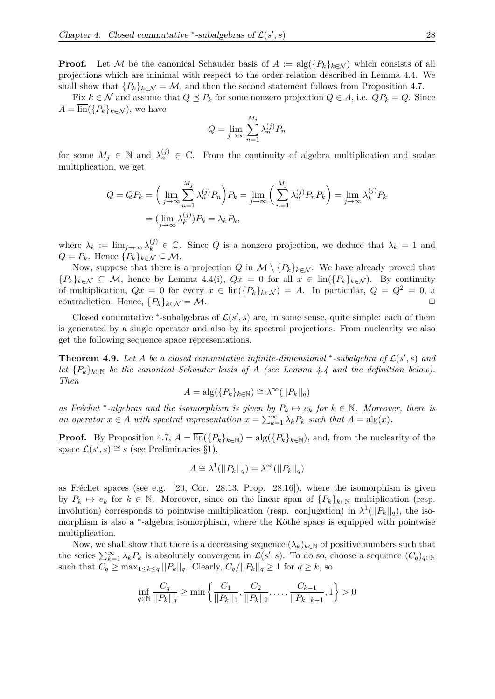**Proof.** Let M be the canonical Schauder basis of  $A := \text{alg}(\{P_k\}_{k \in \mathcal{N}})$  which consists of all projections which are minimal with respect to the order relation described in Lemma 4.4. We shall show that  ${P_k}_{k \in \mathcal{N}} = \mathcal{M}$ , and then the second statement follows from Proposition 4.7.

Fix  $k \in \mathcal{N}$  and assume that  $Q \preceq P_k$  for some nonzero projection  $Q \in A$ , i.e.  $QP_k = Q$ . Since  $A = \text{lin}(\{P_k\}_{k \in \mathcal{N}})$ , we have

$$
Q = \lim_{j \to \infty} \sum_{n=1}^{M_j} \lambda_n^{(j)} P_n
$$

for some  $M_j \in \mathbb{N}$  and  $\lambda_n^{(j)} \in \mathbb{C}$ . From the continuity of algebra multiplication and scalar multiplication, we get

$$
Q = QP_k = \left(\lim_{j \to \infty} \sum_{n=1}^{M_j} \lambda_n^{(j)} P_n \right) P_k = \lim_{j \to \infty} \left(\sum_{n=1}^{M_j} \lambda_n^{(j)} P_n P_k \right) = \lim_{j \to \infty} \lambda_k^{(j)} P_k
$$

$$
= (\lim_{j \to \infty} \lambda_k^{(j)}) P_k = \lambda_k P_k,
$$

where  $\lambda_k := \lim_{j \to \infty} \lambda_k^{(j)} \in \mathbb{C}$ . Since Q is a nonzero projection, we deduce that  $\lambda_k = 1$  and  $Q = P_k$ . Hence  $\{P_k\}_{k \in \mathcal{N}} \subseteq \mathcal{M}$ .

Now, suppose that there is a projection *Q* in  $\mathcal{M} \setminus \{P_k\}_{k \in \mathcal{N}}$ . We have already proved that  ${P_k}_{k\in\mathcal{N}} \subseteq \mathcal{M}$ , hence by Lemma 4.4(i),  $Qx = 0$  for all  $x \in \text{lin}({P_k}_{k\in\mathcal{N}})$ . By continuity of multiplication,  $Qx = 0$  for every  $x \in \overline{\text{lin}}(\{P_k\}_{k \in \mathcal{N}}) = A$ . In particular,  $Q = Q^2 = 0$ , a contradiction. Hence,  ${P_k}_{k \in \mathcal{N}} = \mathcal{M}$ .

Closed commutative \*-subalgebras of  $\mathcal{L}(s', s)$  are, in some sense, quite simple: each of them is generated by a single operator and also by its spectral projections. From nuclearity we also get the following sequence space representations.

**Theorem 4.9.** Let A be a closed commutative infinite-dimensional \*-subalgebra of  $\mathcal{L}(s', s)$  and *let*  ${P_k}_{k \in \mathbb{N}}$  *be the canonical Schauder basis of A (see Lemma 4.4 and the definition below). Then*

$$
A = \mathrm{alg}(\{P_k\}_{k \in \mathbb{N}}) \cong \lambda^{\infty}(||P_k||_q)
$$

as Fréchet<sup>\*</sup>-algebras and the isomorphism is given by  $P_k \mapsto e_k$  for  $k \in \mathbb{N}$ . Moreover, there is *an operator*  $x \in A$  *with spectral representation*  $x = \sum_{k=1}^{\infty} \lambda_k P_k$  *such that*  $A = \text{alg}(x)$ *.* 

**Proof.** By Proposition 4.7,  $A = \overline{\text{lin}}(\{P_k\}_{k \in \mathbb{N}}) = \text{alg}(\{P_k\}_{k \in \mathbb{N}})$ , and, from the nuclearity of the space  $\mathcal{L}(s', s) \cong s$  (see Preliminaries §1),

$$
A \cong \lambda^1(||P_k||_q) = \lambda^\infty(||P_k||_q)
$$

as Fréchet spaces (see e.g.  $[20, \text{Cor. } 28.13, \text{ Prop. } 28.16]$ ), where the isomorphism is given by  $P_k \mapsto e_k$  for  $k \in \mathbb{N}$ . Moreover, since on the linear span of  $\{P_k\}_{k \in \mathbb{N}}$  multiplication (resp. involution) corresponds to pointwise multiplication (resp. conjugation) in  $\lambda^1(||P_k||_q)$ , the isomorphism is also a <sup>\*</sup>-algebra isomorphism, where the Köthe space is equipped with pointwise multiplication.

Now, we shall show that there is a decreasing sequence  $(\lambda_k)_{k\in\mathbb{N}}$  of positive numbers such that the series  $\sum_{k=1}^{\infty} \lambda_k P_k$  is absolutely convergent in  $\mathcal{L}(s', s)$ . To do so, choose a sequence  $(C_q)_{q \in \mathbb{N}}$ such that  $C_q \ge \max_{1 \le k \le q} ||P_k||_q$ . Clearly,  $C_q/||P_k||_q \ge 1$  for  $q \ge k$ , so

$$
\inf_{q \in \mathbb{N}} \frac{C_q}{||P_k||_q} \ge \min\left\{ \frac{C_1}{||P_k||_1}, \frac{C_2}{||P_k||_2}, \dots, \frac{C_{k-1}}{||P_k||_{k-1}}, 1 \right\} > 0
$$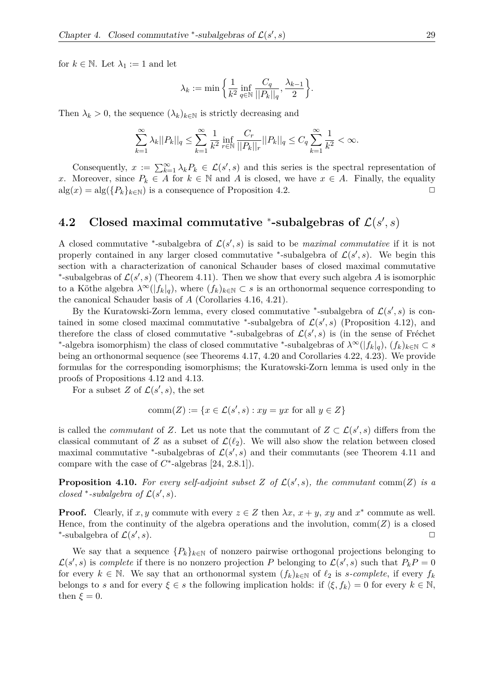for  $k \in \mathbb{N}$ . Let  $\lambda_1 := 1$  and let

$$
\lambda_k := \min \bigg\{\frac{1}{k^2} \inf_{q \in \mathbb{N}} \frac{C_q}{||P_k||_q}, \frac{\lambda_{k-1}}{2} \bigg\}.
$$

Then  $\lambda_k > 0$ , the sequence  $(\lambda_k)_{k \in \mathbb{N}}$  is strictly decreasing and

$$
\sum_{k=1}^{\infty} \lambda_k ||P_k||_q \le \sum_{k=1}^{\infty} \frac{1}{k^2} \inf_{r \in \mathbb{N}} \frac{C_r}{||P_k||_r} ||P_k||_q \le C_q \sum_{k=1}^{\infty} \frac{1}{k^2} < \infty.
$$

Consequently,  $x := \sum_{k=1}^{\infty} \lambda_k P_k \in \mathcal{L}(s', s)$  and this series is the spectral representation of *x*. Moreover, since  $P_k \in A$  for  $k \in \mathbb{N}$  and *A* is closed, we have  $x \in A$ . Finally, the equality  $alg(x) = alg({P_k}_{k \in \mathbb{N}})$  is a consequence of Proposition 4.2.

#### **4.2** Closed maximal commutative  $*$ -subalgebras of  $\mathcal{L}(s', s)$

A closed commutative <sup>\*</sup>-subalgebra of  $\mathcal{L}(s', s)$  is said to be *maximal commutative* if it is not properly contained in any larger closed commutative <sup>\*</sup>-subalgebra of  $\mathcal{L}(s', s)$ . We begin this section with a characterization of canonical Schauder bases of closed maximal commutative \*-subalgebras of  $\mathcal{L}(s', s)$  (Theorem 4.11). Then we show that every such algebra A is isomorphic to a Köthe algebra  $\lambda^{\infty}(|f_k|_q)$ , where  $(f_k)_{k\in\mathbb{N}}\subset s$  is an orthonormal sequence corresponding to the canonical Schauder basis of *A* (Corollaries 4.16, 4.21).

By the Kuratowski-Zorn lemma, every closed commutative <sup>\*</sup>-subalgebra of  $\mathcal{L}(s', s)$  is contained in some closed maximal commutative \*-subalgebra of  $\mathcal{L}(s', s)$  (Proposition 4.12), and therefore the class of closed commutative <sup>\*</sup>-subalgebras of  $\mathcal{L}(s',s)$  is (in the sense of Fréchet \*-algebra isomorphism) the class of closed commutative \*-subalgebras of  $\lambda^{\infty}(|f_k|_q)$ ,  $(f_k)_{k \in \mathbb{N}} \subset s$ being an orthonormal sequence (see Theorems 4.17, 4.20 and Corollaries 4.22, 4.23). We provide formulas for the corresponding isomorphisms; the Kuratowski-Zorn lemma is used only in the proofs of Propositions 4.12 and 4.13.

For a subset *Z* of  $\mathcal{L}(s', s)$ , the set

$$
comm(Z) := \{ x \in \mathcal{L}(s', s) : xy = yx \text{ for all } y \in Z \}
$$

is called the *commutant* of *Z*. Let us note that the commutant of  $Z \subset \mathcal{L}(s', s)$  differs from the classical commutant of *Z* as a subset of  $\mathcal{L}(\ell_2)$ . We will also show the relation between closed maximal commutative <sup>\*</sup>-subalgebras of  $\mathcal{L}(s', s)$  and their commutants (see Theorem 4.11 and compare with the case of  $C^*$ -algebras [24, 2.8.1]).

**Proposition 4.10.** For every self-adjoint subset  $Z$  of  $\mathcal{L}(s', s)$ , the commutant comm( $Z$ ) is a *closed* \*-*subalgebra of*  $\mathcal{L}(s', s)$ *.* 

**Proof.** Clearly, if  $x, y$  commute with every  $z \in Z$  then  $\lambda x, x + y, xy$  and  $x^*$  commute as well. Hence, from the continuity of the algebra operations and the involution,  $comm(Z)$  is a closed ∗ -subalgebra of L(*s* 0  $, s$ ).

We say that a sequence  ${P_k}_{k\in\mathbb{N}}$  of nonzero pairwise orthogonal projections belonging to  $\mathcal{L}(s', s)$  is *complete* if there is no nonzero projection *P* belonging to  $\mathcal{L}(s', s)$  such that  $P_k P = 0$ for every  $k \in \mathbb{N}$ . We say that an orthonormal system  $(f_k)_{k \in \mathbb{N}}$  of  $\ell_2$  is *s*-complete, if every  $f_k$ belongs to *s* and for every  $\xi \in s$  the following implication holds: if  $\langle \xi, f_k \rangle = 0$  for every  $k \in \mathbb{N}$ , then  $\xi = 0$ .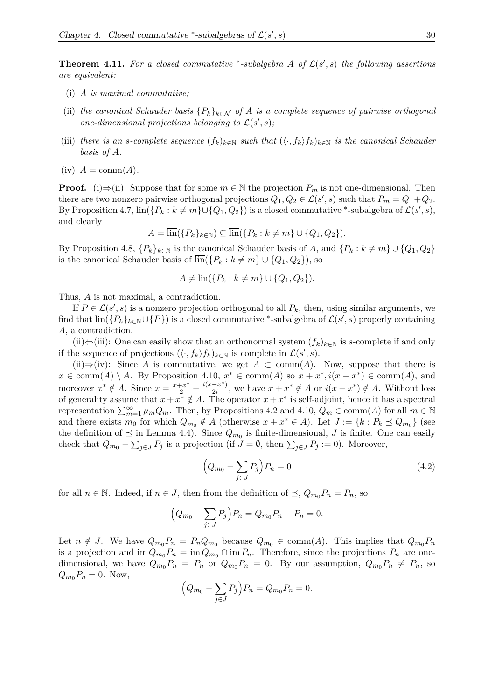**Theorem 4.11.** For a closed commutative \*-subalgebra A of  $\mathcal{L}(s', s)$  the following assertions *are equivalent:*

- (i) *A is maximal commutative;*
- (ii) the canonical Schauder basis  $\{P_k\}_{k\in\mathcal{N}}$  of A is a complete sequence of pairwise orthogonal *one-dimensional projections belonging to*  $\mathcal{L}(s', s)$ ;
- (iii) there is an *s*-complete sequence  $(f_k)_{k\in\mathbb{N}}$  such that  $(\langle \cdot, f_k \rangle f_k)_{k\in\mathbb{N}}$  is the canonical Schauder *basis of A.*
- $(iv)$   $A = \text{comm}(A)$ .

**Proof.** (i)⇒(ii): Suppose that for some  $m \in \mathbb{N}$  the projection  $P_m$  is not one-dimensional. Then there are two nonzero pairwise orthogonal projections  $Q_1, Q_2 \in \mathcal{L}(s', s)$  such that  $P_m = Q_1 + Q_2$ . By Proposition 4.7,  $\overline{\text{lin}}(\{P_k : k \neq m\} \cup \{Q_1, Q_2\})$  is a closed commutative  $\text{*}-$ subalgebra of  $\mathcal{L}(s', s)$ , and clearly

$$
A = \overline{\text{lin}}(\{P_k\}_{k \in \mathbb{N}}) \subseteq \overline{\text{lin}}(\{P_k : k \neq m\} \cup \{Q_1, Q_2\}).
$$

By Proposition 4.8,  $\{P_k\}_{k\in\mathbb{N}}$  is the canonical Schauder basis of *A*, and  $\{P_k : k \neq m\} \cup \{Q_1, Q_2\}$ is the canonical Schauder basis of  $\overline{\text{lin}}(\lbrace P_k : k \neq m \rbrace \cup \lbrace Q_1, Q_2 \rbrace)$ , so

$$
A \neq \overline{\text{lin}}(\{P_k : k \neq m\} \cup \{Q_1, Q_2\}).
$$

Thus, *A* is not maximal, a contradiction.

If  $P \in \mathcal{L}(s', s)$  is a nonzero projection orthogonal to all  $P_k$ , then, using similar arguments, we  $\min(\{P_k\}_{k\in\mathbb{N}}\cup\{P\})$  is a closed commutative  $^*$ -subalgebra of  $\mathcal{L}(s',s)$  properly containing *A*, a contradiction.

(ii)⇔(iii): One can easily show that an orthonormal system  $(f_k)_{k \in \mathbb{N}}$  is *s*-complete if and only if the sequence of projections  $(\langle \cdot, f_k \rangle f_k)_{k \in \mathbb{N}}$  is complete in  $\mathcal{L}(s', s)$ .

(ii)⇒(iv): Since *A* is commutative, we get  $A \subset \text{comm}(A)$ . Now, suppose that there is  $x \in \text{comm}(A) \setminus A$ . By Proposition 4.10,  $x^* \in \text{comm}(A)$  so  $x + x^*$ ,  $i(x - x^*) \in \text{comm}(A)$ , and moreover  $x^* \notin A$ . Since  $x = \frac{x + x^*}{2} + \frac{i(x - x^*)}{2i}$  $\frac{-x^*}{2i}$ , we have  $x + x^* \notin A$  or  $i(x - x^*) \notin A$ . Without loss of generality assume that  $x + x^* \notin A$ . The operator  $x + x^*$  is self-adjoint, hence it has a spectral representation  $\sum_{m=1}^{\infty} \mu_m Q_m$ . Then, by Propositions 4.2 and 4.10,  $Q_m \in \text{comm}(A)$  for all  $m \in \mathbb{N}$ and there exists  $m_0$  for which  $Q_{m_0} \notin A$  (otherwise  $x + x^* \in A$ ). Let  $J := \{k : P_k \preceq Q_{m_0}\}\$  (see the definition of  $\preceq$  in Lemma 4.4). Since  $Q_{m_0}$  is finite-dimensional, *J* is finite. One can easily check that  $Q_{m_0} - \sum_{j \in J} P_j$  is a projection (if  $J = \emptyset$ , then  $\sum_{j \in J} P_j := 0$ ). Moreover,

$$
\left(Q_{m_0} - \sum_{j \in J} P_j\right) P_n = 0\tag{4.2}
$$

for all  $n \in \mathbb{N}$ . Indeed, if  $n \in J$ , then from the definition of  $\preceq$ ,  $Q_{m_0}P_n = P_n$ , so

$$
(Q_{m_0} - \sum_{j \in J} P_j) P_n = Q_{m_0} P_n - P_n = 0.
$$

Let  $n \notin J$ . We have  $Q_{m_0}P_n = P_nQ_{m_0}$  because  $Q_{m_0} \in \text{comm}(A)$ . This implies that  $Q_{m_0}P_n$ is a projection and  $\lim Q_{m_0} P_n = \lim Q_{m_0} \cap \lim P_n$ . Therefore, since the projections  $P_n$  are onedimensional, we have  $Q_{m_0}P_n = P_n$  or  $Q_{m_0}P_n = 0$ . By our assumption,  $Q_{m_0}P_n \neq P_n$ , so  $Q_{m_0}P_n = 0$ . Now,

$$
(Q_{m_0} - \sum_{j \in J} P_j) P_n = Q_{m_0} P_n = 0.
$$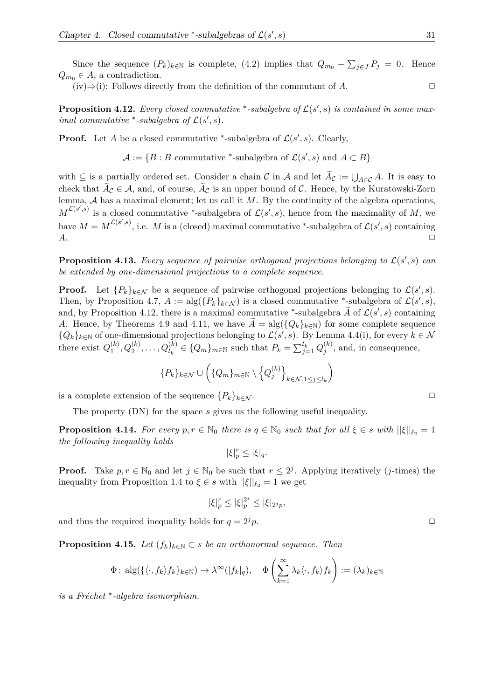Since the sequence  $(P_k)_{k \in \mathbb{N}}$  is complete, (4.2) implies that  $Q_{m_0} - \sum_{j \in J} P_j = 0$ . Hence  $Q_{m_0} \in A$ , a contradiction.

 $(iv) \Rightarrow (i)$ : Follows directly from the definition of the commutant of *A*.

**Proposition 4.12.** Every closed commutative \*-subalgebra of  $\mathcal{L}(s', s)$  is contained in some max*imal commutative* \*-*subalgebra of*  $\mathcal{L}(s', s)$ *.* 

**Proof.** Let *A* be a closed commutative \*-subalgebra of  $\mathcal{L}(s', s)$ . Clearly,

 $\mathcal{A} := \{ B : B \text{ commutative *subalgebra of } \mathcal{L}(s', s) \text{ and } A \subset B \}$ 

with  $\subseteq$  is a partially ordered set. Consider a chain C in A and let  $A_{\mathcal{C}} := \bigcup_{A \in \mathcal{C}} A$ . It is easy to check that  $A_{\mathcal{C}} \in \mathcal{A}$ , and, of course,  $A_{\mathcal{C}}$  is an upper bound of  $\mathcal{C}$ . Hence, by the Kuratowski-Zorn lemma, A has a maximal element; let us call it *M*. By the continuity of the algebra operations,  $\overline{M}^{\mathcal{L}(s',s)}$  is a closed commutative \*-subalgebra of  $\mathcal{L}(s',s)$ , hence from the maximality of *M*, we have  $M = \overline{M}^{\mathcal{L}(s',s)}$ , i.e. *M* is a (closed) maximal commutative \*-subalgebra of  $\mathcal{L}(s',s)$  containing  $A$ .

**Proposition 4.13.** Every sequence of pairwise orthogonal projections belonging to  $\mathcal{L}(s', s)$  can *be extended by one-dimensional projections to a complete sequence.*

**Proof.** Let  ${P_k}_{k\in\mathcal{N}}$  be a sequence of pairwise orthogonal projections belonging to  $\mathcal{L}(s', s)$ . Then, by Proposition 4.7,  $A := \text{alg}(\{P_k\}_{k \in \mathcal{N}})$  is a closed commutative \*-subalgebra of  $\mathcal{L}(s', s)$ , and, by Proposition 4.12, there is a maximal commutative <sup>\*</sup>-subalgebra  $\widetilde{A}$  of  $\mathcal{L}(s',s)$  containing *A*. Hence, by Theorems 4.9 and 4.11, we have  $A = \text{alg}(\{Q_k\}_{k\in\mathbb{N}})$  for some complete sequence  ${Q_k}_{k \in \mathbb{N}}$  of one-dimensional projections belonging to  $\mathcal{L}(s', s)$ . By Lemma 4.4(i), for every  $k \in \mathcal{N}$ there exist  $Q_1^{(k)}$  $Q_1^{(k)}, Q_2^{(k)}, \ldots, Q_{l_k}^{(k)} \in \{Q_m\}_{m \in \mathbb{N}}$  such that  $P_k = \sum_{j=1}^{l_k} Q_j^{(k)}$  $j^{(k)}$ , and, in consequence,

$$
\{P_k\}_{k \in \mathcal{N}} \cup \left( \{Q_m\}_{m \in \mathbb{N}} \setminus \left\{Q_j^{(k)}\right\}_{k \in \mathcal{N}, 1 \le j \le l_k} \right)
$$

is a complete extension of the sequence  ${P_k}_{k \in \mathcal{N}}$ .

The property (DN) for the space *s* gives us the following useful inequality.

**Proposition 4.14.** For every  $p, r \in \mathbb{N}_0$  there is  $q \in \mathbb{N}_0$  such that for all  $\xi \in s$  with  $||\xi||_{\ell_2} = 1$ *the following inequality holds*

$$
|\xi|_p^r \le |\xi|_q.
$$

**Proof.** Take  $p, r \in \mathbb{N}_0$  and let  $j \in \mathbb{N}_0$  be such that  $r \leq 2^j$ . Applying iteratively (*j*-times) the inequality from Proposition 1.4 to  $\xi \in s$  with  $||\xi||_{\ell_2} = 1$  we get

$$
|\xi|_p^r \le |\xi|_p^{2^j} \le |\xi|_{2^jp},
$$

and thus the required inequality holds for  $q = 2^{j}p$ .

**Proposition 4.15.** *Let*  $(f_k)_{k \in \mathbb{N}} \subset s$  *be an orthonormal sequence. Then* 

$$
\Phi\colon \mathrm{alg}(\{\langle \cdot, f_k \rangle f_k\}_{k \in \mathbb{N}}) \to \lambda^\infty(|f_k|_q), \quad \Phi\left(\sum_{k=1}^\infty \lambda_k \langle \cdot, f_k \rangle f_k\right) := (\lambda_k)_{k \in \mathbb{N}}
$$

*is a Fr´echet* <sup>∗</sup> *-algebra isomorphism.*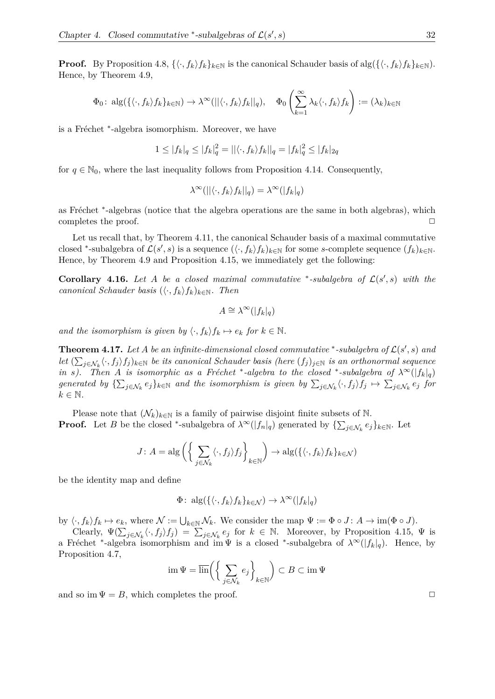**Proof.** By Proposition 4.8,  $\{\langle \cdot, f_k \rangle f_k\}_{k \in \mathbb{N}}$  is the canonical Schauder basis of alg $(\{\langle \cdot, f_k \rangle f_k\}_{k \in \mathbb{N}})$ . Hence, by Theorem 4.9,

$$
\Phi_0: \ \mathrm{alg}(\{\langle \cdot, f_k \rangle f_k\}_{k \in \mathbb{N}}) \to \lambda^\infty(||\langle \cdot, f_k \rangle f_k||_q), \quad \Phi_0\left(\sum_{k=1}^\infty \lambda_k \langle \cdot, f_k \rangle f_k\right) := (\lambda_k)_{k \in \mathbb{N}}
$$

is a Fréchet <sup>\*</sup>-algebra isomorphism. Moreover, we have

$$
1 \le |f_k|_q \le |f_k|_q^2 = ||\langle \cdot, f_k \rangle f_k||_q = |f_k|_q^2 \le |f_k|_{2q}
$$

for  $q \in \mathbb{N}_0$ , where the last inequality follows from Proposition 4.14. Consequently,

$$
\lambda^{\infty}(||\langle \cdot, f_k \rangle f_k||_q) = \lambda^{\infty}(|f_k|_q)
$$

as Fréchet <sup>\*</sup>-algebras (notice that the algebra operations are the same in both algebras), which completes the proof.  $\Box$ 

Let us recall that, by Theorem 4.11, the canonical Schauder basis of a maximal commutative closed <sup>\*</sup>-subalgebra of  $\mathcal{L}(s', s)$  is a sequence  $(\langle \cdot, f_k \rangle f_k)_{k \in \mathbb{N}}$  for some *s*-complete sequence  $(f_k)_{k \in \mathbb{N}}$ . Hence, by Theorem 4.9 and Proposition 4.15, we immediately get the following:

**Corollary 4.16.** *Let A be a closed maximal commutative* \*-subalgebra of  $\mathcal{L}(s', s)$  with the *canonical Schauder basis*  $(\langle \cdot, f_k \rangle f_k)_{k \in \mathbb{N}}$ *. Then* 

$$
A \cong \lambda^{\infty}(|f_k|_q)
$$

*and the isomorphism is given by*  $\langle \cdot, f_k \rangle f_k \mapsto e_k$  *for*  $k \in \mathbb{N}$ *.* 

**Theorem 4.17.** Let A be an infinite-dimensional closed commutative \*-subalgebra of  $\mathcal{L}(s', s)$  and  $let \ (\sum_{j \in \mathcal{N}_k} \langle \cdot, f_j \rangle f_j)_{k \in \mathbb{N}}\ be\ its\ canonical\ Schauder\ basis\ (here\ (f_j)_{j \in \mathbb{N}}\ is\ an\ orthonormal\ sequence\ of\ the\ set\ of\ the\ set\ of\ the\ set\ of\ the\ set\ of\ the\ set\ of\ the\ set\ of\ the\ set\ of\ the\ set\ of\ the\ set\ of\ the\ set\ of\ the\ set\ of\ the\ set\ of\ the\ set\ of\ the\ set\ of\ the\ set\ of\ the\ set\ of\ the\ set\ of\ the\ set\ of\ the\ set\ of\ the\ set\ of\ the\ set\ of\ the\ set\ of\ the\ set\ of\ the$ *in s*). Then *A is isomorphic as a Fréchet* \*-algebra to the closed \*-subalgebra of  $\lambda^{\infty}(|f_k|_q)$ *generated by*  $\{\sum_{j\in\mathcal{N}_k}e_j\}_{k\in\mathbb{N}}$  and the isomorphism is given by  $\sum_{j\in\mathcal{N}_k}\langle\cdot,f_j\rangle f_j\mapsto\sum_{j\in\mathcal{N}_k}e_j$  for  $k \in \mathbb{N}$ .

Please note that  $(\mathcal{N}_k)_{k\in\mathbb{N}}$  is a family of pairwise disjoint finite subsets of N. **Proof.** Let *B* be the closed \*-subalgebra of  $\lambda^{\infty}(|f_n|_q)$  generated by  $\{\sum_{j\in\mathcal{N}_k}e_j\}_{k\in\mathbb{N}}$ . Let

$$
J\colon A = \mathrm{alg}\left(\left\{\sum_{j\in\mathcal{N}_k} \langle \cdot, f_j \rangle f_j\right\}_{k\in\mathbb{N}}\right) \to \mathrm{alg}(\{\langle \cdot, f_k \rangle f_k\}_{k\in\mathcal{N}})
$$

be the identity map and define

$$
\Phi: \mathrm{alg}(\{\langle \cdot, f_k \rangle f_k\}_{k \in \mathcal{N}}) \to \lambda^{\infty}(|f_k|_q)
$$

by  $\langle \cdot, f_k \rangle f_k \mapsto e_k$ , where  $\mathcal{N} := \bigcup_{k \in \mathbb{N}} \mathcal{N}_k$ . We consider the map  $\Psi := \Phi \circ J : A \to \text{im}(\Phi \circ J)$ .

Clearly,  $\Psi(\sum_{j\in\mathcal{N}_k}\langle\cdot,f_j\rangle f_j) = \sum_{j\in\mathcal{N}_k}e_j$  for  $k \in \mathbb{N}$ . Moreover, by Proposition 4.15,  $\Psi$  is a Fréchet <sup>\*</sup>-algebra isomorphism and im  $\Psi$  is a closed <sup>\*</sup>-subalgebra of  $\lambda^{\infty}(|f_k|_q)$ . Hence, by Proposition 4.7,

$$
\operatorname{im} \Psi = \overline{\operatorname{lin}} \left( \left\{ \sum_{j \in \mathcal{N}_k} e_j \right\}_{k \in \mathbb{N}} \right) \subset B \subset \operatorname{im} \Psi
$$

and so im  $\Psi = B$ , which completes the proof.  $\square$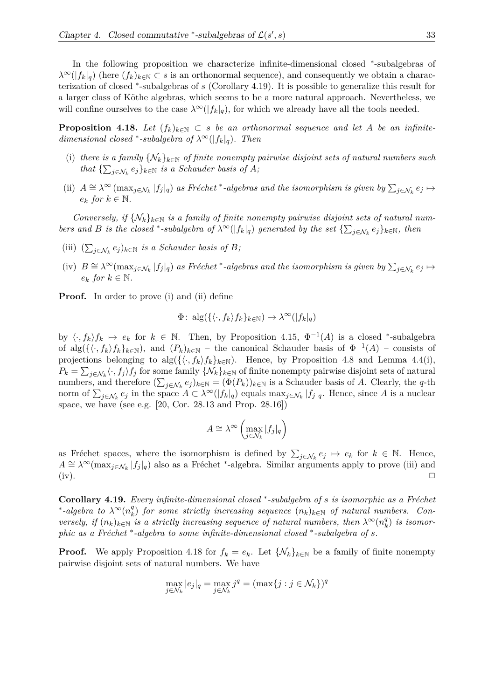In the following proposition we characterize infinite-dimensional closed \*-subalgebras of  $\lambda^{\infty}(|f_k|_q)$  (here  $(f_k)_{k\in\mathbb{N}}\subset s$  is an orthonormal sequence), and consequently we obtain a characterization of closed <sup>∗</sup> -subalgebras of *s* (Corollary 4.19). It is possible to generalize this result for a larger class of Köthe algebras, which seems to be a more natural approach. Nevertheless, we will confine ourselves to the case  $\lambda^{\infty}(|f_k|_q)$ , for which we already have all the tools needed.

**Proposition 4.18.** *Let*  $(f_k)_{k \in \mathbb{N}} \subset s$  *be an orthonormal sequence and let A be an infinitedimensional closed* \*-*subalgebra of*  $\lambda^{\infty}(|f_k|_q)$ *. Then* 

- (i) there is a family  $\{N_k\}_{k\in\mathbb{N}}$  of finite nonempty pairwise disjoint sets of natural numbers such *that*  $\{\sum_{j \in \mathcal{N}_k} e_j\}_{k \in \mathbb{N}}$  *is a Schauder basis of A;*
- (ii)  $A \cong \lambda^{\infty} (\max_{j \in \mathcal{N}_k} |f_j|_q)$  as Fréchet<sup>\*</sup>-algebras and the isomorphism is given by  $\sum_{j \in \mathcal{N}_k} e_j \mapsto$  $e_k$  *for*  $k \in \mathbb{N}$ *.*

*Conversely, if*  $\{N_k\}_{k\in\mathbb{N}}$  *is a family of finite nonempty pairwise disjoint sets of natural numbers and B is the closed* \*-*subalgebra of*  $\lambda^{\infty}(|f_k|_q)$  *generated by the set*  $\{\sum_{j\in\mathcal{N}_k}e_j\}_{k\in\mathbb{N}}$ *, then* 

- (iii)  $(\sum_{j \in \mathcal{N}_k} e_j)_{k \in \mathbb{N}}$  *is a Schauder basis of B*;
- $\sum_{j \in \mathcal{N}_k} e_j \mapsto$   $B \cong \lambda^{\infty}(\max_{j \in \mathcal{N}_k} |f_j|_q)$  as Fréchet \*-algebras and the isomorphism is given by  $\sum_{j \in \mathcal{N}_k} e_j \mapsto$  $e_k$  *for*  $k \in \mathbb{N}$ *.*

**Proof.** In order to prove (i) and (ii) define

$$
\Phi: \mathrm{alg}(\{\langle \cdot, f_k \rangle f_k\}_{k \in \mathbb{N}}) \to \lambda^{\infty}(|f_k|_q)
$$

by  $\langle \cdot, f_k \rangle f_k \mapsto e_k$  for  $k \in \mathbb{N}$ . Then, by Proposition 4.15,  $\Phi^{-1}(A)$  is a closed \*-subalgebra of  $\text{alg}(\{\langle \cdot, f_k \rangle f_k\}_{k\in\mathbb{N}})$ , and  $(P_k)_{k\in\mathbb{N}}$  – the canonical Schauder basis of  $\Phi^{-1}(A)$  – consists of projections belonging to  $\text{alg}(\{\langle \cdot, f_k \rangle f_k\}_{k \in \mathbb{N}})$ . Hence, by Proposition 4.8 and Lemma 4.4(i),  $P_k = \sum_{j \in \mathcal{N}_k} \langle \cdot, f_j \rangle f_j$  for some family  $\{ \mathcal{N}_k \}_{k \in \mathbb{N}}$  of finite nonempty pairwise disjoint sets of natural numbers, and therefore  $(\sum_{j\in\mathcal{N}_k} e_j)_{k\in\mathbb{N}} = (\Phi(P_k))_{k\in\mathbb{N}}$  is a Schauder basis of *A*. Clearly, the *q*-th norm of  $\sum_{j\in\mathcal{N}_k} e_j$  in the space  $A \subset \lambda^{\infty}(|f_k|_q)$  equals  $\max_{j\in\mathcal{N}_k} |f_j|_q$ . Hence, since A is a nuclear space, we have (see e.g. [20, Cor. 28.13 and Prop. 28.16])

$$
A \cong \lambda^{\infty} \left( \max_{j \in \mathcal{N}_k} |f_j|_q \right)
$$

as Fréchet spaces, where the isomorphism is defined by  $\sum_{j\in\mathcal{N}_k} e_j \mapsto e_k$  for  $k \in \mathbb{N}$ . Hence,  $A \cong \lambda^{\infty}(\max_{j \in \mathcal{N}_k} |f_j|_q)$  also as a Fréchet \*-algebra. Similar arguments apply to prove (iii) and (iv).  $\Box$ 

**Corollary 4.19.** *Every infinite-dimensional closed* \*-subalgebra of *s* is isomorphic as a Fréchet \*-*algebra* to  $\lambda^{\infty}(n_k^q)$  $\mathcal{L}_{k}^{q}$  for some strictly increasing sequence  $(n_k)_{k \in \mathbb{N}}$  of natural numbers. Con*versely, if*  $(n_k)_{k\in\mathbb{N}}$  *is a strictly increasing sequence of natural numbers, then*  $\lambda^{\infty}(n_k^q)$ *k* ) *is isomorphic as a Fréchet* <sup>\*</sup>-algebra to some infinite-dimensional closed <sup>\*</sup>-subalgebra of *s*.

**Proof.** We apply Proposition 4.18 for  $f_k = e_k$ . Let  $\{\mathcal{N}_k\}_{k\in\mathbb{N}}$  be a family of finite nonempty pairwise disjoint sets of natural numbers. We have

$$
\max_{j \in \mathcal{N}_k} |e_j|_q = \max_{j \in \mathcal{N}_k} j^q = (\max\{j : j \in \mathcal{N}_k\})^q
$$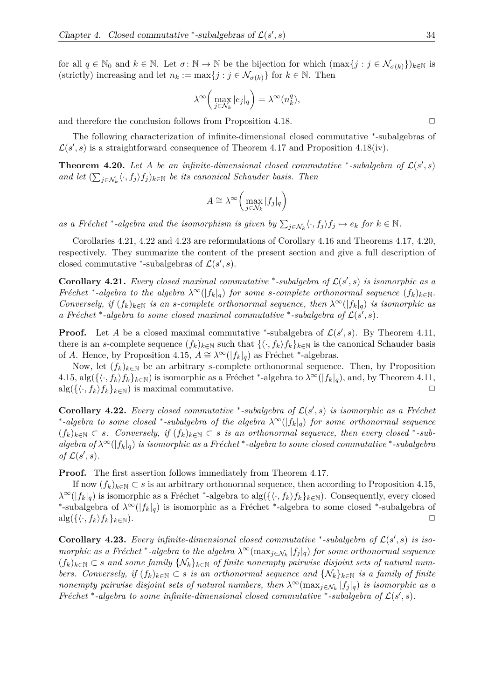for all  $q \in \mathbb{N}_0$  and  $k \in \mathbb{N}$ . Let  $\sigma \colon \mathbb{N} \to \mathbb{N}$  be the bijection for which  $(\max\{j : j \in \mathcal{N}_{\sigma(k)}\})_{k \in \mathbb{N}}$  is (strictly) increasing and let  $n_k := \max\{j : j \in \mathcal{N}_{\sigma(k)}\}$  for  $k \in \mathbb{N}$ . Then

$$
\lambda^{\infty}\left(\max_{j\in\mathcal{N}_k}|e_j|_q\right)=\lambda^{\infty}(n_k^q),
$$

and therefore the conclusion follows from Proposition 4.18.  $\Box$ 

The following characterization of infinite-dimensional closed commutative \*-subalgebras of  $\mathcal{L}(s',s)$  is a straightforward consequence of Theorem 4.17 and Proposition 4.18(iv).

**Theorem 4.20.** Let A be an infinite-dimensional closed commutative \*-subalgebra of  $\mathcal{L}(s', s)$ *and let*  $(\sum_{j \in \mathcal{N}_k} \langle \cdot, f_j \rangle f_j)_{k \in \mathbb{N}}$  *be its canonical Schauder basis. Then* 

$$
A \cong \lambda^{\infty} \left( \max_{j \in \mathcal{N}_k} |f_j|_q \right)
$$

as a Fréchet<sup>\*</sup>-algebra and the isomorphism is given by  $\sum_{j \in \mathcal{N}_k} \langle \cdot, f_j \rangle f_j \mapsto e_k$  for  $k \in \mathbb{N}$ .

Corollaries 4.21, 4.22 and 4.23 are reformulations of Corollary 4.16 and Theorems 4.17, 4.20, respectively. They summarize the content of the present section and give a full description of closed commutative <sup>\*</sup>-subalgebras of  $\mathcal{L}(s', s)$ .

**Corollary 4.21.** *Every closed maximal commutative* \*-subalgebra of  $\mathcal{L}(s', s)$  *is isomorphic as a Fréchet* \*-algebra to the algebra  $\lambda^{\infty}(|f_k|_q)$  for some *s*-complete orthonormal sequence  $(f_k)_{k \in \mathbb{N}}$ . *Conversely, if*  $(f_k)_{k\in\mathbb{N}}$  *is an s-complete orthonormal sequence, then*  $\lambda^{\infty}(|f_k|_q)$  *is isomorphic as a* Fréchet \*-algebra to some closed maximal commutative \*-subalgebra of  $\mathcal{L}(s', s)$ .

**Proof.** Let *A* be a closed maximal commutative \*-subalgebra of  $\mathcal{L}(s', s)$ . By Theorem 4.11, there is an *s*-complete sequence  $(f_k)_{k\in\mathbb{N}}$  such that  $\{\langle \cdot, f_k \rangle f_k\}_{k\in\mathbb{N}}$  is the canonical Schauder basis of *A*. Hence, by Proposition 4.15,  $A \cong \lambda^{\infty}(|f_k|_q)$  as Fréchet \*-algebras.

Now, let  $(f_k)_{k\in\mathbb{N}}$  be an arbitrary *s*-complete orthonormal sequence. Then, by Proposition  $4.15$ ,  $\text{alg}(\{\langle \cdot, f_k \rangle f_k\}_{k \in \mathbb{N}})$  is isomorphic as a Fréchet \*-algebra to  $\lambda^{\infty}(|f_k|_q)$ , and, by Theorem 4.11,  $\text{alg}(\{\langle \cdot, f_k \rangle f_k\}_{k \in \mathbb{N}})$  is maximal commutative.

**Corollary 4.22.** *Every closed commutative* \*-subalgebra of  $\mathcal{L}(s', s)$  *is isomorphic as a Fréchet* ∗ *-algebra to some closed* <sup>∗</sup> *-subalgebra of the algebra λ*∞(|*fk*|*q*) *for some orthonormal sequence*  $(f_k)_{k \in \mathbb{N}}$  ⊂ *s.* Conversely, if  $(f_k)_{k \in \mathbb{N}}$  ⊂ *s is an orthonormal sequence, then every closed* \*-*sub* $a$ *lgebra of*  $\lambda^{\infty}(|f_k|_q)$  *is isomorphic as a Fréchet* \*-*algebra to some closed commutative* \*-*subalgebra of*  $\mathcal{L}(s', s)$ *.* 

**Proof.** The first assertion follows immediately from Theorem 4.17.

If now  $(f_k)_{k \in \mathbb{N}} \subset s$  is an arbitrary orthonormal sequence, then according to Proposition 4.15,  $\lambda^{\infty}(|f_k|_q)$  is isomorphic as a Fréchet <sup>\*</sup>-algebra to alg $({\{\langle} \cdot, f_k \rangle f_k\}_{k \in \mathbb{N}})$ . Consequently, every closed \*-subalgebra of  $\lambda^{\infty}(|f_k|_q)$  is isomorphic as a Fréchet \*-algebra to some closed \*-subalgebra of  $\arg(\{\langle \cdot, f_k \rangle f_k\}_{k\in\mathbb{N}}).$ 

**Corollary 4.23.** Every infinite-dimensional closed commutative \*-subalgebra of  $\mathcal{L}(s', s)$  is iso*morphic as a Fréchet* <sup>\*</sup>-algebra to the algebra  $\lambda^{\infty}(\max_{j\in\mathcal{N}_k}|f_j|_q)$  for some orthonormal sequence (*fk*)*k*∈<sup>N</sup> ⊂ *s and some family* {N*k*}*k*∈<sup>N</sup> *of finite nonempty pairwise disjoint sets of natural numbers.* Conversely, if  $(f_k)_{k\in\mathbb{N}} \subset s$  *is an orthonormal sequence and*  $\{N_k\}_{k\in\mathbb{N}}$  *is a family of finite nonempty pairwise disjoint sets of natural numbers, then*  $\lambda^{\infty}$ (max $_{j\in\mathcal{N}_k}$  | $f_j|_q$ ) *is isomorphic as a Fréchet* \*-algebra to some infinite-dimensional closed commutative \*-subalgebra of  $\mathcal{L}(s', s)$ .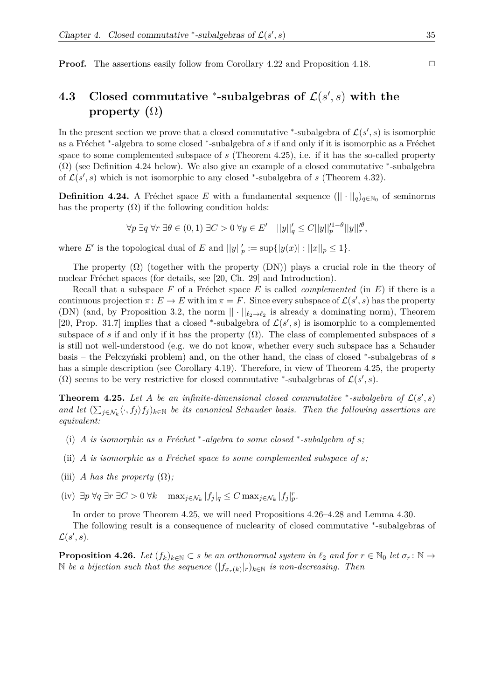**Proof.** The assertions easily follow from Corollary 4.22 and Proposition 4.18. □

### **4.3** Closed commutative  $*$ -subalgebras of  $\mathcal{L}(s', s)$  with the **property (**Ω**)**

In the present section we prove that a closed commutative \*-subalgebra of  $\mathcal{L}(s', s)$  is isomorphic as a Fréchet <sup>\*</sup>-algebra to some closed <sup>\*</sup>-subalgebra of *s* if and only if it is isomorphic as a Fréchet space to some complemented subspace of *s* (Theorem 4.25), i.e. if it has the so-called property  $(\Omega)$  (see Definition 4.24 below). We also give an example of a closed commutative  $*$ -subalgebra of  $\mathcal{L}(s', s)$  which is not isomorphic to any closed \*-subalgebra of *s* (Theorem 4.32).

**Definition 4.24.** A Fréchet space *E* with a fundamental sequence  $(|| \cdot ||_q)_{q \in \mathbb{N}_0}$  of seminorms has the property  $(\Omega)$  if the following condition holds:

$$
\forall p \ \exists q \ \forall r \ \exists \theta \in (0,1) \ \exists C > 0 \ \forall y \in E' \quad ||y||_q' \leq C ||y||_p'^{1-\theta} ||y||_r'^{\theta},
$$

where *E'* is the topological dual of *E* and  $||y||_p' := \sup\{|y(x)| : ||x||_p \le 1\}.$ 

The property  $(\Omega)$  (together with the property  $(DN)$ ) plays a crucial role in the theory of nuclear Fréchet spaces (for details, see [20, Ch. 29] and Introduction).

Recall that a subspace  $F$  of a Fréchet space  $E$  is called *complemented* (in  $E$ ) if there is a continuous projection  $\pi: E \to E$  with im  $\pi = F$ . Since every subspace of  $\mathcal{L}(s', s)$  has the property (DN) (and, by Proposition 3.2, the norm  $|| \cdot ||_{\ell_2 \to \ell_2}$  is already a dominating norm), Theorem [20, Prop. 31.7] implies that a closed \*-subalgebra of  $\mathcal{L}(s', s)$  is isomorphic to a complemented subspace of *s* if and only if it has the property  $(\Omega)$ . The class of complemented subspaces of *s* is still not well-understood (e.g. we do not know, whether every such subspace has a Schauder basis – the Pełczyński problem) and, on the other hand, the class of closed <sup>∗</sup> -subalgebras of *s* has a simple description (see Corollary 4.19). Therefore, in view of Theorem 4.25, the property (Ω) seems to be very restrictive for closed commutative \*-subalgebras of  $\mathcal{L}(s', s)$ .

**Theorem 4.25.** Let A be an infinite-dimensional closed commutative \*-subalgebra of  $\mathcal{L}(s', s)$ and let  $(\sum_{j\in\mathcal{N}_k} \langle \cdot, f_j \rangle f_j)_{k\in\mathbb{N}}$  be its canonical Schauder basis. Then the following assertions are *equivalent:*

- (i) *A is isomorphic as a Fréchet*  $*$ -algebra to some closed  $*$ -subalgebra of s;
- (ii) *A is isomorphic as a Fréchet space to some complemented subspace of*  $s$ *;*
- (iii) *A* has the property  $(\Omega)$ ;
- $(\text{iv}) \exists p \forall q \exists r \exists C > 0 \forall k \quad \max_{j \in \mathcal{N}_k} |f_j|_q \leq C \max_{j \in \mathcal{N}_k} |f_j|_p^r.$

In order to prove Theorem 4.25, we will need Propositions 4.26–4.28 and Lemma 4.30.

The following result is a consequence of nuclearity of closed commutative \*-subalgebras of  $\mathcal{L}(s', s)$ .

**Proposition 4.26.** *Let*  $(f_k)_{k\in\mathbb{N}}\subset s$  *be an orthonormal system in*  $\ell_2$  *and for*  $r\in\mathbb{N}_0$  *let*  $\sigma_r:\mathbb{N}\to\mathbb{N}$  $\mathbb{N}$  *be a bijection such that the sequence*  $(|f_{\sigma_r(k)}|_r)_{k \in \mathbb{N}}$  *is non-decreasing. Then*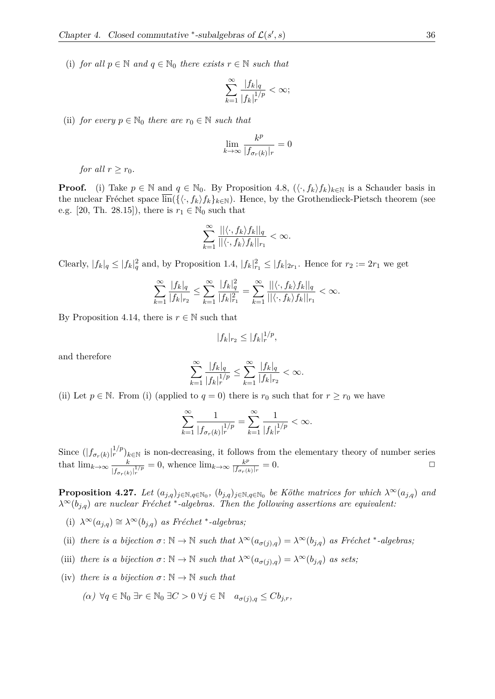(i) *for all*  $p \in \mathbb{N}$  *and*  $q \in \mathbb{N}_0$  *there exists*  $r \in \mathbb{N}$  *such that* 

$$
\sum_{k=1}^{\infty} \frac{|f_k|_q}{|f_k|_r^{1/p}} < \infty;
$$

(ii) *for every*  $p \in \mathbb{N}_0$  *there are*  $r_0 \in \mathbb{N}$  *such that* 

$$
\lim_{k \to \infty} \frac{k^p}{|f_{\sigma_r(k)}|_r} = 0
$$

*for all*  $r > r_0$ *.* 

**Proof.** (i) Take  $p \in \mathbb{N}$  and  $q \in \mathbb{N}_0$ . By Proposition 4.8,  $(\langle \cdot, f_k \rangle f_k)_{k \in \mathbb{N}}$  is a Schauder basis in the nuclear Fréchet space  $\overline{\text{lin}}(\{\langle \cdot, f_k \rangle f_k\}_{k\in\mathbb{N}})$ . Hence, by the Grothendieck-Pietsch theorem (see e.g. [20, Th. 28.15]), there is  $r_1 \in \mathbb{N}_0$  such that

$$
\sum_{k=1}^{\infty} \frac{||\langle \cdot, f_k \rangle f_k||_q}{||\langle \cdot, f_k \rangle f_k||_{r_1}} < \infty.
$$

Clearly,  $|f_k|_q \leq |f_k|_q^2$  and, by Proposition 1.4,  $|f_k|_{r_1}^2 \leq |f_k|_{2r_1}$ . Hence for  $r_2 := 2r_1$  we get

$$
\sum_{k=1}^{\infty} \frac{|f_k|_q}{|f_k|_{r_2}} \le \sum_{k=1}^{\infty} \frac{|f_k|_q^2}{|f_k|_{r_1}^2} = \sum_{k=1}^{\infty} \frac{||\langle \cdot, f_k \rangle f_k||_q}{||\langle \cdot, f_k \rangle f_k||_{r_1}} < \infty.
$$

By Proposition 4.14, there is  $r \in \mathbb{N}$  such that

$$
|f_k|_{r_2} \le |f_k|_{r}^{1/p},
$$

and therefore

$$
\sum_{k=1}^{\infty} \frac{|f_k|_q}{|f_k|_r^{1/p}} \le \sum_{k=1}^{\infty} \frac{|f_k|_q}{|f_k|_{r_2}} < \infty.
$$

(ii) Let  $p \in \mathbb{N}$ . From (i) (applied to  $q = 0$ ) there is  $r_0$  such that for  $r \ge r_0$  we have

$$
\sum_{k=1}^{\infty} \frac{1}{|f_{\sigma_r(k)}|_r^{1/p}} = \sum_{k=1}^{\infty} \frac{1}{|f_k|_r^{1/p}} < \infty.
$$

Since  $(|f_{\sigma_r(k)}|_r^{1/p})_{k \in \mathbb{N}}$  is non-decreasing, it follows from the elementary theory of number series that  $\lim_{k\to\infty} \frac{k}{k}$  $\frac{k}{|f_{\sigma_r(k)}|_r^{1/p}} = 0$ , whence  $\lim_{k \to \infty} \frac{k^p}{|f_{\sigma_r(k)}|_r^{1/p}}$  $\frac{k^{\mu}}{|f_{\sigma_r(k)}|_r} = 0.$ 

**Proposition 4.27.** *Let*  $(a_{j,q})_{j \in \mathbb{N}, q \in \mathbb{N}_0}$ ,  $(b_{j,q})_{j \in \mathbb{N}, q \in \mathbb{N}_0}$  *be Köthe matrices for which*  $\lambda^{\infty}(a_{j,q})$  *and*  $\lambda^{\infty}(b_{j,q})$  are nuclear Fréchet<sup>\*</sup>-algebras. Then the following assertions are equivalent:

- (i)  $\lambda^{\infty}(a_{j,q}) \cong \lambda^{\infty}(b_{j,q})$  *as Fréchet* \*-*algebras*;
- (ii) there is a bijection  $\sigma : \mathbb{N} \to \mathbb{N}$  such that  $\lambda^{\infty}(a_{\sigma(j),q}) = \lambda^{\infty}(b_{j,q})$  as Fréchet \*-algebras;
- (iii) *there is a bijection*  $\sigma : \mathbb{N} \to \mathbb{N}$  *such that*  $\lambda^{\infty}(a_{\sigma(i),q}) = \lambda^{\infty}(b_{j,q})$  *as sets;*
- (iv) *there is a bijection*  $\sigma : \mathbb{N} \to \mathbb{N}$  *such that* 
	- *(α)* ∀*q* ∈ N<sup>0</sup> ∃*r* ∈ N<sup>0</sup> ∃*C >* 0 ∀*j* ∈ N *aσ*(*j*)*,q* ≤ *Cbj,r,*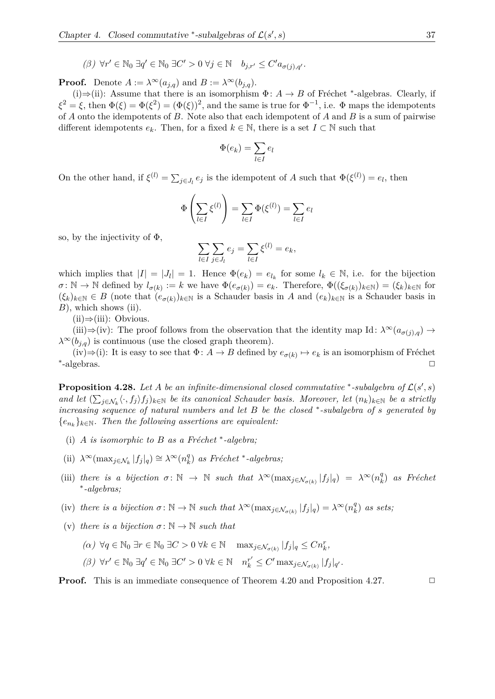$(\beta)$   $\forall r' \in \mathbb{N}_0 \exists q' \in \mathbb{N}_0 \exists C' > 0 \ \forall j \in \mathbb{N} \quad b_{j,r'} \leq C' a_{\sigma(j),q'}.$ 

**Proof.** Denote  $A := \lambda^{\infty}(a_{j,q})$  and  $B := \lambda^{\infty}(b_{j,q})$ .

(i) $\Rightarrow$ (ii): Assume that there is an isomorphism  $\Phi: A \rightarrow B$  of Fréchet <sup>\*</sup>-algebras. Clearly, if  $\xi^2 = \xi$ , then  $\Phi(\xi) = \Phi(\xi^2) = (\Phi(\xi))^2$ , and the same is true for  $\Phi^{-1}$ , i.e.  $\Phi$  maps the idempotents of *A* onto the idempotents of *B*. Note also that each idempotent of *A* and *B* is a sum of pairwise different idempotents  $e_k$ . Then, for a fixed  $k \in \mathbb{N}$ , there is a set  $I \subset \mathbb{N}$  such that

$$
\Phi(e_k) = \sum_{l \in I} e_l
$$

On the other hand, if  $\xi^{(l)} = \sum_{j \in J_l} e_j$  is the idempotent of *A* such that  $\Phi(\xi^{(l)}) = e_l$ , then

$$
\Phi\left(\sum_{l\in I}\xi^{(l)}\right)=\sum_{l\in I}\Phi(\xi^{(l)})=\sum_{l\in I}e_l
$$

so, by the injectivity of  $\Phi$ ,

$$
\sum_{l \in I} \sum_{j \in J_l} e_j = \sum_{l \in I} \xi^{(l)} = e_k,
$$

which implies that  $|I| = |J_l| = 1$ . Hence  $\Phi(e_k) = e_{l_k}$  for some  $l_k \in \mathbb{N}$ , i.e. for the bijection  $\sigma: \mathbb{N} \to \mathbb{N}$  defined by  $l_{\sigma(k)} := k$  we have  $\Phi(e_{\sigma(k)}) = e_k$ . Therefore,  $\Phi((\xi_{\sigma(k)})_{k \in \mathbb{N}}) = (\xi_k)_{k \in \mathbb{N}}$  for  $(\xi_k)_{k\in\mathbb{N}} \in B$  (note that  $(e_{\sigma(k)})_{k\in\mathbb{N}}$  is a Schauder basis in *A* and  $(e_k)_{k\in\mathbb{N}}$  is a Schauder basis in *B*), which shows (ii).

 $(ii) \Rightarrow (iii):$  Obvious.

(iii)⇒(iv): The proof follows from the observation that the identity map Id:  $\lambda^{\infty}(a_{\sigma(i),q}) \rightarrow$  $\lambda^{\infty}(b_{i,q})$  is continuous (use the closed graph theorem).

(iv) $\Rightarrow$ (i): It is easy to see that  $\Phi: A \to B$  defined by  $e_{\sigma(k)} \mapsto e_k$  is an isomorphism of Fréchet ∗  $-\text{algebras.}$ 

**Proposition 4.28.** Let A be an infinite-dimensional closed commutative \*-subalgebra of  $\mathcal{L}(s', s)$ *and let*  $(\sum_{j\in\mathcal{N}_k} \langle \cdot, f_j \rangle f_j)_{k\in\mathbb{N}}$  *be its canonical Schauder basis. Moreover, let*  $(n_k)_{k\in\mathbb{N}}$  *be a strictly increasing sequence of natural numbers and let B be the closed* <sup>∗</sup> *-subalgebra of s generated by*  ${e_{n_k}}_{k \in \mathbb{N}}$ . Then the following assertions are equivalent:

- (i)  $A$  *is isomorphic to*  $B$  *as a Fréchet*  $*$ -algebra;
- $(\text{ii}) \ \lambda^{\infty}(\max_{j \in \mathcal{N}_k} |f_j|_q) \cong \lambda^{\infty}(n_k^q)$  $\binom{q}{k}$  *as Fréchet* \*-*algebras*;
- (iii) *there is a bijection*  $\sigma: \mathbb{N} \to \mathbb{N}$  *such that*  $\lambda^{\infty}(\max_{j \in \mathcal{N}_{\sigma(k)}} |f_j|_q) = \lambda^{\infty}(n_k^q)$  $\binom{q}{k}$  *as Fréchet* ∗ *-algebras;*
- (iv) *there is a bijection*  $\sigma : \mathbb{N} \to \mathbb{N}$  *such that*  $\lambda^{\infty}(\max_{j \in \mathcal{N}_{\sigma(k)}} |f_j|_q) = \lambda^{\infty}(n_k^q)$ *k* ) *as sets;*
- (v) *there is a bijection*  $\sigma: \mathbb{N} \to \mathbb{N}$  *such that*

$$
(\alpha) \ \forall q \in \mathbb{N}_0 \ \exists r \in \mathbb{N}_0 \ \exists C > 0 \ \forall k \in \mathbb{N} \quad \max_{j \in \mathcal{N}_{\sigma(k)}} |f_j|_q \leq C n_k^r,
$$

$$
(\beta) \ \forall r' \in \mathbb{N}_0 \ \exists q' \in \mathbb{N}_0 \ \exists C' > 0 \ \forall k \in \mathbb{N} \quad n_k^{r'} \le C' \max_{j \in \mathcal{N}_{\sigma(k)}} |f_j|_{q'}.
$$

**Proof.** This is an immediate consequence of Theorem 4.20 and Proposition 4.27. □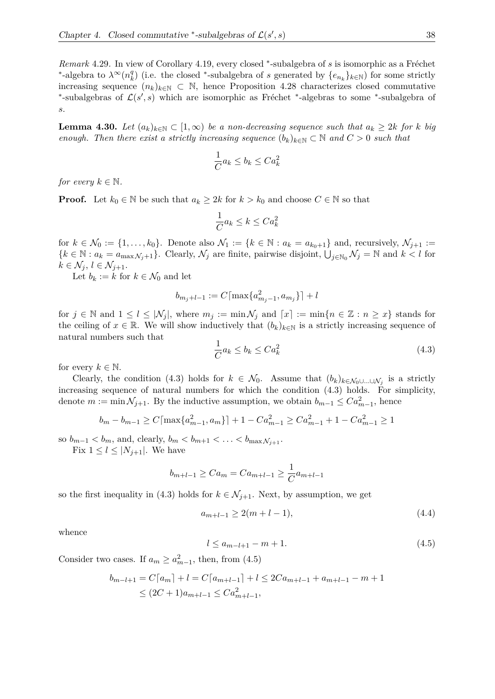*Remark* 4.29. In view of Corollary 4.19, every closed \*-subalgebra of *s* is isomorphic as a Fréchet <sup>\*</sup>-algebra to  $\lambda^{\infty}(n_k^q)$  $k$ <sup>0</sup>) (i.e. the closed <sup>∗</sup>-subalgebra of *s* generated by  ${e_{n_k}}_{k \in \mathbb{N}}$ ) for some strictly increasing sequence  $(n_k)_{k\in\mathbb{N}}\subset\mathbb{N}$ , hence Proposition 4.28 characterizes closed commutative <sup>\*</sup>-subalgebras of  $\mathcal{L}(s', s)$  which are isomorphic as Fréchet <sup>\*</sup>-algebras to some <sup>\*</sup>-subalgebra of *s*.

**Lemma 4.30.** Let  $(a_k)_{k \in \mathbb{N}}$  ⊂  $[1, \infty)$  be a non-decreasing sequence such that  $a_k ≥ 2k$  for *k* big *enough. Then there exist a strictly increasing sequence*  $(b_k)_{k \in \mathbb{N}} \subset \mathbb{N}$  and  $C > 0$  such that

$$
\frac{1}{C}a_k \le b_k \le Ca_k^2
$$

*for every*  $k \in \mathbb{N}$ *.* 

**Proof.** Let  $k_0 \in \mathbb{N}$  be such that  $a_k \geq 2k$  for  $k > k_0$  and choose  $C \in \mathbb{N}$  so that

$$
\frac{1}{C}a_k \le k \le Ca_k^2
$$

for  $k \in \mathcal{N}_0 := \{1, \ldots, k_0\}$ . Denote also  $\mathcal{N}_1 := \{k \in \mathbb{N} : a_k = a_{k_0+1}\}\$ and, recursively,  $\mathcal{N}_{j+1} :=$  ${k \in \mathbb{N} : a_k = a_{\max \mathcal{N}_j+1}}$ . Clearly,  $\mathcal{N}_j$  are finite, pairwise disjoint,  $\bigcup_{j \in \mathbb{N}_0} \mathcal{N}_j = \mathbb{N}$  and  $k < l$  for  $k \in \mathcal{N}_j, l \in \mathcal{N}_{j+1}.$ 

Let  $b_k := k$  for  $k \in \mathcal{N}_0$  and let

$$
b_{m_j+l-1} := C \lceil \max\{a_{m_j-1}^2, a_{m_j}\}\rceil + l
$$

for  $j \in \mathbb{N}$  and  $1 \leq l \leq |\mathcal{N}_j|$ , where  $m_j := \min \mathcal{N}_j$  and  $\lceil x \rceil := \min \{ n \in \mathbb{Z} : n \geq x \}$  stands for the ceiling of  $x \in \mathbb{R}$ . We will show inductively that  $(b_k)_{k \in \mathbb{N}}$  is a strictly increasing sequence of natural numbers such that

$$
\frac{1}{C}a_k \le b_k \le Ca_k^2\tag{4.3}
$$

for every  $k \in \mathbb{N}$ .

Clearly, the condition (4.3) holds for  $k \in \mathcal{N}_0$ . Assume that  $(b_k)_{k \in \mathcal{N}_0 \cup ... \cup \mathcal{N}_j}$  is a strictly increasing sequence of natural numbers for which the condition (4.3) holds. For simplicity, denote  $m := \min \mathcal{N}_{j+1}$ . By the inductive assumption, we obtain  $b_{m-1} \leq C a_{m-1}^2$ , hence

$$
b_m - b_{m-1} \ge C \lceil \max\{a_{m-1}^2, a_m\} \rceil + 1 - C a_{m-1}^2 \ge C a_{m-1}^2 + 1 - C a_{m-1}^2 \ge 1
$$

so  $b_{m-1} < b_m$ , and, clearly,  $b_m < b_{m+1} < \ldots < b_{\max N_{i+1}}$ .

Fix  $1 \leq l \leq |N_{j+1}|$ . We have

$$
b_{m+l-1} \geq Ca_m = Ca_{m+l-1} \geq \frac{1}{C}a_{m+l-1}
$$

so the first inequality in (4.3) holds for  $k \in \mathcal{N}_{j+1}$ . Next, by assumption, we get

$$
a_{m+l-1} \ge 2(m+l-1),\tag{4.4}
$$

whence

$$
l \le a_{m-l+1} - m + 1. \tag{4.5}
$$

Consider two cases. If  $a_m \ge a_{m-1}^2$ , then, from (4.5)

$$
b_{m-l+1} = C\lceil a_m \rceil + l = C\lceil a_{m+l-1} \rceil + l \le 2Ca_{m+l-1} + a_{m+l-1} - m + 1
$$
  
 
$$
\le (2C+1)a_{m+l-1} \le Ca_{m+l-1}^2,
$$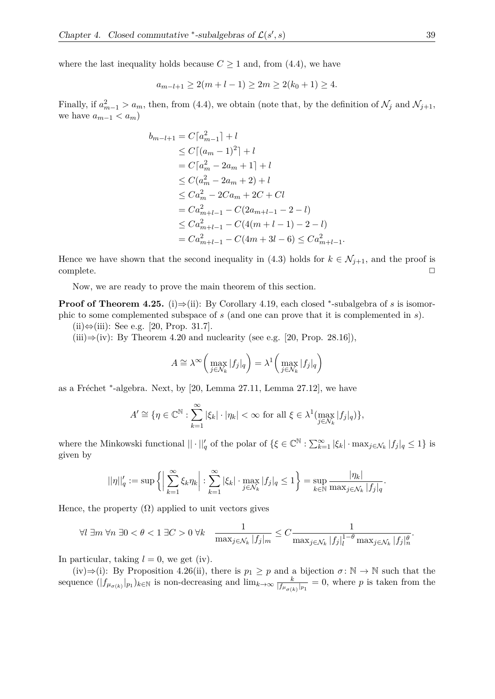where the last inequality holds because  $C \geq 1$  and, from (4.4), we have

$$
a_{m-l+1} \ge 2(m+l-1) \ge 2m \ge 2(k_0+1) \ge 4.
$$

Finally, if  $a_{m-1}^2 > a_m$ , then, from (4.4), we obtain (note that, by the definition of  $\mathcal{N}_j$  and  $\mathcal{N}_{j+1}$ , we have  $a_{m-1} < a_m$ 

$$
b_{m-l+1} = C[a_{m-1}^2] + l
$$
  
\n
$$
\leq C[(a_m - 1)^2] + l
$$
  
\n
$$
= C[a_m^2 - 2a_m + 1] + l
$$
  
\n
$$
\leq C(a_m^2 - 2a_m + 2) + l
$$
  
\n
$$
\leq Ca_m^2 - 2Ca_m + 2C + Cl
$$
  
\n
$$
= Ca_{m+l-1}^2 - C(2a_{m+l-1} - 2 - l)
$$
  
\n
$$
\leq Ca_{m+l-1}^2 - C(4(m + l - 1) - 2 - l)
$$
  
\n
$$
= Ca_{m+l-1}^2 - C(4m + 3l - 6) \leq Ca_{m+l-1}^2
$$

Hence we have shown that the second inequality in (4.3) holds for  $k \in \mathcal{N}_{j+1}$ , and the proof is  $\Box$ complete.  $\Box$ 

*.*

Now, we are ready to prove the main theorem of this section.

**Proof of Theorem 4.25.** (i)⇒(ii): By Corollary 4.19, each closed \*-subalgebra of *s* is isomorphic to some complemented subspace of *s* (and one can prove that it is complemented in *s*).

(ii)⇔(iii): See e.g. [20, Prop. 31.7].

(iii) $\Rightarrow$ (iv): By Theorem 4.20 and nuclearity (see e.g. [20, Prop. 28.16]),

$$
A \cong \lambda^{\infty} \left( \max_{j \in \mathcal{N}_k} |f_j|_q \right) = \lambda^1 \left( \max_{j \in \mathcal{N}_k} |f_j|_q \right)
$$

as a Fréchet <sup>\*</sup>-algebra. Next, by [20, Lemma 27.11, Lemma 27.12], we have

$$
A' \cong \{ \eta \in \mathbb{C}^{\mathbb{N}} : \sum_{k=1}^{\infty} |\xi_k| \cdot |\eta_k| < \infty \text{ for all } \xi \in \lambda^1(\max_{j \in \mathcal{N}_k} |f_j|_q) \},
$$

where the Minkowski functional  $|| \cdot ||'_q$  of the polar of  $\{\xi \in \mathbb{C}^{\mathbb{N}} : \sum_{k=1}^{\infty} |\xi_k| \cdot \max_{j \in \mathcal{N}_k} |f_j|_q \leq 1\}$  is given by

$$
||\eta||_q' := \sup \left\{ \left| \sum_{k=1}^{\infty} \xi_k \eta_k \right| : \sum_{k=1}^{\infty} |\xi_k| \cdot \max_{j \in \mathcal{N}_k} |f_j|_q \le 1 \right\} = \sup_{k \in \mathbb{N}} \frac{|\eta_k|}{\max_{j \in \mathcal{N}_k} |f_j|_q}.
$$

Hence, the property  $(\Omega)$  applied to unit vectors gives

$$
\forall l \exists m \,\forall n \,\exists 0 < \theta < 1 \,\exists C > 0 \,\forall k \quad \frac{1}{\max_{j \in \mathcal{N}_k} |f_j|_m} \le C \frac{1}{\max_{j \in \mathcal{N}_k} |f_j|_l^{1-\theta} \max_{j \in \mathcal{N}_k} |f_j|_n^{\theta}}.
$$

In particular, taking  $l = 0$ , we get (iv).

(iv) $\Rightarrow$ (i): By Proposition 4.26(ii), there is  $p_1 \geq p$  and a bijection  $\sigma : \mathbb{N} \to \mathbb{N}$  such that the sequence  $(|f_{\mu_{\sigma(k)}}|_{p_1})_{k \in \mathbb{N}}$  is non-decreasing and  $\lim_{k \to \infty} \frac{k}{|f_{\mu_{\sigma(k)}}|}$  $\frac{k}{|f_{\mu_{\sigma(k)}}|_{p_1}} = 0$ , where *p* is taken from the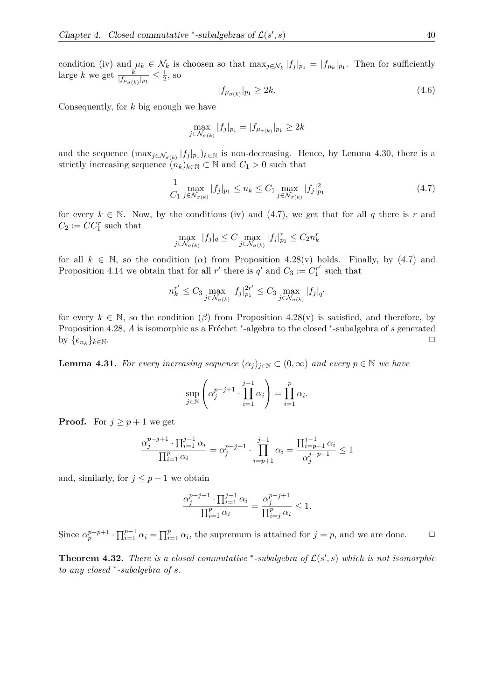condition (iv) and  $\mu_k \in \mathcal{N}_k$  is choosen so that  $\max_{j \in \mathcal{N}_k} |f_j|_{p_1} = |f_{\mu_k}|_{p_1}$ . Then for sufficiently large *k* we get  $\frac{k}{|f_{\mu_{\sigma(k)}}|_{p_1}} \leq \frac{1}{2}$  $\frac{1}{2}$ , so

$$
|f_{\mu_{\sigma(k)}}|_{p_1} \ge 2k. \tag{4.6}
$$

Consequently, for *k* big enough we have

$$
\max_{j \in \mathcal{N}_{\sigma(k)}} |f_j|_{p_1} = |f_{\mu_{\sigma(k)}}|_{p_1} \ge 2k
$$

and the sequence  $(\max_{j \in \mathcal{N}_{\sigma(k)}} |f_j|_{p_1})_{k \in \mathbb{N}}$  is non-decreasing. Hence, by Lemma 4.30, there is a strictly increasing sequence  $(n_k)_{k \in \mathbb{N}} \subset \mathbb{N}$  and  $C_1 > 0$  such that

$$
\frac{1}{C_1} \max_{j \in \mathcal{N}_{\sigma(k)}} |f_j|_{p_1} \le n_k \le C_1 \max_{j \in \mathcal{N}_{\sigma(k)}} |f_j|_{p_1}^2 \tag{4.7}
$$

for every  $k \in \mathbb{N}$ . Now, by the conditions (iv) and (4.7), we get that for all *q* there is *r* and  $C_2 := CC_1^r$  such that

$$
\max_{j \in \mathcal{N}_{\sigma(k)}} |f_j|_q \le C \max_{j \in \mathcal{N}_{\sigma(k)}} |f_j|_{p_1}^r \le C_2 n_k^r
$$

for all  $k \in \mathbb{N}$ , so the condition ( $\alpha$ ) from Proposition 4.28(v) holds. Finally, by (4.7) and Proposition 4.14 we obtain that for all  $r'$  there is  $q'$  and  $C_3 := C_1^{r'}$  $j''_1$  such that

$$
n_k^{r'} \le C_3 \max_{j \in \mathcal{N}_{\sigma(k)}} |f_j|_{p_1}^{2r'} \le C_3 \max_{j \in \mathcal{N}_{\sigma(k)}} |f_j|_{q'}
$$

for every  $k \in \mathbb{N}$ , so the condition  $(\beta)$  from Proposition 4.28(v) is satisfied, and therefore, by Proposition 4.28, A is isomorphic as a Fréchet <sup>\*</sup>-algebra to the closed <sup>\*</sup>-subalgebra of *s* generated by  $\{e_{n_k}\}_{k\in\mathbb{N}}$ .  $\}$ *k*∈N.  $□$ 

**Lemma 4.31.** For every increasing sequence  $(\alpha_j)_{j \in \mathbb{N}} \subset (0, \infty)$  and every  $p \in \mathbb{N}$  we have

$$
\sup_{j \in \mathbb{N}} \left( \alpha_j^{p-j+1} \cdot \prod_{i=1}^{j-1} \alpha_i \right) = \prod_{i=1}^p \alpha_i.
$$

**Proof.** For  $j \geq p+1$  we get

$$
\frac{\alpha_j^{p-j+1} \cdot \prod_{i=1}^{j-1} \alpha_i}{\prod_{i=1}^p \alpha_i} = \alpha_j^{p-j+1} \cdot \prod_{i=p+1}^{j-1} \alpha_i = \frac{\prod_{i=p+1}^{j-1} \alpha_i}{\alpha_j^{j-p-1}} \le 1
$$

and, similarly, for  $j \leq p-1$  we obtain

$$
\frac{\alpha_j^{p-j+1} \cdot \prod_{i=1}^{j-1} \alpha_i}{\prod_{i=1}^p \alpha_i} = \frac{\alpha_j^{p-j+1}}{\prod_{i=j}^p \alpha_i} \le 1.
$$

Since  $\alpha_p^{p-p+1} \cdot \prod_{i=1}^{p-1} \alpha_i = \prod_{i=1}^{p} \alpha_i$ , the supremum is attained for  $j = p$ , and we are done.  $\Box$ 

**Theorem 4.32.** *There is a closed commutative* \*-subalgebra of  $\mathcal{L}(s', s)$  which is not isomorphic *to any closed* <sup>∗</sup> *-subalgebra of s.*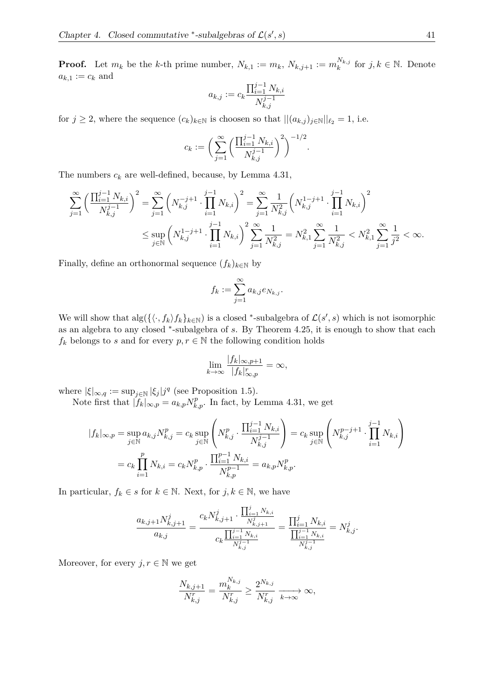**Proof.** Let  $m_k$  be the *k*-th prime number,  $N_{k,1} := m_k$ ,  $N_{k,j+1} := m_k^{N_{k,j}}$  $k^{N_{k,j}}$  for *j*, *k* ∈ *N*. Denote  $a_{k,1} := c_k$  and

$$
a_{k,j} := c_k \frac{\prod_{i=1}^{j-1} N_{k,i}}{N_{k,j}^{j-1}}
$$

for  $j \geq 2$ , where the sequence  $(c_k)_{k \in \mathbb{N}}$  is choosen so that  $||(a_{k,j})_{j \in \mathbb{N}}||_{\ell_2} = 1$ , i.e.

$$
c_k := \bigg(\sum_{j=1}^{\infty} \bigg(\frac{\prod_{i=1}^{j-1} N_{k,i}}{N_{k,j}^{j-1}}\bigg)^2\bigg)^{-1/2}
$$

*.*

The numbers  $c_k$  are well-defined, because, by Lemma 4.31,

$$
\sum_{j=1}^{\infty} \left( \frac{\prod_{i=1}^{j-1} N_{k,i}}{N_{k,j}^{j-1}} \right)^2 = \sum_{j=1}^{\infty} \left( N_{k,j}^{-j+1} \cdot \prod_{i=1}^{j-1} N_{k,i} \right)^2 = \sum_{j=1}^{\infty} \frac{1}{N_{k,j}^2} \left( N_{k,j}^{1-j+1} \cdot \prod_{i=1}^{j-1} N_{k,i} \right)^2
$$
  

$$
\leq \sup_{j \in \mathbb{N}} \left( N_{k,j}^{1-j+1} \cdot \prod_{i=1}^{j-1} N_{k,i} \right)^2 \sum_{j=1}^{\infty} \frac{1}{N_{k,j}^2} = N_{k,1}^2 \sum_{j=1}^{\infty} \frac{1}{N_{k,j}^2} < N_{k,1}^2 \sum_{j=1}^{\infty} \frac{1}{j^2} < \infty.
$$

Finally, define an orthonormal sequence  $(f_k)_{k \in \mathbb{N}}$  by

$$
f_k := \sum_{j=1}^{\infty} a_{k,j} e_{N_{k,j}}.
$$

We will show that  $\text{alg}(\{\langle \cdot, f_k \rangle f_k\}_{k \in \mathbb{N}})$  is a closed \*-subalgebra of  $\mathcal{L}(s', s)$  which is not isomorphic as an algebra to any closed <sup>∗</sup> -subalgebra of *s*. By Theorem 4.25, it is enough to show that each  $f_k$  belongs to *s* and for every  $p, r \in \mathbb{N}$  the following condition holds

$$
\lim_{k \to \infty} \frac{|f_k|_{\infty, p+1}}{|f_k|_{\infty, p}^r} = \infty,
$$

where  $|\xi|_{\infty,q} := \sup_{j \in \mathbb{N}} |\xi_j| j^q$  (see Proposition 1.5).

Note first that  $|f_k|_{\infty, p} = a_{k, p} N_{k, p}^p$ . In fact, by Lemma 4.31, we get

$$
|f_k|_{\infty, p} = \sup_{j \in \mathbb{N}} a_{k,j} N_{k,j}^p = c_k \sup_{j \in \mathbb{N}} \left( N_{k,j}^p \cdot \frac{\prod_{i=1}^{j-1} N_{k,i}}{N_{k,j}^{j-1}} \right) = c_k \sup_{j \in \mathbb{N}} \left( N_{k,j}^{p-j+1} \cdot \prod_{i=1}^{j-1} N_{k,i} \right)
$$
  
=  $c_k \prod_{i=1}^p N_{k,i} = c_k N_{k,p}^p \cdot \frac{\prod_{i=1}^{p-1} N_{k,i}}{N_{k,p}^{p-1}} = a_{k,p} N_{k,p}^p.$ 

In particular,  $f_k \in s$  for  $k \in \mathbb{N}$ . Next, for  $j, k \in \mathbb{N}$ , we have

$$
\frac{a_{k,j+1}N_{k,j+1}^j}{a_{k,j}} = \frac{c_k N_{k,j+1}^j \cdot \frac{\prod_{i=1}^j N_{k,i}}{N_{k,j+1}^j}}{c_k \frac{\prod_{i=1}^j N_{k,i}}{N_{k,j}^j}} = \frac{\prod_{i=1}^j N_{k,i}}{\prod_{i=1}^{j-1} N_{k,i}} = N_{k,j}^j.
$$

Moreover, for every  $j, r \in \mathbb{N}$  we get

$$
\frac{N_{k,j+1}}{N_{k,j}^r} = \frac{m_k^{N_{k,j}}}{N_{k,j}^r} \ge \frac{2^{N_{k,j}}}{N_{k,j}^r} \xrightarrow[k \to \infty]{} \infty,
$$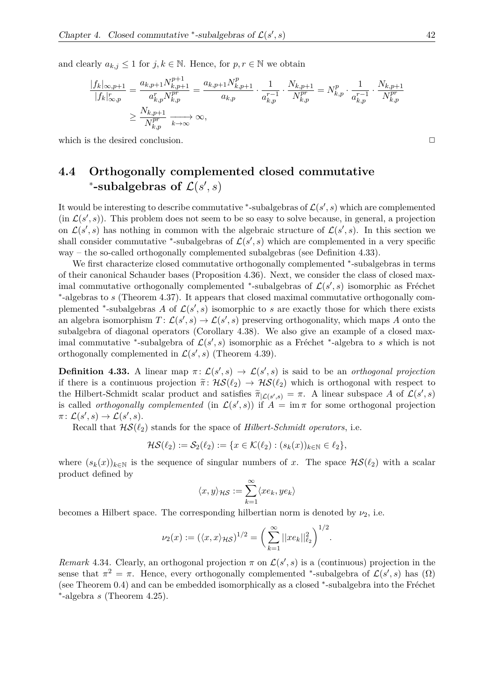and clearly  $a_{k,j} \leq 1$  for  $j, k \in \mathbb{N}$ . Hence, for  $p, r \in \mathbb{N}$  we obtain

$$
\frac{|f_k|_{\infty,p+1}}{|f_k|_{\infty,p}^r} = \frac{a_{k,p+1}N_{k,p+1}^{p+1}}{a_{k,p}^r N_{k,p}^{pr}} = \frac{a_{k,p+1}N_{k,p+1}^p}{a_{k,p}} \cdot \frac{1}{a_{k,p}^{r-1}} \cdot \frac{N_{k,p+1}}{N_{k,p}^{pr}} = N_{k,p}^p \cdot \frac{1}{a_{k,p}^{r-1}} \cdot \frac{N_{k,p+1}}{N_{k,p}^{pr}}
$$
  

$$
\geq \frac{N_{k,p+1}}{N_{k,p}^{pr}} \xrightarrow[k \to \infty]{} \infty,
$$

which is the desired conclusion.  $\Box$ 

#### **4.4 Orthogonally complemented closed commutative** \*-subalgebras of  $\mathcal{L}(s', s)$

It would be interesting to describe commutative  $*$ -subalgebras of  $\mathcal{L}(s', s)$  which are complemented  $(\text{in } \mathcal{L}(s', s))$ . This problem does not seem to be so easy to solve because, in general, a projection on  $\mathcal{L}(s', s)$  has nothing in common with the algebraic structure of  $\mathcal{L}(s', s)$ . In this section we shall consider commutative <sup>\*</sup>-subalgebras of  $\mathcal{L}(s', s)$  which are complemented in a very specific way – the so-called orthogonally complemented subalgebras (see Definition 4.33).

We first characterize closed commutative orthogonally complemented \*-subalgebras in terms of their canonical Schauder bases (Proposition 4.36). Next, we consider the class of closed maximal commutative orthogonally complemented <sup>\*</sup>-subalgebras of  $\mathcal{L}(s', s)$  isomorphic as Fréchet ∗ -algebras to *s* (Theorem 4.37). It appears that closed maximal commutative orthogonally complemented <sup>\*</sup>-subalgebras *A* of  $\mathcal{L}(s', s)$  isomorphic to *s* are exactly those for which there exists an algebra isomorphism  $T: \mathcal{L}(s', s) \to \mathcal{L}(s', s)$  preserving orthogonality, which maps *A* onto the subalgebra of diagonal operators (Corollary 4.38). We also give an example of a closed maximal commutative <sup>\*</sup>-subalgebra of  $\mathcal{L}(s', s)$  isomorphic as a Fréchet <sup>\*</sup>-algebra to *s* which is not orthogonally complemented in  $\mathcal{L}(s', s)$  (Theorem 4.39).

**Definition 4.33.** A linear map  $\pi: \mathcal{L}(s', s) \to \mathcal{L}(s', s)$  is said to be an *orthogonal projection* if there is a continuous projection  $\tilde{\pi}$ :  $\mathcal{HS}(\ell_2) \to \mathcal{HS}(\ell_2)$  which is orthogonal with respect to the Hilbert-Schmidt scalar product and satisfies  $\tilde{\pi}_{|\mathcal{L}(s',s)} = \pi$ . A linear subspace *A* of  $\mathcal{L}(s',s)$ is called *orthogonally complemented* (in  $\mathcal{L}(s', s)$ ) if  $\hat{A} = \text{im } \pi$  for some orthogonal projection  $\pi\colon \mathcal{L}(s',s)\to \mathcal{L}(s',s).$ 

Recall that  $HS(\ell_2)$  stands for the space of *Hilbert-Schmidt operators*, i.e.

$$
\mathcal{HS}(\ell_2) := \mathcal{S}_2(\ell_2) := \{ x \in \mathcal{K}(\ell_2) : (s_k(x))_{k \in \mathbb{N}} \in \ell_2 \},
$$

where  $(s_k(x))_{k\in\mathbb{N}}$  is the sequence of singular numbers of x. The space  $\mathcal{HS}(\ell_2)$  with a scalar product defined by

$$
\langle x,y\rangle_{\mathcal{HS}}:=\sum_{k=1}^\infty \langle xe_k,ye_k\rangle
$$

becomes a Hilbert space. The corresponding hilbertian norm is denoted by  $\nu_2$ , i.e.

$$
\nu_2(x) := (\langle x, x \rangle_{\mathcal{H}\mathcal{S}})^{1/2} = \bigg(\sum_{k=1}^{\infty} ||xe_k||_{\ell_2}^2\bigg)^{1/2}.
$$

*Remark* 4.34. Clearly, an orthogonal projection  $\pi$  on  $\mathcal{L}(s', s)$  is a (continuous) projection in the sense that  $\pi^2 = \pi$ . Hence, every orthogonally complemented \*-subalgebra of  $\mathcal{L}(s', s)$  has  $(\Omega)$ (see Theorem  $0.4$ ) and can be embedded isomorphically as a closed  $*$ -subalgebra into the Fréchet ∗ -algebra *s* (Theorem 4.25).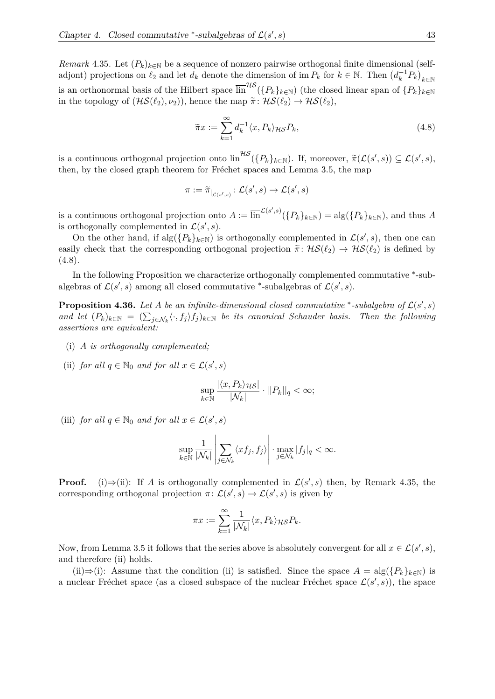*Remark* 4.35. Let  $(P_k)_{k \in \mathbb{N}}$  be a sequence of nonzero pairwise orthogonal finite dimensional (selfadjont) projections on  $\ell_2$  and let  $d_k$  denote the dimension of im  $P_k$  for  $k \in \mathbb{N}$ . Then  $(d_k^{-1}P_k)_{k \in \mathbb{N}}$ is an orthonormal basis of the Hilbert space  $\overline{\lim}^{\mathcal{HS}}(\{P_k\}_{k\in\mathbb{N}})$  (the closed linear span of  $\{P_k\}_{k\in\mathbb{N}}$ in the topology of  $(\mathcal{HS}(\ell_2), \nu_2)$ ), hence the map  $\tilde{\pi} : \mathcal{HS}(\ell_2) \to \mathcal{HS}(\ell_2)$ ,

$$
\widetilde{\pi}x := \sum_{k=1}^{\infty} d_k^{-1} \langle x, P_k \rangle_{\mathcal{H}\mathcal{S}} P_k,\tag{4.8}
$$

is a continuous orthogonal projection onto  $\overline{\lim}^{\mathcal{HS}}(\{P_k\}_{k\in\mathbb{N}})$ . If, moreover,  $\tilde{\pi}(\mathcal{L}(s',s)) \subseteq \mathcal{L}(s',s)$ , then, by the closed graph theorem for Fréchet spaces and Lemma 3.5, the map

$$
\pi := \widetilde{\pi}_{|_{\mathcal{L}(s',s)}} \colon \mathcal{L}(s',s) \to \mathcal{L}(s',s)
$$

is a continuous orthogonal projection onto  $A := \overline{\lim}^{\mathcal{L}(s',s)}(\{P_k\}_{k \in \mathbb{N}}) = \text{alg}(\{P_k\}_{k \in \mathbb{N}})$ , and thus *A* is orthogonally complemented in  $\mathcal{L}(s', s)$ .

On the other hand, if  $\text{alg}(\{P_k\}_{k\in\mathbb{N}})$  is orthogonally complemented in  $\mathcal{L}(s', s)$ , then one can easily check that the corresponding orthogonal projection  $\tilde{\pi}$ :  $\mathcal{HS}(\ell_2) \to \mathcal{HS}(\ell_2)$  is defined by  $(4.8).$ 

In the following Proposition we characterize orthogonally complemented commutative  $*$ -subalgebras of  $\mathcal{L}(s', s)$  among all closed commutative <sup>\*</sup>-subalgebras of  $\mathcal{L}(s', s)$ .

**Proposition 4.36.** Let A be an infinite-dimensional closed commutative \*-subalgebra of  $\mathcal{L}(s', s)$ *and let*  $(P_k)_{k \in \mathbb{N}} = (\sum_{j \in \mathcal{N}_k} \langle \cdot, f_j \rangle f_j)_{k \in \mathbb{N}}$  *be its canonical Schauder basis. Then the following assertions are equivalent:*

- (i) *A is orthogonally complemented;*
- (ii) *for all*  $q \in \mathbb{N}_0$  *and for all*  $x \in \mathcal{L}(s', s)$

$$
\sup_{k \in \mathbb{N}} \frac{|\langle x, P_k \rangle_{\mathcal{H}S}|}{|\mathcal{N}_k|} \cdot ||P_k||_q < \infty;
$$

(iii) *for all*  $q \in \mathbb{N}_0$  *and for all*  $x \in \mathcal{L}(s', s)$ 

$$
\sup_{k \in \mathbb{N}} \frac{1}{|\mathcal{N}_k|} \left| \sum_{j \in \mathcal{N}_k} \langle x f_j, f_j \rangle \right| \cdot \max_{j \in \mathcal{N}_k} |f_j|_q < \infty.
$$

**Proof.** (i) $\Rightarrow$ (ii): If *A* is orthogonally complemented in  $\mathcal{L}(s', s)$  then, by Remark 4.35, the corresponding orthogonal projection  $\pi$ :  $\mathcal{L}(s', s) \to \mathcal{L}(s', s)$  is given by

$$
\pi x := \sum_{k=1}^{\infty} \frac{1}{|\mathcal{N}_k|} \langle x, P_k \rangle_{\mathcal{H}S} P_k.
$$

Now, from Lemma 3.5 it follows that the series above is absolutely convergent for all  $x \in \mathcal{L}(s', s)$ , and therefore (ii) holds.

(ii)⇒(i): Assume that the condition (ii) is satisfied. Since the space  $A = \text{alg}(\{P_k\}_{k \in \mathbb{N}})$  is a nuclear Fréchet space (as a closed subspace of the nuclear Fréchet space  $\mathcal{L}(s', s)$ ), the space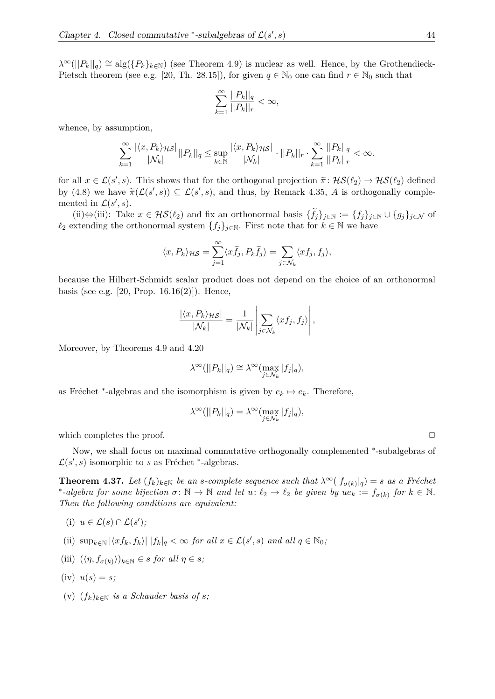$\lambda^{\infty}(||P_k||_q) \cong \text{alg}(\{P_k\}_{k\in\mathbb{N}})$  (see Theorem 4.9) is nuclear as well. Hence, by the Grothendieck-Pietsch theorem (see e.g. [20, Th. 28.15]), for given  $q \in \mathbb{N}_0$  one can find  $r \in \mathbb{N}_0$  such that

$$
\sum_{k=1}^{\infty} \frac{||P_k||_q}{||P_k||_r} < \infty,
$$

whence, by assumption,

$$
\sum_{k=1}^\infty\frac{|\langle x,P_k\rangle_{\mathcal{H}\mathcal{S}}|}{|\mathcal{N}_k|}||P_k||_q\leq \sup_{k\in\mathbb{N}}\frac{|\langle x,P_k\rangle_{\mathcal{H}\mathcal{S}}|}{|\mathcal{N}_k|}\cdot||P_k||_r\cdot \sum_{k=1}^\infty\frac{||P_k||_q}{||P_k||_r}<\infty.
$$

for all  $x \in \mathcal{L}(s', s)$ . This shows that for the orthogonal projection  $\tilde{\pi} : \mathcal{HS}(\ell_2) \to \mathcal{HS}(\ell_2)$  defined by  $(4.8)$  we have  $\tilde{\pi}(\mathcal{L}(s', s)) \subseteq \mathcal{L}(s', s)$ , and thus, by Remark 4.35, *A* is orthogonally complemented in  $\mathcal{L}(s', s)$ .

(ii)⇔(iii): Take  $x \in \mathcal{HS}(\ell_2)$  and fix an orthonormal basis  $\{f_j\}_{j\in\mathbb{N}} := \{f_j\}_{j\in\mathbb{N}} \cup \{g_j\}_{j\in\mathcal{N}}$  of  $\ell_2$  extending the orthonormal system  $\{f_j\}_{j\in\mathbb{N}}$ . First note that for  $k\in\mathbb{N}$  we have

$$
\langle x, P_k \rangle_{\mathcal{H}\mathcal{S}} = \sum_{j=1}^{\infty} \langle x \widetilde{f}_j, P_k \widetilde{f}_j \rangle = \sum_{j \in \mathcal{N}_k} \langle x f_j, f_j \rangle,
$$

because the Hilbert-Schmidt scalar product does not depend on the choice of an orthonormal basis (see e.g. [20, Prop.  $16.16(2)$ ]). Hence,

$$
\frac{|\langle x, P_k \rangle_{\mathcal{H}\mathcal{S}}|}{|\mathcal{N}_k|} = \frac{1}{|\mathcal{N}_k|} \left| \sum_{j \in \mathcal{N}_k} \langle x f_j, f_j \rangle \right|,
$$

Moreover, by Theorems 4.9 and 4.20

$$
\lambda^{\infty}(||P_k||_q) \cong \lambda^{\infty}(\max_{j \in \mathcal{N}_k} |f_j|_q),
$$

as Fréchet \*-algebras and the isomorphism is given by  $e_k \mapsto e_k$ . Therefore,

$$
\lambda^{\infty}(||P_k||_q) = \lambda^{\infty}(\max_{j \in \mathcal{N}_k} |f_j|_q),
$$

which completes the proof.  $\Box$ 

Now, we shall focus on maximal commutative orthogonally complemented \*-subalgebras of  $\mathcal{L}(s', s)$  isomorphic to *s* as Fréchet <sup>\*</sup>-algebras.

**Theorem 4.37.** Let  $(f_k)_{k\in\mathbb{N}}$  be an *s*-complete sequence such that  $\lambda^{\infty}(|f_{\sigma(k)}|_q) = s$  as a Fréchet  $*$ -algebra for some bijection  $\sigma: \mathbb{N} \to \mathbb{N}$  and let  $u: \ell_2 \to \ell_2$  be given by  $ue_k := f_{\sigma(k)}$  for  $k \in \mathbb{N}$ . *Then the following conditions are equivalent:*

(i) 
$$
u \in \mathcal{L}(s) \cap \mathcal{L}(s')
$$
;

- (ii)  $\sup_{k \in \mathbb{N}} |\langle x f_k, f_k \rangle| |f_k|_q < \infty$  *for all*  $x \in \mathcal{L}(s', s)$  *and all*  $q \in \mathbb{N}_0$ ;
- $(iii)$   $(\langle \eta, f_{\sigma(k)} \rangle)_{k \in \mathbb{N}} \in s \text{ for all } \eta \in s;$

$$
(iv) \ \ u(s) = s;
$$

(v)  $(f_k)_{k \in \mathbb{N}}$  *is a Schauder basis of s*;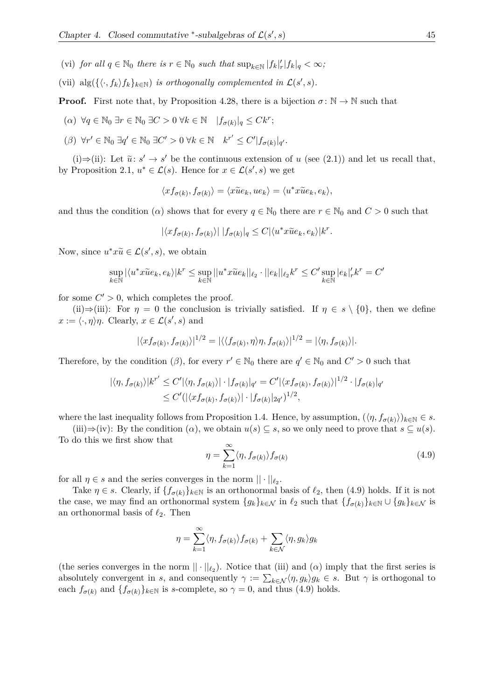- (vi) *for all*  $q \in \mathbb{N}_0$  *there is*  $r \in \mathbb{N}_0$  *such that*  $\sup_{k \in \mathbb{N}} |f_k|_r' |f_k|_q < \infty$ ;
- (vii)  $\text{alg}(\{\langle \cdot, f_k \rangle f_k\}_{k \in \mathbb{N}})$  *is orthogonally complemented in*  $\mathcal{L}(s', s)$ *.*

**Proof.** First note that, by Proposition 4.28, there is a bijection  $\sigma : \mathbb{N} \to \mathbb{N}$  such that

- $(\alpha) \ \forall q \in \mathbb{N}_0 \ \exists r \in \mathbb{N}_0 \ \exists C > 0 \ \forall k \in \mathbb{N} \ \ |f_{\sigma(k)}|_q \leq Ck^r;$
- $(\beta)$   $\forall r' \in \mathbb{N}_0 \exists q' \in \mathbb{N}_0 \exists C' > 0 \ \forall k \in \mathbb{N} \quad k^{r'} \leq C' |f_{\sigma(k)}|_{q'}.$

(i)⇒(ii): Let  $\tilde{u}: s' \to s'$  be the continuous extension of *u* (see (2.1)) and let us recall that, by Proposition 2.1,  $u^* \in \mathcal{L}(s)$ . Hence for  $x \in \mathcal{L}(s', s)$  we get

$$
\langle x f_{\sigma(k)}, f_{\sigma(k)} \rangle = \langle x \tilde{u} e_k, u e_k \rangle = \langle u^* x \tilde{u} e_k, e_k \rangle,
$$

and thus the condition (*α*) shows that for every  $q \in \mathbb{N}_0$  there are  $r \in \mathbb{N}_0$  and  $C > 0$  such that

$$
|\langle x f_{\sigma(k)}, f_{\sigma(k)} \rangle| \, |f_{\sigma(k)}|_{q} \leq C |\langle u^* x \tilde{u} e_k, e_k \rangle| k^r.
$$

Now, since  $u^*x\tilde{u} \in \mathcal{L}(s',s)$ , we obtain

$$
\sup_{k \in \mathbb{N}} |\langle u^*x \tilde{u} e_k, e_k \rangle| k^r \leq \sup_{k \in \mathbb{N}} ||u^*x \tilde{u} e_k||_{\ell_2} \cdot ||e_k||_{\ell_2} k^r \leq C' \sup_{k \in \mathbb{N}} |e_k|_r' k^r = C'
$$

for some  $C' > 0$ , which completes the proof.

(ii)⇒(iii): For  $\eta = 0$  the conclusion is trivially satisfied. If  $\eta \in s \setminus \{0\}$ , then we define  $x := \langle \cdot, \eta \rangle \eta$ . Clearly,  $x \in \mathcal{L}(s', s)$  and

$$
|\langle x f_{\sigma(k)}, f_{\sigma(k)} \rangle|^{1/2} = |\langle \langle f_{\sigma(k)}, \eta \rangle \eta, f_{\sigma(k)} \rangle|^{1/2} = |\langle \eta, f_{\sigma(k)} \rangle|.
$$

Therefore, by the condition  $(\beta)$ , for every  $r' \in \mathbb{N}_0$  there are  $q' \in \mathbb{N}_0$  and  $C' > 0$  such that

$$
|\langle \eta, f_{\sigma(k)} \rangle| k^{r'} \le C' |\langle \eta, f_{\sigma(k)} \rangle| \cdot |f_{\sigma(k)}|_{q'} = C' |\langle x f_{\sigma(k)}, f_{\sigma(k)} \rangle|^{1/2} \cdot |f_{\sigma(k)}|_{q'}
$$
  

$$
\le C' (|\langle x f_{\sigma(k)}, f_{\sigma(k)} \rangle| \cdot |f_{\sigma(k)}|_{2q'})^{1/2},
$$

where the last inequality follows from Proposition 1.4. Hence, by assumption,  $(\langle \eta, f_{\sigma(k)} \rangle)_{k \in \mathbb{N}} \in s$ .

(iii) $\Rightarrow$ (iv): By the condition ( $\alpha$ ), we obtain  $u(s) \subseteq s$ , so we only need to prove that  $s \subseteq u(s)$ . To do this we first show that

$$
\eta = \sum_{k=1}^{\infty} \langle \eta, f_{\sigma(k)} \rangle f_{\sigma(k)} \tag{4.9}
$$

for all  $\eta \in s$  and the series converges in the norm  $|| \cdot ||_{\ell_2}$ .

Take  $\eta \in s$ . Clearly, if  $\{f_{\sigma(k)}\}_{k\in\mathbb{N}}$  is an orthonormal basis of  $\ell_2$ , then (4.9) holds. If it is not the case, we may find an orthonormal system  ${g_k}_{k\in\mathcal{N}}$  in  $\ell_2$  such that  ${f_{\sigma(k)}}_{k\in\mathbb{N}}\cup{g_k}_{k\in\mathcal{N}}$  is an orthonormal basis of  $\ell_2$ . Then

$$
\eta = \sum_{k=1}^{\infty} \langle \eta, f_{\sigma(k)} \rangle f_{\sigma(k)} + \sum_{k \in \mathcal{N}} \langle \eta, g_k \rangle g_k
$$

(the series converges in the norm  $|| \cdot ||_{\ell_2}$ ). Notice that (iii) and ( $\alpha$ ) imply that the first series is absolutely convergent in *s*, and consequently  $\gamma := \sum_{k \in \mathcal{N}} \langle \eta, g_k \rangle g_k \in s$ . But  $\gamma$  is orthogonal to each  $f_{\sigma(k)}$  and  $\{f_{\sigma(k)}\}_{k\in\mathbb{N}}$  is *s*-complete, so  $\gamma = 0$ , and thus (4.9) holds.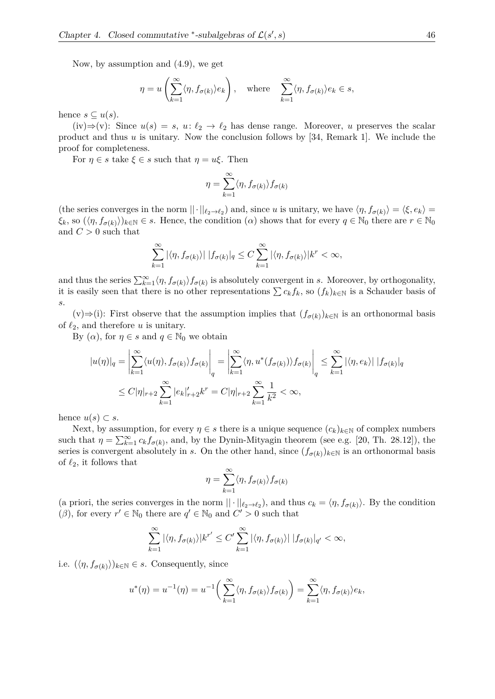Now, by assumption and (4.9), we get

$$
\eta = u\left(\sum_{k=1}^{\infty} \langle \eta, f_{\sigma(k)} \rangle e_k\right)
$$
, where  $\sum_{k=1}^{\infty} \langle \eta, f_{\sigma(k)} \rangle e_k \in s$ ,

hence  $s \subseteq u(s)$ .

(iv)⇒(v): Since  $u(s) = s$ ,  $u: \ell_2 \to \ell_2$  has dense range. Moreover, *u* preserves the scalar product and thus *u* is unitary. Now the conclusion follows by [34, Remark 1]. We include the proof for completeness.

For  $\eta \in s$  take  $\xi \in s$  such that  $\eta = u\xi$ . Then

$$
\eta = \sum_{k=1}^\infty \langle \eta, f_{\sigma(k)} \rangle f_{\sigma(k)}
$$

(the series converges in the norm  $||\cdot||_{\ell_2 \to \ell_2}$ ) and, since *u* is unitary, we have  $\langle \eta, f_{\sigma(k)} \rangle = \langle \xi, e_k \rangle =$  $\langle \xi_k, \text{ so } (\langle \eta, f_{\sigma(k)} \rangle)_{k \in \mathbb{N}} \in s$ . Hence, the condition  $(\alpha)$  shows that for every  $q \in \mathbb{N}_0$  there are  $r \in \mathbb{N}_0$ and  $C > 0$  such that

$$
\sum_{k=1}^{\infty} |\langle \eta, f_{\sigma(k)} \rangle| |f_{\sigma(k)}|_{q} \leq C \sum_{k=1}^{\infty} |\langle \eta, f_{\sigma(k)} \rangle| k^{r} < \infty,
$$

and thus the series  $\sum_{k=1}^{\infty} \langle \eta, f_{\sigma(k)} \rangle f_{\sigma(k)}$  is absolutely convergent in *s*. Moreover, by orthogonality, it is easily seen that there is no other representations  $\sum c_k f_k$ , so  $(f_k)_{k \in \mathbb{N}}$  is a Schauder basis of *s*.

(v)  $\Rightarrow$  (i): First observe that the assumption implies that  $(f_{\sigma(k)})_{k \in \mathbb{N}}$  is an orthonormal basis of  $\ell_2$ , and therefore *u* is unitary.

By  $(\alpha)$ , for  $\eta \in s$  and  $q \in \mathbb{N}_0$  we obtain

$$
|u(\eta)|_q = \left| \sum_{k=1}^{\infty} \langle u(\eta), f_{\sigma(k)} \rangle f_{\sigma(k)} \right|_q = \left| \sum_{k=1}^{\infty} \langle \eta, u^*(f_{\sigma(k)}) \rangle f_{\sigma(k)} \right|_q \le \sum_{k=1}^{\infty} |\langle \eta, e_k \rangle| |f_{\sigma(k)}|_q
$$
  

$$
\le C|\eta|_{r+2} \sum_{k=1}^{\infty} |e_k|_{r+2} k^r = C|\eta|_{r+2} \sum_{k=1}^{\infty} \frac{1}{k^2} < \infty,
$$

hence  $u(s) \subset s$ .

Next, by assumption, for every  $\eta \in s$  there is a unique sequence  $(c_k)_{k \in \mathbb{N}}$  of complex numbers such that  $\eta = \sum_{k=1}^{\infty} c_k f_{\sigma(k)}$ , and, by the Dynin-Mityagin theorem (see e.g. [20, Th. 28.12]), the series is convergent absolutely in *s*. On the other hand, since  $(f_{\sigma(k)})_{k\in\mathbb{N}}$  is an orthonormal basis of  $\ell_2$ , it follows that

$$
\eta = \sum_{k=1}^{\infty} \langle \eta, f_{\sigma(k)} \rangle f_{\sigma(k)}
$$

(a priori, the series converges in the norm  $|| \cdot ||_{\ell_2 \to \ell_2}$ ), and thus  $c_k = \langle \eta, f_{\sigma(k)} \rangle$ . By the condition (*β*), for every  $r' \in \mathbb{N}_0$  there are  $q' \in \mathbb{N}_0$  and  $C' > 0$  such that

$$
\sum_{k=1}^{\infty} |\langle \eta, f_{\sigma(k)} \rangle| k^{r'} \le C' \sum_{k=1}^{\infty} |\langle \eta, f_{\sigma(k)} \rangle| |f_{\sigma(k)}|_{q'} < \infty,
$$

i.e.  $(\langle \eta, f_{\sigma(k)} \rangle)_{k \in \mathbb{N}} \in s$ . Consequently, since

$$
u^*(\eta) = u^{-1}(\eta) = u^{-1}\bigg(\sum_{k=1}^{\infty} \langle \eta, f_{\sigma(k)} \rangle f_{\sigma(k)}\bigg) = \sum_{k=1}^{\infty} \langle \eta, f_{\sigma(k)} \rangle e_k,
$$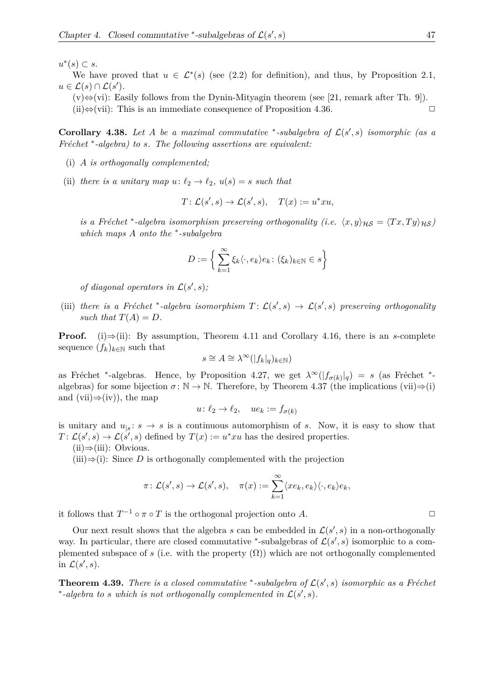$u^*(s)$  ⊂ *s*.

We have proved that  $u \in \mathcal{L}^*(s)$  (see (2.2) for definition), and thus, by Proposition 2.1,  $u \in \mathcal{L}(s) \cap \mathcal{L}(s').$ 

 $(v) \Leftrightarrow$  (vi): Easily follows from the Dynin-Mityagin theorem (see [21, remark after Th. 9]).

(ii) $\Leftrightarrow$ (vii): This is an immediate consequence of Proposition 4.36.  $\Box$ 

**Corollary 4.38.** Let A be a maximal commutative \*-subalgebra of  $\mathcal{L}(s', s)$  isomorphic (as a *Fréchet* \*-algebra) to *s.* The following assertions are equivalent:

- (i) *A is orthogonally complemented;*
- (ii) *there is a unitary map*  $u: \ell_2 \to \ell_2$ ,  $u(s) = s$  *such that*

$$
T: \mathcal{L}(s', s) \to \mathcal{L}(s', s), \quad T(x) := u^* x u,
$$

*is a Fréchet* <sup>\*</sup>-algebra *isomorphism preserving orthogonality (i.e.*  $\langle x, y \rangle_{\mathcal{H}\mathcal{S}} = \langle Tx, Ty \rangle_{\mathcal{H}\mathcal{S}}$ ) *which maps A onto the* <sup>∗</sup> *-subalgebra*

$$
D := \left\{ \sum_{k=1}^{\infty} \xi_k \langle \cdot, e_k \rangle e_k \colon (\xi_k)_{k \in \mathbb{N}} \in s \right\}
$$

*of diagonal operators in*  $\mathcal{L}(s', s)$ ;

(iii) there is a Fréchet \*-algebra isomorphism  $T: \mathcal{L}(s', s) \to \mathcal{L}(s', s)$  preserving orthogonality such that  $T(A) = D$ .

**Proof.** (i)⇒(ii): By assumption, Theorem 4.11 and Corollary 4.16, there is an *s*-complete sequence  $(f_k)_{k \in \mathbb{N}}$  such that

$$
s \cong A \cong \lambda^{\infty}(|f_k|_q)_{k \in \mathbb{N}})
$$

as Fréchet \*-algebras. Hence, by Proposition 4.27, we get  $\lambda^{\infty}(|f_{\sigma(k)}|_q) = s$  (as Fréchet \*algebras) for some bijection  $\sigma : \mathbb{N} \to \mathbb{N}$ . Therefore, by Theorem 4.37 (the implications (vii) $\Rightarrow$ (i) and (vii) $\Rightarrow$ (iv)), the map

$$
u \colon \ell_2 \to \ell_2, \quad ue_k := f_{\sigma(k)}
$$

is unitary and  $u_{|s}: s \to s$  is a continuous automorphism of *s*. Now, it is easy to show that  $T: \mathcal{L}(s', s) \to \mathcal{L}(s', s)$  defined by  $T(x) := u^* x u$  has the desired properties.

 $(ii) \Rightarrow (iii):$  Obvious.

 $(iii) \Rightarrow (i)$ : Since *D* is orthogonally complemented with the projection

$$
\pi\colon \mathcal{L}(s',s)\to \mathcal{L}(s',s),\quad \pi(x):=\sum_{k=1}^\infty\langle xe_k,e_k\rangle\langle \cdot,e_k\rangle e_k,
$$

it follows that  $T^{-1} \circ \pi \circ T$  is the orthogonal projection onto *A*.

Our next result shows that the algebra *s* can be embedded in  $\mathcal{L}(s', s)$  in a non-orthogonally way. In particular, there are closed commutative <sup>\*</sup>-subalgebras of  $\mathcal{L}(s', s)$  isomorphic to a complemented subspace of *s* (i.e. with the property  $(\Omega)$ ) which are not orthogonally complemented in  $\mathcal{L}(s', s)$ .

**Theorem 4.39.** *There is a closed commutative*  $*$ -subalgebra of  $\mathcal{L}(s', s)$  *isomorphic as a Fréchet*  $*$ -algebra to *s* which is not orthogonally complemented in  $\mathcal{L}(s', s)$ .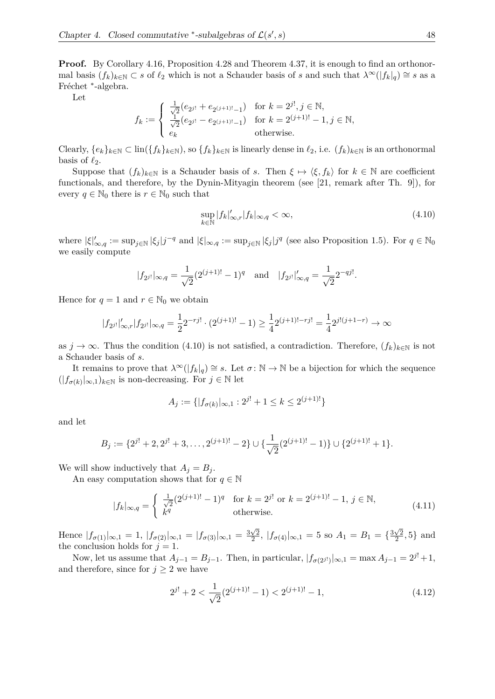**Proof.** By Corollary 4.16, Proposition 4.28 and Theorem 4.37, it is enough to find an orthonormal basis  $(f_k)_{k \in \mathbb{N}} \subset s$  of  $\ell_2$  which is not a Schauder basis of *s* and such that  $\lambda^{\infty}(|f_k|_q) \cong s$  as a Fréchet <sup>\*</sup>-algebra.

Let

$$
f_k := \begin{cases} \frac{1}{\sqrt{2}} (e_{2^{j!}} + e_{2^{(j+1)!}-1}) & \text{for } k = 2^{j!}, j \in \mathbb{N}, \\ \frac{1}{\sqrt{2}} (e_{2^{j!}} - e_{2^{(j+1)!}-1}) & \text{for } k = 2^{(j+1)!} - 1, j \in \mathbb{N}, \\ e_k & \text{otherwise.} \end{cases}
$$

Clearly,  $\{e_k\}_{k\in\mathbb{N}} \subset \text{lin}(\{f_k\}_{k\in\mathbb{N}})$ , so  $\{f_k\}_{k\in\mathbb{N}}$  is linearly dense in  $\ell_2$ , i.e.  $(f_k)_{k\in\mathbb{N}}$  is an orthonormal basis of  $\ell_2$ .

Suppose that  $(f_k)_{k\in\mathbb{N}}$  is a Schauder basis of *s*. Then  $\xi \mapsto \langle \xi, f_k \rangle$  for  $k \in \mathbb{N}$  are coefficient functionals, and therefore, by the Dynin-Mityagin theorem (see [21, remark after Th. 9]), for every  $q \in \mathbb{N}_0$  there is  $r \in \mathbb{N}_0$  such that

$$
\sup_{k \in \mathbb{N}} |f_k|_{\infty, r}^{\prime} |f_k|_{\infty, q} < \infty,\tag{4.10}
$$

where  $|\xi|'_{\infty,q} := \sup_{j \in \mathbb{N}} |\xi_j| j^{-q}$  and  $|\xi|_{\infty,q} := \sup_{j \in \mathbb{N}} |\xi_j| j^q$  (see also Proposition 1.5). For  $q \in \mathbb{N}_0$ we easily compute

$$
|f_{2^{j!}}|_{\infty,q} = \frac{1}{\sqrt{2}} (2^{(j+1)!} - 1)^q
$$
 and  $|f_{2^{j!}}|'_{\infty,q} = \frac{1}{\sqrt{2}} 2^{-qj!}$ .

Hence for  $q = 1$  and  $r \in \mathbb{N}_0$  we obtain

$$
|f_{2^{j!}}|'_{\infty,r}|f_{2^{j!}}|_{\infty,q} = \frac{1}{2} 2^{-rj!} \cdot (2^{(j+1)!} - 1) \ge \frac{1}{4} 2^{(j+1)!-rj!} = \frac{1}{4} 2^{j!(j+1-r)} \to \infty
$$

as  $j \to \infty$ . Thus the condition (4.10) is not satisfied, a contradiction. Therefore,  $(f_k)_{k \in \mathbb{N}}$  is not a Schauder basis of *s*.

It remains to prove that  $\lambda^{\infty}(|f_k|_q) \cong s$ . Let  $\sigma: \mathbb{N} \to \mathbb{N}$  be a bijection for which the sequence  $(|f_{\sigma(k)}|_{\infty,1})_{k \in \mathbb{N}}$  is non-decreasing. For *j* ∈  $\mathbb N$  let

$$
A_j := \{ |f_{\sigma(k)}|_{\infty,1} : 2^{j!} + 1 \le k \le 2^{(j+1)!} \}
$$

and let

$$
B_j := \{2^{j!} + 2, 2^{j!} + 3, \dots, 2^{(j+1)!} - 2\} \cup \{\frac{1}{\sqrt{2}}(2^{(j+1)!} - 1)\} \cup \{2^{(j+1)!} + 1\}.
$$

We will show inductively that  $A_j = B_j$ .

An easy computation shows that for  $q \in \mathbb{N}$ 

$$
|f_k|_{\infty,q} = \begin{cases} \frac{1}{\sqrt{2}} (2^{(j+1)!} - 1)^q & \text{for } k = 2^{j!} \text{ or } k = 2^{(j+1)!} - 1, \, j \in \mathbb{N}, \\ k^q & \text{otherwise.} \end{cases}
$$
(4.11)

Hence  $|f_{\sigma(1)}|_{\infty,1} = 1, |f_{\sigma(2)}|_{\infty,1} = |f_{\sigma(3)}|_{\infty,1} = \frac{3\sqrt{2}}{2}$  $\frac{\sqrt{2}}{2}$ ,  $|f_{\sigma(4)}|_{\infty,1} = 5$  so  $A_1 = B_1 = \{\frac{3\sqrt{2}}{2}$  $\frac{\sqrt{2}}{2}, 5\}$  and the conclusion holds for  $j = 1$ .

Now, let us assume that  $A_{j-1} = B_{j-1}$ . Then, in particular,  $|f_{\sigma(2^{j!})}|_{\infty,1} = \max A_{j-1} = 2^{j!} + 1$ , and therefore, since for  $j \geq 2$  we have

$$
2^{j!} + 2 < \frac{1}{\sqrt{2}}(2^{(j+1)!} - 1) < 2^{(j+1)!} - 1,\tag{4.12}
$$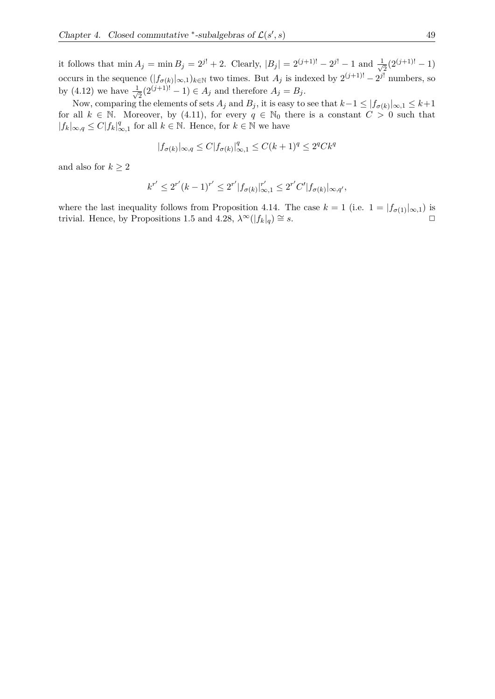it follows that  $\min A_j = \min B_j = 2^{j!} + 2$ . Clearly,  $|B_j| = 2^{(j+1)!} - 2^{j!} - 1$  and  $\frac{1}{\sqrt{n}}$  $\frac{1}{2}(2^{(j+1)!}-1)$ occurs in the sequence  $(|f_{\sigma(k)}|_{\infty,1})_{k\in\mathbb{N}}$  two times. But  $A_j$  is indexed by  $2^{(j+1)!} - 2^{j!}$  numbers, so by (4.12) we have  $\frac{1}{\sqrt{2}}$  $\overline{P_2}(2^{(j+1)!}-1) \in A_j$  and therefore  $A_j = B_j$ .

Now, comparing the elements of sets  $A_j$  and  $B_j$ , it is easy to see that  $k-1 \leq |f_{\sigma(k)}|_{\infty,1} \leq k+1$ for all  $k \in \mathbb{N}$ . Moreover, by (4.11), for every  $q \in \mathbb{N}_0$  there is a constant  $C > 0$  such that |*fk*|∞*,q* ≤ *C*|*fk*| *q*  $\mathcal{L}_{\infty,1}^q$  for all  $k \in \mathbb{N}$ . Hence, for  $k \in \mathbb{N}$  we have

$$
|f_{\sigma(k)}|_{\infty,q} \le C |f_{\sigma(k)}|_{\infty,1}^q \le C(k+1)^q \le 2^q C k^q
$$

and also for  $k \geq 2$ 

$$
k^{r'} \le 2^{r'} (k-1)^{r'} \le 2^{r'} |f_{\sigma(k)}|_{\infty,1}^{r'} \le 2^{r'} C' |f_{\sigma(k)}|_{\infty,q'},
$$

where the last inequality follows from Proposition 4.14. The case  $k = 1$  (i.e.  $1 = |f_{\sigma(1)}|_{\infty,1}$ ) is trivial. Hence, by Propositions 1.5 and 4.28,  $\lambda^{\infty}(|f_k|_q) \cong s$ .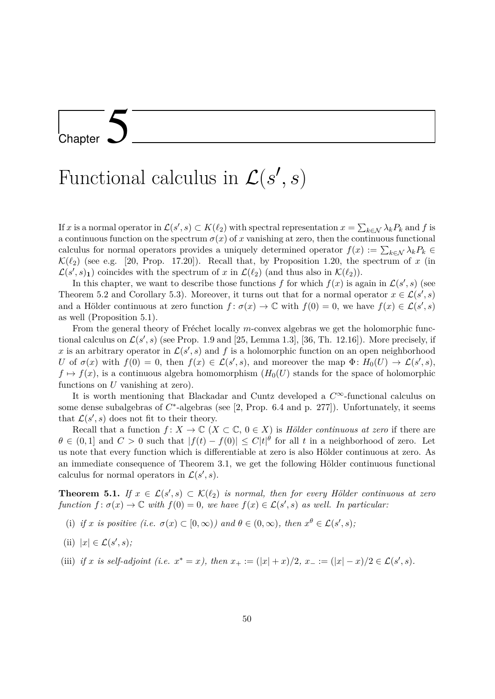### Chapter 5

# Functional calculus in  $\mathcal{L}(s', s)$

If *x* is a normal operator in  $\mathcal{L}(s', s) \subset K(\ell_2)$  with spectral representation  $x = \sum_{k \in \mathcal{N}} \lambda_k P_k$  and f is a continuous function on the spectrum  $\sigma(x)$  of *x* vanishing at zero, then the continuous functional calculus for normal operators provides a uniquely determined operator  $f(x) := \sum_{k \in \mathcal{N}} \lambda_k P_k$  $\mathcal{K}(\ell_2)$  (see e.g. [20, Prop. 17.20]). Recall that, by Proposition 1.20, the spectrum of *x* (in  $\mathcal{L}(s', s)$ <sub>1</sub>) coincides with the spectrum of *x* in  $\mathcal{L}(\ell_2)$  (and thus also in  $\mathcal{K}(\ell_2)$ ).

In this chapter, we want to describe those functions *f* for which  $f(x)$  is again in  $\mathcal{L}(s', s)$  (see Theorem 5.2 and Corollary 5.3). Moreover, it turns out that for a normal operator  $x \in \mathcal{L}(s', s)$ and a Hölder continuous at zero function  $f: \sigma(x) \to \mathbb{C}$  with  $f(0) = 0$ , we have  $f(x) \in \mathcal{L}(s', s)$ as well (Proposition 5.1).

From the general theory of Fréchet locally *m*-convex algebras we get the holomorphic functional calculus on  $\mathcal{L}(s', s)$  (see Prop. 1.9 and [25, Lemma 1.3], [36, Th. 12.16]). More precisely, if x is an arbitrary operator in  $\mathcal{L}(s', s)$  and f is a holomorphic function on an open neighborhood *U* of  $\sigma(x)$  with  $f(0) = 0$ , then  $f(x) \in \mathcal{L}(s', s)$ , and moreover the map  $\Phi: H_0(U) \to \mathcal{L}(s', s)$ ,  $f \mapsto f(x)$ , is a continuous algebra homomorphism  $(H_0(U))$  stands for the space of holomorphic functions on *U* vanishing at zero).

It is worth mentioning that Blackadar and Cuntz developed a *C*∞-functional calculus on some dense subalgebras of  $C^*$ -algebras (see [2, Prop. 6.4 and p. 277]). Unfortunately, it seems that  $\mathcal{L}(s', s)$  does not fit to their theory.

Recall that a function  $f: X \to \mathbb{C}$   $(X \subset \mathbb{C}, 0 \in X)$  is *Hölder continuous at zero* if there are  $\theta \in (0,1]$  and  $C > 0$  such that  $|f(t) - f(0)| \leq C|t|^{\theta}$  for all *t* in a neighborhood of zero. Let us note that every function which is differentiable at zero is also Hölder continuous at zero. As an immediate consequence of Theorem 3.1, we get the following Hölder continuous functional calculus for normal operators in  $\mathcal{L}(s', s)$ .

**Theorem 5.1.** *If*  $x \in \mathcal{L}(s', s) \subset \mathcal{K}(\ell_2)$  *is normal, then for every Hölder continuous at zero function*  $f: \sigma(x) \to \mathbb{C}$  *with*  $f(0) = 0$ *, we have*  $f(x) \in \mathcal{L}(s', s)$  *as well. In particular:* 

(i) if *x* is positive (i.e.  $\sigma(x) \subset [0,\infty)$ ) and  $\theta \in (0,\infty)$ , then  $x^{\theta} \in \mathcal{L}(s',s)$ ;

(ii) 
$$
|x| \in \mathcal{L}(s', s);
$$

(iii) *if x is self-adjoint* (*i.e.*  $x^* = x$ ), then  $x_+ := (|x| + x)/2$ ,  $x_- := (|x| - x)/2 \in \mathcal{L}(s', s)$ .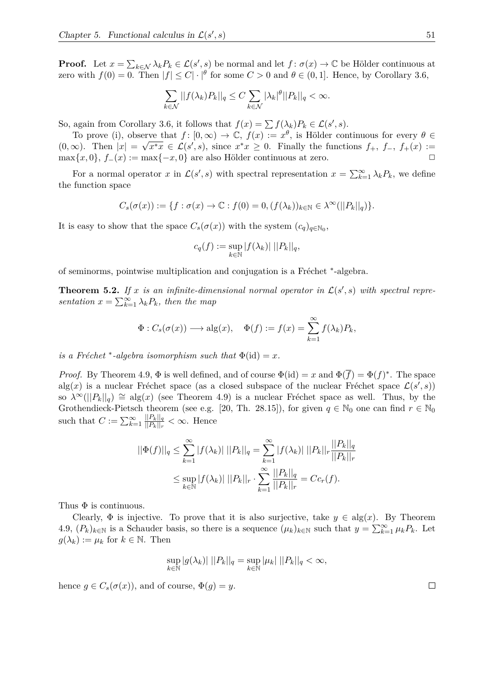**Proof.** Let  $x = \sum_{k \in \mathcal{N}} \lambda_k P_k \in \mathcal{L}(s', s)$  be normal and let  $f : \sigma(x) \to \mathbb{C}$  be Hölder continuous at zero with  $f(0) = 0$ . Then  $|f| \leq C |\cdot|^{\theta}$  for some  $C > 0$  and  $\theta \in (0, 1]$ . Hence, by Corollary 3.6,

$$
\sum_{k \in \mathcal{N}} ||f(\lambda_k)P_k||_q \leq C \sum_{k \in \mathcal{N}} |\lambda_k|^\theta ||P_k||_q < \infty.
$$

So, again from Corollary 3.6, it follows that  $f(x) = \sum f(\lambda_k) P_k \in \mathcal{L}(s', s)$ .

To prove (i), observe that  $f: [0, \infty) \to \mathbb{C}$ ,  $f(x) := x^{\theta}$ , is Hölder continuous for every  $\theta \in \mathbb{C}$  $(0, \infty)$ . Then  $|x| = \sqrt{x^*x} \in \mathcal{L}(s', s)$ , since  $x^*x \geq 0$ . Finally the functions  $f_+, f_-, f_+(x) :=$  $\max\{x, 0\}, f_-(x) := \max\{-x, 0\}$  are also Hölder continuous at zero.  $\Box$ 

For a normal operator *x* in  $\mathcal{L}(s', s)$  with spectral representation  $x = \sum_{k=1}^{\infty} \lambda_k P_k$ , we define the function space

$$
C_s(\sigma(x)):=\{f:\sigma(x)\to\mathbb{C}:f(0)=0,(f(\lambda_k))_{k\in\mathbb{N}}\in\lambda^\infty(||P_k||_q)\}.
$$

It is easy to show that the space  $C_s(\sigma(x))$  with the system  $(c_q)_{q \in \mathbb{N}_0}$ ,

$$
c_q(f) := \sup_{k \in \mathbb{N}} |f(\lambda_k)| ||P_k||_q,
$$

of seminorms, pointwise multiplication and conjugation is a Fréchet <sup>\*</sup>-algebra.

**Theorem 5.2.** If x is an infinite-dimensional normal operator in  $\mathcal{L}(s', s)$  with spectral repre*sentation*  $x = \sum_{k=1}^{\infty} \lambda_k P_k$ *, then the map* 

$$
\Phi: C_s(\sigma(x)) \longrightarrow \text{alg}(x), \quad \Phi(f) := f(x) = \sum_{k=1}^{\infty} f(\lambda_k) P_k,
$$

*is a Fréchet*  $*$ -*algebra isomorphism such that*  $\Phi(id) = x$ *.* 

*Proof.* By Theorem 4.9,  $\Phi$  is well defined, and of course  $\Phi(\text{id}) = x$  and  $\Phi(\overline{f}) = \Phi(f)^*$ . The space alg(x) is a nuclear Fréchet space (as a closed subspace of the nuclear Fréchet space  $\mathcal{L}(s', s)$ ) so  $\lambda^{\infty}(||P_k||_q) \cong \text{alg}(x)$  (see Theorem 4.9) is a nuclear Fréchet space as well. Thus, by the Grothendieck-Pietsch theorem (see e.g. [20, Th. 28.15]), for given  $q \in \mathbb{N}_0$  one can find  $r \in \mathbb{N}_0$ such that  $C := \sum_{k=1}^{\infty} \frac{||P_k||_q}{||P_k||_r}$  $\frac{||P_k||_q}{||P_k||_r} < \infty$ . Hence

$$
||\Phi(f)||_q \le \sum_{k=1}^{\infty} |f(\lambda_k)| \, ||P_k||_q = \sum_{k=1}^{\infty} |f(\lambda_k)| \, ||P_k||_r \frac{||P_k||_q}{||P_k||_r}
$$
  

$$
\le \sup_{k \in \mathbb{N}} |f(\lambda_k)| \, ||P_k||_r \cdot \sum_{k=1}^{\infty} \frac{||P_k||_q}{||P_k||_r} = Cc_r(f).
$$

Thus  $\Phi$  is continuous.

Clearly,  $\Phi$  is injective. To prove that it is also surjective, take  $y \in \text{alg}(x)$ . By Theorem 4.9,  $(P_k)_{k \in \mathbb{N}}$  is a Schauder basis, so there is a sequence  $(\mu_k)_{k \in \mathbb{N}}$  such that  $y = \sum_{k=1}^{\infty} \mu_k P_k$ . Let  $g(\lambda_k) := \mu_k$  for  $k \in \mathbb{N}$ . Then

$$
\sup_{k \in \mathbb{N}} |g(\lambda_k)| \, ||P_k||_q = \sup_{k \in \mathbb{N}} |\mu_k| \, ||P_k||_q < \infty,
$$

hence  $g \in C_s(\sigma(x))$ , and of course,  $\Phi(g) = y$ .

 $\Box$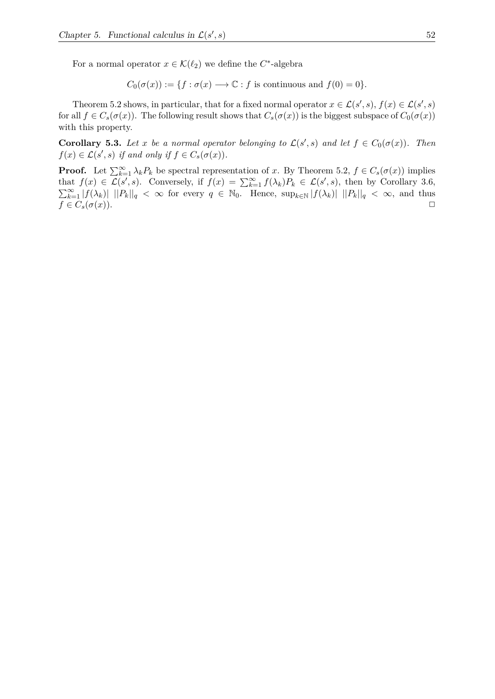For a normal operator  $x \in \mathcal{K}(\ell_2)$  we define the  $C^*$ -algebra

$$
C_0(\sigma(x)) := \{ f : \sigma(x) \longrightarrow \mathbb{C} : f \text{ is continuous and } f(0) = 0 \}.
$$

Theorem 5.2 shows, in particular, that for a fixed normal operator  $x \in \mathcal{L}(s', s)$ ,  $f(x) \in \mathcal{L}(s', s)$ for all  $f \in C_s(\sigma(x))$ . The following result shows that  $C_s(\sigma(x))$  is the biggest subspace of  $C_0(\sigma(x))$ with this property.

**Corollary 5.3.** Let *x* be a normal operator belonging to  $\mathcal{L}(s', s)$  and let  $f \in C_0(\sigma(x))$ . Then  $f(x) \in \mathcal{L}(s', s)$  *if and only if*  $f \in C_s(\sigma(x))$ *.* 

**Proof.** Let  $\sum_{k=1}^{\infty} \lambda_k P_k$  be spectral representation of *x*. By Theorem 5.2,  $f \in C_s(\sigma(x))$  implies that  $f(x) \in \mathcal{L}(s', s)$ . Conversely, if  $f(x) = \sum_{k=1}^{\infty} f(\lambda_k) P_k \in \mathcal{L}(s', s)$ , then by Corollary 3.6,  $\sum_{k=1}^{\infty} |f(\lambda_k)|$   $||P_k||_q < \infty$  for every  $q \in \mathbb{N}_0$ . Hence,  $\sup_{k \in \mathbb{N}} |f(\lambda_k)|$   $||P_k||_q < \infty$ , and thus  $f \in C_s(\sigma(x)).$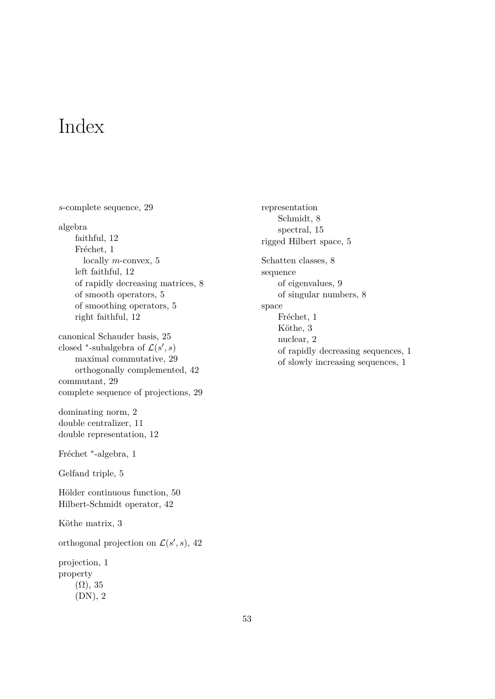### Index

*s*-complete sequence, 29 algebra faithful, 12 Fréchet, 1 locally *m*-convex, 5 left faithful, 12 of rapidly decreasing matrices, 8 of smooth operators, 5 of smoothing operators, 5 right faithful, 12 canonical Schauder basis, 25 closed <sup>\*</sup>-subalgebra of  $\mathcal{L}(s', s)$ maximal commutative, 29 orthogonally complemented, 42 commutant, 29 complete sequence of projections, 29 dominating norm, 2 double centralizer, 11 double representation, 12 Fréchet <sup>\*</sup>-algebra, 1 Gelfand triple, 5 Hölder continuous function, 50 Hilbert-Schmidt operator, 42 Köthe matrix, 3 orthogonal projection on  $\mathcal{L}(s', s)$ , 42 projection, 1 property  $(\Omega)$ , 35 (DN), 2

representation Schmidt, 8 spectral, 15 rigged Hilbert space, 5 Schatten classes, 8 sequence of eigenvalues, 9 of singular numbers, 8 space Fréchet, 1 Köthe, 3 nuclear, 2 of rapidly decreasing sequences, 1 of slowly increasing sequences, 1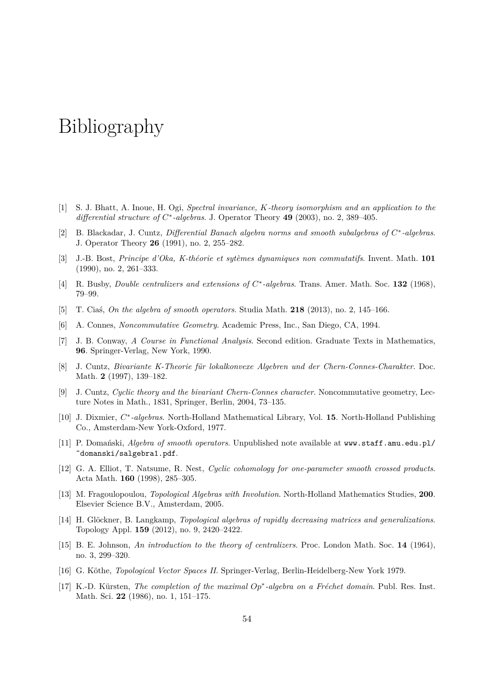### Bibliography

- [1] S. J. Bhatt, A. Inoue, H. Ogi, *Spectral invariance, K-theory isomorphism and an application to the differential structure of C* ∗ *-algebras*. J. Operator Theory **49** (2003), no. 2, 389–405.
- [2] B. Blackadar, J. Cuntz, *Differential Banach algebra norms and smooth subalgebras of C* ∗ *-algebras*. J. Operator Theory **26** (1991), no. 2, 255–282.
- [3] J.-B. Bost, *Principe d'Oka, K-th´eorie et syt`emes dynamiques non commutatifs*. Invent. Math. **101** (1990), no. 2, 261–333.
- [4] R. Busby, *Double centralizers and extensions of C* ∗ *-algebras*. Trans. Amer. Math. Soc. **132** (1968), 79–99.
- [5] T. Ciaś, *On the algebra of smooth operators*. Studia Math. **218** (2013), no. 2, 145–166.
- [6] A. Connes, *Noncommutative Geometry*. Academic Press, Inc., San Diego, CA, 1994.
- [7] J. B. Conway, *A Course in Functional Analysis*. Second edition. Graduate Texts in Mathematics, **96**. Springer-Verlag, New York, 1990.
- [8] J. Cuntz, *Bivariante K-Theorie für lokalkonvexe Algebren und der Chern-Connes-Charakter*. Doc. Math. **2** (1997), 139–182.
- [9] J. Cuntz, *Cyclic theory and the bivariant Chern-Connes character*. Noncommutative geometry, Lecture Notes in Math., 1831, Springer, Berlin, 2004, 73–135.
- [10] J. Dixmier,  $C^*$ -algebras. North-Holland Mathematical Library, Vol. 15. North-Holland Publishing Co., Amsterdam-New York-Oxford, 1977.
- [11] P. Domański, *Algebra of smooth operators*. Unpublished note available at www.staff.amu.edu.pl/ ˜domanski/salgebra1.pdf.
- [12] G. A. Elliot, T. Natsume, R. Nest, *Cyclic cohomology for one-parameter smooth crossed products*. Acta Math. **160** (1998), 285–305.
- [13] M. Fragoulopoulou, *Topological Algebras with Involution*. North-Holland Mathematics Studies, **200**. Elsevier Science B.V., Amsterdam, 2005.
- [14] H. Glöckner, B. Langkamp, *Topological algebras of rapidly decreasing matrices and generalizations*. Topology Appl. **159** (2012), no. 9, 2420–2422.
- [15] B. E. Johnson, *An introduction to the theory of centralizers*. Proc. London Math. Soc. **14** (1964), no. 3, 299–320.
- [16] G. Köthe, *Topological Vector Spaces II*. Springer-Verlag, Berlin-Heidelberg-New York 1979.
- [17] K.-D. Kürsten, *The completion of the maximal Op*<sup>∗</sup>-algebra on a Fréchet domain. Publ. Res. Inst. Math. Sci. **22** (1986), no. 1, 151–175.